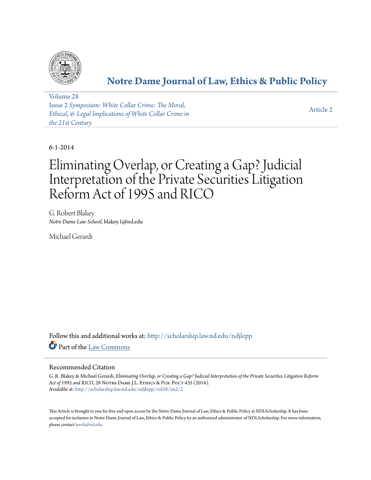

# **[Notre Dame Journal of Law, Ethics & Public Policy](http://scholarship.law.nd.edu/ndjlepp?utm_source=scholarship.law.nd.edu%2Fndjlepp%2Fvol28%2Fiss2%2F2&utm_medium=PDF&utm_campaign=PDFCoverPages)**

[Volume 28](http://scholarship.law.nd.edu/ndjlepp/vol28?utm_source=scholarship.law.nd.edu%2Fndjlepp%2Fvol28%2Fiss2%2F2&utm_medium=PDF&utm_campaign=PDFCoverPages) Issue 2 *[Symposium: White Collar Crime: The Moral,](http://scholarship.law.nd.edu/ndjlepp/vol28/iss2?utm_source=scholarship.law.nd.edu%2Fndjlepp%2Fvol28%2Fiss2%2F2&utm_medium=PDF&utm_campaign=PDFCoverPages) [Ethical, & Legal Implications of White Collar Crime in](http://scholarship.law.nd.edu/ndjlepp/vol28/iss2?utm_source=scholarship.law.nd.edu%2Fndjlepp%2Fvol28%2Fiss2%2F2&utm_medium=PDF&utm_campaign=PDFCoverPages) [the 21st Century](http://scholarship.law.nd.edu/ndjlepp/vol28/iss2?utm_source=scholarship.law.nd.edu%2Fndjlepp%2Fvol28%2Fiss2%2F2&utm_medium=PDF&utm_campaign=PDFCoverPages)*

[Article 2](http://scholarship.law.nd.edu/ndjlepp/vol28/iss2/2?utm_source=scholarship.law.nd.edu%2Fndjlepp%2Fvol28%2Fiss2%2F2&utm_medium=PDF&utm_campaign=PDFCoverPages)

6-1-2014

# Eliminating Overlap, or Creating a Gap? Judicial Interpretation of the Private Securities Litigation Reform Act of 1995 and RICO

G. Robert Blakey *Notre Dame Law School*, blakey.1@nd.edu

Michael Gerardi

Follow this and additional works at: [http://scholarship.law.nd.edu/ndjlepp](http://scholarship.law.nd.edu/ndjlepp?utm_source=scholarship.law.nd.edu%2Fndjlepp%2Fvol28%2Fiss2%2F2&utm_medium=PDF&utm_campaign=PDFCoverPages) Part of the [Law Commons](http://network.bepress.com/hgg/discipline/578?utm_source=scholarship.law.nd.edu%2Fndjlepp%2Fvol28%2Fiss2%2F2&utm_medium=PDF&utm_campaign=PDFCoverPages)

## Recommended Citation

G. R. Blakey & Michael Gerardi, *Eliminating Overlap, or Creating a Gap? Judicial Interpretation of the Private Securities Litigation Reform* Act of 1995 and RICO, 28 NOTRE DAME J.L. ETHICS & PUB. POL'Y 435 (2014). Available at: [http://scholarship.law.nd.edu/ndjlepp/vol28/iss2/2](http://scholarship.law.nd.edu/ndjlepp/vol28/iss2/2?utm_source=scholarship.law.nd.edu%2Fndjlepp%2Fvol28%2Fiss2%2F2&utm_medium=PDF&utm_campaign=PDFCoverPages)

This Article is brought to you for free and open access by the Notre Dame Journal of Law, Ethics & Public Policy at NDLScholarship. It has been accepted for inclusion in Notre Dame Journal of Law, Ethics & Public Policy by an authorized administrator of NDLScholarship. For more information, please contact [lawdr@nd.edu](mailto:lawdr@nd.edu).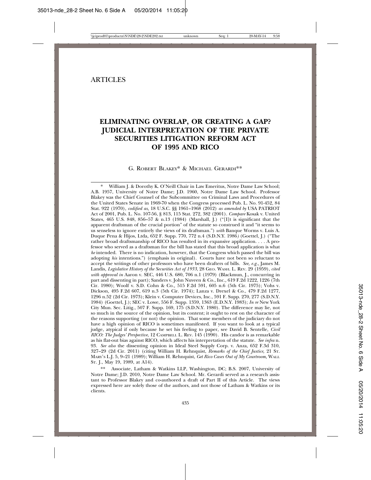### **ARTICLES**

# **ELIMINATING OVERLAP, OR CREATING A GAP? JUDICIAL INTERPRETATION OF THE PRIVATE SECURITIES LITIGATION REFORM ACT OF 1995 AND RICO**

#### G. ROBERT BLAKEY\* & MICHAEL GERARDI\*\*

William J. & Dorothy K. O'Neill Chair in Law Emeritus, Notre Dame Law School; A.B. 1957, University of Notre Dame; J.D. 1960, Notre Dame Law School. Professor Blakey was the Chief Counsel of the Subcommittee on Criminal Laws and Procedures of the United States Senate in 1969-70 when the Congress processed Pub. L. No. 91-452, 84 Stat. 922 (1970), *codified as,* 18 U.S.C. §§ 1961–1968 (2012) *as amended by* USA PATRIOT Act of 2001, Pub. L. No. 107-56, § 813, 115 Stat. 272, 382 (2001). *Compare* Kosak v. United States, 465 U.S. 848, 856–57 & n.13 (1984) (Marshall, J.) ("[I]t is significant that the apparent draftsman of the crucial portion" of the statute so construed it and "it seems to us senseless to ignore entirely the views of its draftsman.") *with* Banque Worms v. Luis A. Duque Pena & Hijos, Ltda*,* 652 F. Supp. 770, 772 n.4 (S.D.N.Y. 1986*)* (Goettel, J.) ("The rather broad draftsmanship of RICO has resulted in its expansive application. . . . A professor who served as a draftsman for the bill has stated that this broad application is what *he* intended. There is no indication, however, that the Congress which passed the bill was adopting *his* intentions.") (emphasis in original). Courts have not been so reluctant to accept the writings of other professors who have been drafters of bills*. See, e.g.,* James M. Landis*, Legislative History of the Securities Act of 1933*, 28 GEO. WASH. L. REV. 29 (1959), *cited with approval in* Aaron v. SEC, 446 U.S. 680, 706 n.1 (1979) (Blackmun, J., concurring in part and dissenting in part); Sanders v. John Nuveen & Co., Inc.*,* 619 F.2d 1222, 1226 (7th Cir. 1980); Woolf v. S.D. Cohn & Co.*,* 515 F.2d 591, 605 n.6 (5th Cir. 1975); Vohs v. Dickson*,* 495 F.2d 607, 619 n.3 (5th Cir. 1974); Lanza v. Drexel & Co., 479 F.2d 1277, 1296 n.52 (2d Cir. 1973); Klein v. Computer Devices, Inc., 591 F. Supp. 270, 277 (S.D.N.Y. 1984) (Goettel, J.); SEC v. Lowe, 556 F. Supp. 1359, 1363 (E.D.N.Y. 1983); *In re* New York City Mun. Sec. Litig., 507 F. Supp. 169, 175 (S.D.N.Y. 1980). The difference may lie, not so much in the source of the opinion, but its content; it ought to rest on the character of the reasons supporting (or not) the opinion. That some members of the judiciary do not have a high opinion of RICO is sometimes manifested. If you want to look at a typical judge, atypical if only because he set his feeling to paper, see David B. Sentelle, *Civil RICO: The Judges' Perspective*, 12 CAMPBELL L. REV. 145 (1990). His candor is as remarkable as his flat-out bias against RICO, which affects his interpretation of the statute. *See infra* n. 93. *See also* the dissenting opinion in Ideal Steel Supply Corp. v. Anza, 652 F.3d 310, 327–29 (2d Cir. 2011) (citing William H. Rehnquist, *Remarks of the Chief Justice,* 21 ST. MARY'S L.J. 5, 9–21 (1989); William H. Rehnquist, *Get Rico Cases Out of My Courtroom,* WALL ST. J., May 19, 1989, at A14).

Associate, Latham & Watkins LLP, Washington, DC; B.S. 2007, University of Notre Dame; J.D. 2010, Notre Dame Law School. Mr. Gerardi served as a research assistant to Professor Blakey and co-authored a draft of Part II of this Article. The views expressed here are solely those of the authors, and not those of Latham & Watkins or its clients.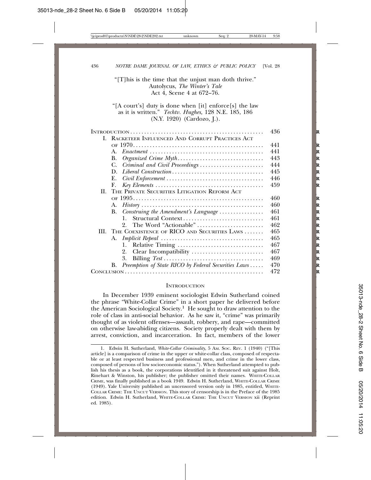"[T]his is the time that the unjust man doth thrive." Autolycus, *The Winter's Tale* Act 4, Scene 4 at 672–76.

"[A court's] duty is done when [it] enforce[s] the law as it is written." *Techtv. Hughes,* 128 N.E. 185, 186 (N.Y. 1920) (Cardozo, J.).

|    |                                                                                                    | 436 |
|----|----------------------------------------------------------------------------------------------------|-----|
| L. | RACKETEER INFLUENCED AND CORRUPT PRACTICES ACT                                                     |     |
|    |                                                                                                    | 441 |
|    | $\mathbf{A}$ .                                                                                     | 441 |
|    | В.                                                                                                 | 443 |
|    | C. Criminal and Civil Proceedings                                                                  | 444 |
|    |                                                                                                    | 445 |
|    | Е.                                                                                                 | 446 |
|    | F.<br>$Key Elements \dots \dots \dots \dots \dots \dots \dots \dots \dots \dots \dots \dots \dots$ | 459 |
|    | II. THE PRIVATE SECURITIES LITIGATION REFORM ACT                                                   |     |
|    |                                                                                                    | 460 |
|    | A.                                                                                                 | 460 |
|    | B. Construing the Amendment's Language                                                             | 461 |
|    | Structural Context<br>1.                                                                           | 461 |
|    |                                                                                                    | 462 |
|    | III. THE COEXISTENCE OF RICO AND SECURITIES LAWS                                                   | 465 |
|    |                                                                                                    | 465 |
|    |                                                                                                    | 467 |
|    |                                                                                                    | 467 |
|    | 3.                                                                                                 | 469 |
|    | B. Preemption of State RICO by Federal Securities Laws                                             | 470 |
|    |                                                                                                    | 472 |
|    |                                                                                                    |     |

#### **INTRODUCTION**

In December 1939 eminent sociologist Edwin Sutherland coined the phrase "White-Collar Crime" in a short paper he delivered before the American Sociological Society.<sup>1</sup> He sought to draw attention to the role of class in anti-social behavior. As he saw it, "crime" was primarily thought of as violent offenses—assault, robbery, and rape—committed on otherwise law-abiding citizens. Society properly dealt with them by arrest, conviction, and incarceration. In fact, members of the lower

<sup>1.</sup> Edwin H. Sutherland, *White-Collar Criminality*, 5 AM. SOC. REV. 1 (1940) ("[This article] is a comparison of crime in the upper or white-collar class, composed of respectable or at least respected business and professional men, and crime in the lower class, composed of persons of low socioeconomic status."). When Sutherland attempted to publish his thesis as a book, the corporations identified in it threatened suit against Holt, Rinehart & Winston, his publisher; the publisher omitted their names. WHITE-COLLAR CRIME, was finally published as a book 1949. Edwin H. Sutherland, WHITE-COLLAR CRIME (1949). Yale University published an uncensored version only in 1985, entitled, WHITE-COLLAR CRIME: THE UNCUT VERSION. This story of censorship is in the Preface of the 1985 edition. Edwin H. Sutherland, WHITE-COLLAR CRIME: THE UNCUT VERSION xii (Reprint ed. 1985).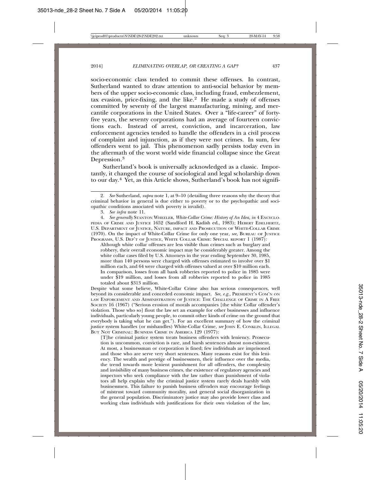socio-economic class tended to commit these offenses. In contrast, Sutherland wanted to draw attention to anti-social behavior by members of the upper socio-economic class, including fraud, embezzlement, tax evasion, price-fixing, and the like.<sup>2</sup> He made a study of offenses committed by seventy of the largest manufacturing, mining, and mercantile corporations in the United States. Over a "life-career" of fortyfive years, the seventy corporations had an average of fourteen convictions each. Instead of arrest, conviction, and incarceration, law enforcement agencies tended to handle the offenders in a civil process of complaint and injunction, as if they were not crimes. In sum, few offenders went to jail. This phenomenon sadly persists today even in the aftermath of the worst world wide financial collapse since the Great Depression.<sup>3</sup>

Sutherland's book is universally acknowledged as a classic. Importantly, it changed the course of sociological and legal scholarship down to our day.4 Yet, as this Article shows, Sutherland's book has not signifi-

4. *See generally* STANTON WHEELER, *White-Collar Crime: History of An Idea, in* 4 ENCYCLO-PEDIA OF CRIME AND JUSTICE 1652 (Sandford H. Kadish ed., 1983); HEBERT EDELHERTZ, U.S. DEPARTMENT OF JUSTICE, NATURE, IMPACT AND PROSECUTION OF WHITE-COLLAR CRIME (1970). On the impact of White-Collar Crime for only one year, *see,* BUREAU OF JUSTICE PROGRAMS, U.S. DEP'T OF JUSTICE, WHITE COLLAR CRIME: SPECIAL REPORT 1 (1987):

Although white collar offenses are less visible than crimes such as burglary and robbery, their overall economic impact may be considerably greater. Among the white collar cases filed by U.S. Attorneys in the year ending September 30, 1985, more than 140 persons were charged with offenses estimated to involve over \$1 million each, and 64 were charged with offenses valued at over \$10 million each. In comparison, losses from all bank robberies reported to police in 1985 were under \$19 million, and losses from all robberies reported to police in 1985 totaled about \$313 million.

Despite what some believe, White-Collar Crime also has serious consequences, well beyond its considerable and conceded economic impact*. See, e.g.,* PRESIDENT'S COM'N ON LAW ENFORCEMENT AND ADMINISTRATION OF JUSTICE: THE CHALLENGE OF CRIME IN A FREE SOCIETY 16 (1967) ("Serious erosion of morals accompanies [the white Collar offender's violation. Those who so] flout the law set an example for other businesses and influence individuals, particularly young people, to commit other kinds of crime on the ground that everybody is taking what he can get."). For an excellent summary of how the criminal justice system handles (or mishandles) White-Collar Crime*, see* JOHN E. CONKLIN, ILLEGAL BUT NOT CRIMINAL: BUSINESS CRIME IN AMERICA 129 (1977):

[T]he criminal justice system treats business offenders with leniency. Prosecution is uncommon, conviction is rare, and harsh sentences almost non-existent. At most, a businessman or corporation is fined; few individuals are imprisoned and those who are serve very short sentences. Many reasons exist for this leniency. The wealth and prestige of businessmen, their influence over the media, the trend towards more lenient punishment for all offenders, the complexity and invisibility of many business crimes, the existence of regulatory agencies and inspectors who seek compliance with the law rather than punishment of violators all help explain why the criminal justice system rarely deals harshly with businessmen. This failure to punish business offenders may encourage feelings of mistrust toward community morality, and general social disorganization in the general population. Discriminatory justice may also provide lower class and working class individuals with justifications for their own violation of the law,

<sup>2.</sup> *See* Sutherland, *supra* note 1, at 9–10 (detailing three reasons why the theory that criminal behavior in general is due either to poverty or to the psychopathic and sociopathic conditions associated with poverty is invalid).

<sup>3.</sup> *See infra* note 11.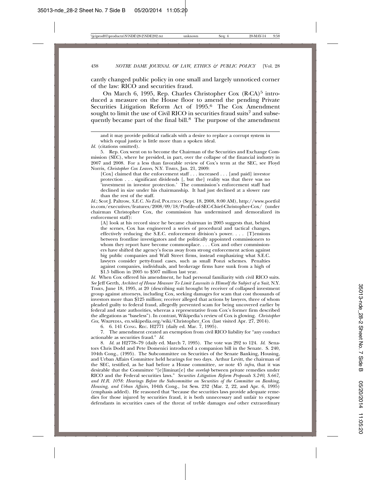cantly changed public policy in one small and largely unnoticed corner of the law: RICO and securities fraud.

On March 6, 1995, Rep. Charles Christopher Cox  $(R-CA)^5$  introduced a measure on the House floor to amend the pending Private Securities Litigation Reform Act of 1995.<sup>6</sup> The Cox Amendment sought to limit the use of Civil RICO in securities fraud suits<sup>7</sup> and subsequently became part of the final bill.8 The purpose of the amendment

[Cox] claimed that the enforcement staff . . . increased . . . [and paid] investor protection . . . significant dividends [, but the] reality was that there was no 'investment in investor protection.' The commission's enforcement staff had declined in size under his chairmanship. It had just declined at a slower rate than the rest of the staff.

*Id.*; Scot J. Paltrow, *S.E.C. No Evil*, POLITICO (Sept. 18, 2008, 8:00 AM), http://www.portfol io.com/executives/features/2008/09/18/Profile-of-SEC-Chief-Christopher-Cox/ (under chairman Christopher Cox, the commission has undermined and demoralized its enforcement staff):

[A] look at his record since he became chairman in 2005 suggests that, behind the scenes, Cox has engineered a series of procedural and tactical changes, effectively reducing the S.E.C. enforcement division's power. . . . [T]ensions between frontline investigators and the politically appointed commissioners to whom they report have become commonplace. . . . Cox and other commissioners have shifted the agency's focus away from strong enforcement action against big public companies and Wall Street firms, instead emphasizing what S.E.C. lawyers consider petty-fraud cases, such as small Ponzi schemes. Penalties against companies, individuals, and brokerage firms have sunk from a high of \$1.5 billion in 2005 to \$507 million last year.

*Id.* When Cox offered his amendment, he had personal familiarity with civil RICO suits. *See* Jeff Gerth, *Architect of House Measure To Limit Lawsuits is Himself the Subject of a Suit*, N.Y. TIMES, June 18, 1995, at 20 (describing suit brought by receiver of collapsed investment group against attorneys, including Cox, seeking damages for scam that cost thousands of investors more than \$125 million; receiver alleged that actions by lawyers, three of whom pleaded guilty to federal fraud, allegedly prevented scam for being uncovered earlier by federal and state authorities, whereas a representative from Cox's former firm described the allegations as "baseless"). In contrast, Wikipedia's review of Cox is glowing. *Christopher Cox*, WIKIPEDIA, en.wikipedia.org/wiki/Christopher\_Cox (last visited Apr. 27, 2014).

6. 6. 141 CONG. REC. H2771 (daily ed. Mar. 7, 1995).

7. The amendment created an exemption from civil RICO liability for "any conduct actionable as securities fraud." *Id*.

8. *Id.* at H2778–79 (daily ed. March 7, 1995). The vote was 292 to 124. *Id*. Senators Chris Dodd and Pete Domenici introduced a companion bill in the Senate. S. 240, 104th Cong., (1995). The Subcommittee on Securities of the Senate Banking, Housing, and Urban Affairs Committee held hearings for two days. Arthur Levitt, the chairman of the SEC, testified, as he had before a House committee, *see* note 45 *infra*, that it was desirable that the Committee "[e]liminat[e] the *overlap* between private remedies under RICO and the Federal securities laws." *Securities Litigation Reform Proposals S.240, S.667, and H.R. 1058: Hearings Before the Subcommittee on Securities of the Committee on Banking, Housing, and Urban Affairs*, 104th Cong., 1st Sess. 232 (Mar. 2, 22, and Apr. 6, 1995) (emphasis added). He reasoned that "because the securities laws provide adequate remedies for those injured by securities fraud, it is both unnecessary and unfair to expose defendants in securities cases of the threat of treble damages *and* other extraordinary

and it may provide political radicals with a desire to replace a corrupt system in which equal justice is little more than a spoken ideal.

*Id.* (citations omitted).

<sup>5.</sup> Rep. Cox went on to become the Chairman of the Securities and Exchange Commission (SEC), where he presided, in part, over the collapse of the financial industry in 2007 and 2008. For a less than favorable review of Cox's term at the SEC, see Floyd Norris, *Christopher Cox Leaves*, N.Y. TIMES, Jan. 21, 2009: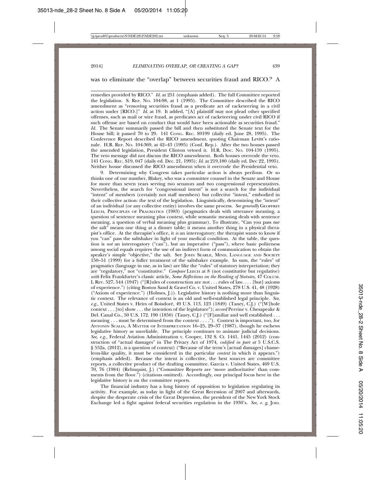#### was to eliminate the "overlap" between securities fraud and RICO.<sup>9</sup> A

remedies provided by RICO." *Id.* at 251 (emphasis added). The full Committee reported the legislation. S. REP. NO. 104-98, at 1 (1995). The Committee described the RICO amendment as "removing securities fraud as a predicate act of racketeering in a civil action under [RICO.]" *Id*. at 19. It added, "[A] plaintiff may not plead other specified offenses, such as mail or wire fraud, as predicates act of racketeering under civil RICO if such offense are based on conduct that would have been actionable as securities fraud." *Id*. The Senate summarily passed the bill and then substituted the Senate text for the House bill; it passed 70 to 29. 141 CONG. REC. S9199 (daily ed. June 28, 1995). The Conference Report described the RICO amendment, quoting Chairman Levitt's rationale. H.R. REP. NO. 104-369, at 42–43 (1995) (Conf. Rep.). After the two houses passed the amended legislation, President Clinton vetoed it. H.R. DOC. NO. 104-159 (1995). The veto message did not discuss the RICO amendment. Both houses overrode the veto. 141 CONG. REC. S19, 047 (daily ed. Dec. 21, 1995); *Id*. at 219,180 (daily ed. Dec 22, 1995). Neither house discussed the RICO amendment when it overrode the Presidential veto.

9. Determining why Congress takes particular action is always perilous. Or so thinks one of our number, Blakey, who was a committee counsel in the Senate and House for more than seven years serving two senators and two congressional representatives. Nevertheless, the search for "congressional intent" is not a search for the individual "intent" of members (certainly not staff members) but collective "intent," embodied in their collective action: the text of the legislation. Linguistically, determining the "intent" of an individual (or any collective entity) involves the same process. *See generally* GEOFFREY LEECH, PRINCIPLES OF PRAGMATICS (1983) (pragmatics deals with utterance meaning, a question of sentence meaning plus context, while semantic meaning deals with sentence meaning, a question of verbal meaning plus grammar). To illustrate, "Can you pass me the salt" means one thing at a dinner table; it means another thing in a physical therapist's office. At the therapist's office, it *is* an interrogatory; the therapist wants to know if you "can" pass the saltshaker in light of your medical condition. At the table, the question is *not* an interrogatory ("can"), but an imperative ("pass"), where basic politeness among social equals requires the use of an indirect form of communication to obtain the speaker's simple "objective," the salt. See JOHN SEARLE, MIND, LANGUAGE AND SOCIETY 150–51 (1999) for a fuller treatment of the saltshaker example. In sum, the "rules" of pragmatics (language in use, as in law) are like the "rules" of statutory interpretation; they are "regulatory," not "constitutive." *Compare* LEECH at 8 (not constitutive but regulative) *with* Felix Frankfurter's classic article, *Some Reflections on the Reading of Statutes*, 47 COLUM. L REV. 527, 544 (1947) ("[R]ules of construction are not . . . rules of law. . . . [but] axioms of experience.") (citing Boston Sand & Gravel Co. v. United States, 278 U.S. 41, 48 (1928) ("Axiom of experience.") (Holmes, J.)). Legislative history is nothing more than linguistic context. The relevance of context is an old and well-established legal principle. *See, e.g.,* United States v. Heirs of Boisdore, 49 U.S. 113, 123 (1849) (Taney, C.J.) ("[W]hole ´ context . . . [to] show . . . the intention of the legislature"); *accord* Perrine v. Chesapeake & Del. Canal Co., 50 U.S. 172, 190 (1850) (Taney, C.J.) ("[F]amiliar and well established . . . meaning . . . must be determined from the context . . . ."). Context is important, too, for ANTONIN SCALIA, A MATTER OF INTERPRETATION 16–25, 29–37 (1987), though he eschews legislative history as unreliable. The principle continues to animate judicial decisions. *See, e.g.,* Federal Aviation Administration v. Cooper, 132 S. Ct. 1441, 1445 (2012) (construction of "actual damages" in The Privacy Act of 1974, *codified in part at* 5 U.S.C.S. § 552a, (2012), is a question of context) ("Because of the term's [actual damages] chameleon-like quality, it must be considered in the particular *context* in which it appears.") (emphasis added). Because the intent is collective, the best sources are committee reports, a collective product of the drafting committee. Garcia v. United States, 469 U.S. 70, 76 (1984) (Rehnquist, J.) ("Committee Reports are 'more authoritative' than comments from the floor.") (citations omitted). Accordingly, our principal focus here in the legislative history is on the committee reports.

The financial industry has a long history of opposition to legislation regulating its activity. For example, as today in light of the Great Recession of 2007 and afterwards, despite the desperate crisis of the Great Depression, the president of the New York Stock Exchange led a fight against federal securities regulation in the 1930's. *See, e. g,* JOEL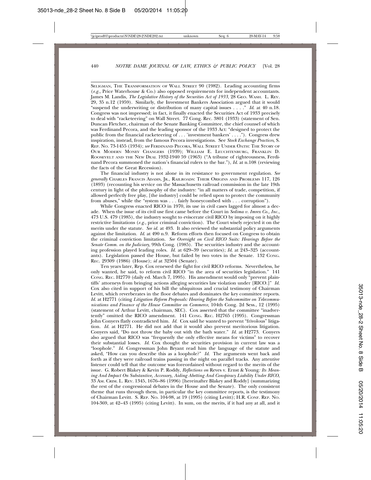SELIGMAN, THE TRANSFORMATION OF WALL STREET 90 (1982). Leading accounting firms (*e.g.,* Price Waterhouse & Co.) also opposed requirements for independent accountants. James M. Landis, *The Legislative History of the Securities Act of 1933*, 28 GEO. WASH. L. REV. 29, 35 n.12 (1959). Similarly, the Investment Bankers Association argued that it would "suspend the underwriting or distribution of many capital issues . . . ." *Id*. at 40 n.18. Congress was not impressed; in fact, it finally enacted the Securities Act of 1933 precisely to deal with "racketeering" on Wall Street. 77 Cong. Rec. 3801 (1933) (statement of Sen. Duncan Fletcher, chairman of the Senate Banking Committee, the chief counsel of which was Ferdinand Pecora, and the leading sponsor of the 1933 Act: "designed to protect the public from the financial racketeering of . . . 'investment bankers' . . . ."). Congress drew inspiration, instead, from the famous Pecora investigations. See *Stock Exchange Practices*, S. REP. NO. 73-1455 (1934); *see* FERDINAND PECORA, WALL STREET UNDER OATH: THE STORY OF OUR MODERN MONEY CHANGERS (1939); WILLIAM E. LEUCHTENBURG, FRANKLIN D. ROOSEVELT AND THE NEW DEAL 1932-1940 59 (1963) ("A tribune of righteousness, Ferdinand Pecora summoned the nation's financial rulers to the bar."), *Id*. at n.108 (reviewing the facts of the Great Recession).

The financial industry is not alone in its resistance to government regulation. *See generally* CHARLES FRANCIS ADAMS, JR., RAILROADS: THEIR ORIGINS AND PROBLEMS 117, 126 (1893) (recounting his service on the Massachusetts railroad commission in the late 19th century in light of the philosophy of the industry: "in all matters of trade, competition, if allowed perfectly free play, [the industry] could be relied upon to protect the community from abuses," while the "system was . . . fairly honeycombed with . . . corruption").

While Congress enacted RICO in 1970, its use in civil cases lagged for almost a decade. When the issue of its civil use first came before the Court in *Sedima v. Imrex Co., Inc.*, 473 U.S. 479 (1985), the industry sought to eviscerate civil RICO by imposing on it highly restrictive limitations (*e.g.,* prior criminal conviction). The Court wisely rejected it on the merits under the statute. *See id.* at 493. It also reviewed the substantial policy arguments against the limitation. *Id*. at 490 n.9. Reform efforts then focused on Congress to obtain the criminal conviction limitation. *See Oversight on Civil RICO Suits: Hearings Before the Senate Comm. on the Judiciary*, 99th Cong. (1985). The securities industry and the accounting profession played leading roles. *Id.* at 629–39 (securities); *Id*. at 243–325 (accountants). Legislation passed the House, but failed by two votes in the Senate. 132 CONG. REC. 29309 (1986) (House); *id* at 32504 (Senate).

Ten years later, Rep. Cox renewed the fight for civil RICO reforms. Nevertheless, he only wanted, he said, to reform civil RICO "in the area of securities legislation." 141 CONG. REC. H2770 (daily ed. March 7, 1995). His amendment would only "prevent plaintiffs' attorneys from bringing actions alleging securities law violation under [RICO.]" *Id.* Cox also cited in support of his bill the ubiquitous and crucial testimony of Chairman Levitt, which reverberates in the floor debates and dominates the key committee reports. *Id*. at H2771 (citing *Litigation Reform Proposals: Hearing Before the Subcommittee on Telecommunications and Finance of the House Committee on Commerce*, 104th Cong. 2d Sess., 12 (1995) (statement of Arthur Levitt, chairman, SEC). Cox asserted that the committee "inadvertently" omitted the RICO amendment. 141 CONG. REC. H2765 (1995). Congressman John Conyers flatly contradicted him. *Id.* Cox said he wanted to prevent "frivolous" litigation. *Id.* at H2771. He did not add that it would also prevent meritorious litigation. Conyers said, "Do not throw the baby out with the bath water." *Id.* at H2773. Conyers also argued that RICO was "frequently the only effective means for victims" to recover their substantial losses*. Id.* Cox thought the securities provision in current law was a "loophole." *Id.* Congressman John Bryant read him the language of the statute and asked, "How can you describe this as a loophole?" *Id.* The arguments went back and forth as if they were railroad trains passing in the night on parallel tracks. Any attentive listener could tell that the outcome was foreordained without regard to the merits of the issue. G. Robert Blakey & Kevin P. Roddy, *Reflections on* Reves v. Ernst & Young*: Its Meaning And Impact On Substantive, Accessory, Aiding Abetting And Conspiracy Liability Under RICO*, 33 AM. CRIM. L. REV. 1345, 1676–86 (1996) [hereinafter Blakey and Roddy] (summarizing the rest of the congressional debates in the House and the Senate). The only consistent theme that runs through them, in particular the key committee reports, is the testimony of Chairman Levitt. S. REP. NO. 104-98, at 19 (1995) (citing Levitt); H.R. CONF. REP. NO. 104-369, at 42–43 (1995) (citing Levitt). In sum, on the merits, if it had any at all, and it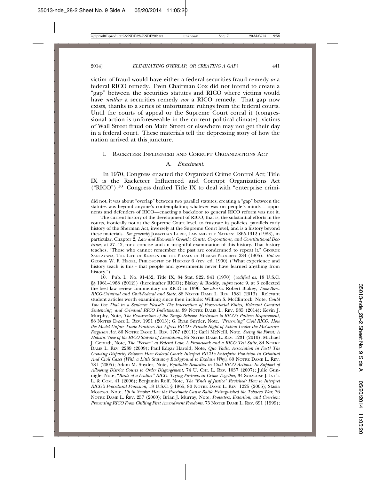victim of fraud would have either a federal securities fraud remedy *or* a federal RICO remedy. Even Chairman Cox did not intend to create a "gap" between the securities statutes and RICO where victims would have *neither* a securities remedy *nor* a RICO remedy. That gap now exists, thanks to a series of unfortunate rulings from the federal courts. Until the courts of appeal or the Supreme Court corral it (congressional action is unforeseeable in the current political climate), victims of Wall Street fraud on Main Street or elsewhere may not get their day in a federal court. These materials tell the depressing story of how the nation arrived at this juncture.

#### I. RACKETEER INFLUENCED AND CORRUPT ORGANIZATIONS ACT

#### A. *Enactment.*

In 1970, Congress enacted the Organized Crime Control Act; Title IX is the Racketeer Influenced and Corrupt Organizations Act ("RICO").10 Congress drafted Title IX to deal with "enterprise crimi-

The current history of the development of RICO, that is, the substantial efforts in the courts, ironically not at the Supreme Court level, to frustrate its policies, parallels early history of the Sherman Act, inversely at the Supreme Court level, and is a history beyond these materials. *See generally* JONATHAN LURIE, LAW AND THE NATION: 1865-1912 (1983), in particular, Chapter 2, *Law and Economic Growth: Courts, Corporations, and Constitutional Doctrines*, at 27–42, for a concise and an insightful examination of this history. That history teaches, "Those who cannot remember the past are condemned to repeat it." GEORGE SANTAYANA, THE LIFE OF REASON OR THE PHASES OF HUMAN PROGRESS 284 (1905). *But see* GEORGE W. F. HEGEL, PHILOSOPHY OF HISTORY 6 (rev. ed. 1900) ("What experience and history teach is this - that people and governments never have learned anything from history.").

10. Pub. L. No. 91-452, Title IX, 84 Stat. 922, 941 (1970) (*codified as,* 18 U.S.C. §§ 1961–1968 (2012)) (hereinafter RICO); Blakey & Roddy, *supra* note 9, at 3 collected the best law review commentary on RICO in 1996. *See also* G. Robert Blakey, *Time-Bars: RICO-Criminal and Civil-Federal and State*, 88 NOTRE DAME L. REV. 1581 (2013). Relevant student articles worth examining since then include: William S. McClintock, Note, *Could You Use That in a Sentence Please?: The Intersection of Prosecutorial Ethics, Relevant Conduct Sentencing, and Criminal RICO Indictments*, 89 NOTRE DAME L. REV. 985 (2014); Kevin J. Murphy, Note, *The Resurrection of the 'Single Scheme' Exclusion to RICO's Pattern Requirement*, 88 NOTRE DAME L. REV. 1991 (2013); G. Ryan Snyder, Note, *"Preserving" Civil RICO: How the Model Unfair Trade Practices Act Affects RICO's Private Right of Action Under the McCarran-Ferguson Act*, 86 NOTRE DAME L. REV. 1767 (2011); Carli McNeill, Note, *Seeing the Forest: A Holistic View of the RICO Statute of Limitations*, 85 NOTRE DAME L. REV. 1231 (2010); Michael J. Gerardi, Note, *The "Person" at Federal Law: A Framework and a RICO Test Suite,* 84 NOTRE DAME L. REV. 2239 (2009); Paul Edgar Harold, Note, *Quo Vadis, Association in Fact? The Growing Disparity Between How Federal Courts Interpret RICO's Enterprise Provision in Criminal And Civil Cases (With a Little Statutory Background to Explain Why)*, 80 NOTRE DAME L. REV. 781 (2005); Adam M. Snyder, Note, *Equitable Remedies in Civil RICO Actions: In Support of Allowing District Courts to Order Disgorgement,* 74 U. CHI. L. REV. 1057 (2007); Julie Gunnigle, Note, "*Birds of a Feather" RICO: Trying Partners in Crime Together*, 34 SYRACUSE J. INT'L L. & COM. 41 (2006); Benjamin Rolf, Note, *The "Ends of Justice" Revisited: How to Interpret RICO's Procedural Provision*, 18 U.S.C. § 1965, 80 NOTRE DAME L. REV. 1225 (2005); Stasia Mosesso, Note, *Up in Smoke: How the Proximate Cause Battle Extinguished the Tobacco War*, 76 NOTRE DAME L. REV. 257 (2000); Brian J. Murray, Note, *Protesters, Extortion, and Coercion: Preventing RICO From Chilling First Amendment Freedoms*, 75 NOTRE DAME L. REV. 691 (1999);

did not, it was about "overlap" between two parallel statutes; creating a "gap" between the statutes was beyond anyone's contemplation; whatever was on people's minds— opponents and defenders of RICO—enacting a backdoor to general RICO reform was not it.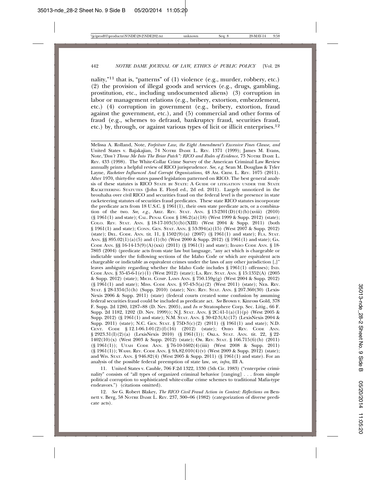nality,"<sup>11</sup> that is, "patterns" of (1) violence (e.g., murder, robbery, etc.) (2) the provision of illegal goods and services (e.g., drugs, gambling, prostitution, etc., including undocumented aliens) (3) corruption in labor or management relations (e.g., bribery, extortion, embezzlement, etc.) (4) corruption in government (e.g., bribery, extortion, fraud against the government, etc.), and (5) commercial and other forms of fraud (e.g., schemes to defraud, bankruptcy fraud, securities fraud, etc.) by, through, or against various types of licit or illicit enterprises.12

Melissa A. Rolland, Note, *Forfeiture Law, the Eight Amendment's Excessive Fines Clause, and* United States v. Bajakajian, 74 NOTRE DAME L. REV. 1371 (1999); James M. Evans, Note,*"Don't Throw Me Into The Briar Patch": RICO and Rules of Evidence*, 73 NOTRE DAME L. REV. 433 (1998). The White-Collar Crime Survey of the American Criminal Law Review annually prints a helpful review of RICO jurisprudence. *See, e.g.* Sean M. Douglass & Tyler Layne, *Racketeer Influenced And Corrupt Organizations,* 48 AM. CRIM. L. REV. 1075 (2011). After 1970, thirty-five states passed legislation patterned on RICO. The best general analysis of these statutes is RICO STATE BY STATE: A GUIDE OF LITIGATION UNDER THE STATE RACKETEERING STATUTES (John E. Floyd ed., 2d ed. 2011). Largely unnoticed in the brouhaha over civil RICO and securities fraud on the federal level is the presence in state racketeering statutes of securities fraud predicates. These state RICO statutes incorporate the predicate acts from 18 U.S.C. § 1961(1), their own state predicate acts, or a combination of the two. *See, e.g.*, ARIZ. REV. STAT. ANN. § 13-2301(D)(4)(b)(xviii) (2010) (§ 1961(1) and state); CAL. PENAL CODE § 186.2(a)(18) (West 1999 & Supp. 2012) (state); COLO. REV. STAT. ANN. § 18-17-103(5)(b)(XIII) (West 2004 & Supp. 2011) (both § 1961(1) and state); CONN. GEN. STAT. ANN. § 53-394(a)(15) (West 2007 & Supp. 2012) (state); DEL. CODE. ANN. tit. 11, § 1502(9)(a) (2007) (§ 1961(1) and state); FLA. STAT. ANN.  $\S$ § 895.02(1)(a)(5) and (1)(b) (West 2000 & Supp. 2012) (§ 1961(1) and state); GA. CODE ANN.  $\S$ § 16-14-13(9)(A)(xxi) (2011) (§ 1961(1) and state); IDAHO CODE ANN. § 18-7803 (2004) (predicate acts from state law but language, "any act which is chargeable or indictable under the following sections of the Idaho Code or which are equivalent acts chargeable or indictable as equivalent crimes under the laws of any other jurisdiction [,]" leaves ambiguity regarding whether the Idaho Code includes § 1961(1) offenses); IND. CODE ANN. § 35-45-6-1(e)(1) (West 2012) (state); LA. REV. STAT. ANN. § 15:1352(A) (2005 & Supp. 2012) (state); MICH. COMP. LAWS ANN. § 750.159g(g) (West 2004 & Supp. 2012) (§ 1961(1) and state); MISS. CODE ANN. § 97-43-3(a)(2) (West 2011) (state); NEB. REV. STAT. § 28-1354(5)(h) (Supp. 2010) (state); NEV. REV. STAT. ANN. § 207.360(30) (Lexis-Nexis 2006 & Supp. 2011) (state) (federal courts created some confusion by assuming federal securities fraud could be included as predicate act. *See* Brown v. Kinross Gold, 378 F. Supp. 2d 1280, 1287–88 (D. Nev. 2005), and *In re* Stratosphere Corp. Sec. Litig., 66 F. Supp. 2d 1182, 1202 (D. Nev. 1999)); N.J. STAT. ANN. § 2C:41-1(a)(1)(p) (West 2005 & Supp. 2012) (§ 1961(1) and state); N.M. STAT. ANN. § 30-42-3(A)(17) (LexisNexis 2004 & Supp. 2011) (state); N.C. GEN. STAT. § 75D-3(c)(2) (2011) (§ 1961(1) and state); N.D. CENT. CODE § 12.1-06.1-01(2)(f)(16) (2012) (state); OHIO REV. CODE ANN. § 2923.31(I)(2)(a) (LexisNexis 2010) (§ 1961(1)); OKLA. STAT. ANN. tit. 22, § 22-1402(10)(x) (West 2003 & Supp. 2012) (state); OR. REV. STAT. § 166.715(6)(b) (2011) (§ 1961(1)); UTAH CODE ANN. § 76-10-1602(4)(iiii) (West 2008 & Supp. 2011) (§ 1961(1)); WASH. REV. CODE ANN. § 9A.82.010(4)(v) (West 2009 & Supp. 2012) (state); and WIS. STAT. ANN. § 946.82(4) (West 2005 & Supp. 2011) (§ 1961(1) and state). For an analysis of the possible federal preemption of state law, *see, infra,* III A.

11. United States v. Cauble, 706 F.2d 1322, 1330 (5th Cir. 1983) ("enterprise criminality" consists of "all types of organized criminal behavior [ranging] . . . from simple political corruption to sophisticated white-collar crime schemes to traditional Mafia-type endeavors.") (citations omitted).

12. *See* G. Robert Blakey, *The RICO Civil Fraud Action in Context: Reflections on* Bennett v. Berg*,* 58 NOTRE DAME L. REV. 237, 300–06 (1982) (categorization of diverse predicate acts).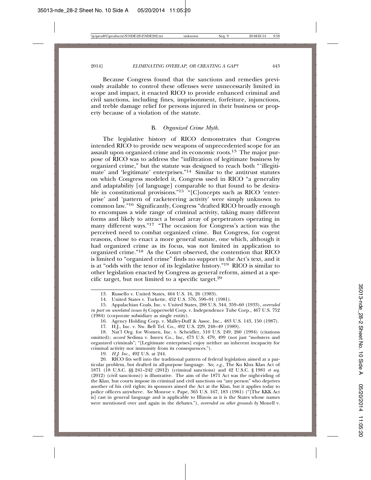Because Congress found that the sanctions and remedies previously available to control these offenses were unnecessarily limited in scope and impact, it enacted RICO to provide enhanced criminal and civil sanctions, including fines, imprisonment, forfeiture, injunctions, and treble damage relief for persons injured in their business or property because of a violation of the statute.

#### B. *Organized Crime Myth.*

The legislative history of RICO demonstrates that Congress intended RICO to provide new weapons of unprecedented scope for an assault upon organized crime and its economic roots.13 The major purpose of RICO was to address the "infiltration of legitimate business by organized crime," but the statute was designed to reach both "'illegitimate' and 'legitimate' enterprises."14 Similar to the antitrust statutes on which Congress modeled it, Congress used in RICO "a generality and adaptability [of language] comparable to that found to be desirable in constitutional provisions."<sup>15 "</sup>[C]oncepts such as RICO 'enterprise' and 'pattern of racketeering activity' were simply unknown to common law."16 Significantly, Congress "drafted RICO broadly enough to encompass a wide range of criminal activity, taking many different forms and likely to attract a broad array of perpetrators operating in many different ways."<sup>17</sup> "The occasion for Congress's action was the perceived need to combat organized crime. But Congress, for cogent reasons, chose to enact a more general statute, one which, although it had organized crime as its focus, was not limited in application to organized crime."18 As the Court observed, the contention that RICO is limited to "organized crime" finds no support in the Act's text, and it is at "odds with the tenor of its legislative history."19 RICO is similar to other legislation enacted by Congress as general reform, aimed at a specific target, but not limited to a specific target.20

16. Agency Holding Corp. v. Malley-Duff & Assoc. Inc., 483 U.S. 143, 150 (1987).

17. H.J., Inc. v. Nw. Bell Tel. Co., 492 U.S. 229, 248–49 (1989).

18. Nat'l Org. for Women, Inc. v. Scheidler, 510 U.S. 249, 260 (1994) (citations omitted); *accord* Sedima v. Imrex Co., Inc, 473 U.S. 479, 499 (not just "mobsters and organized criminals"; "[Legitimate enterprises] enjoy neither an inherent incapacity for criminal activity nor immunity from its consequences.").

19. *H.J. Inc.,* 492 U.S. at 244.

20. RICO fits well into the traditional pattern of federal legislation aimed at a particular problem, but drafted in all-purpose language. *See, e.g.,* The Ku Klux Klan Act of 1871 (18 U.S.C. §§ 241–242 (2012) (criminal sanctions) and 42 U.S.C. § 1981 *et seq*. (2012) (civil sanctions)) is illustrative. The aim of the 1871 Act was the night-riding of the Klan, but courts impose its criminal and civil sanctions on "any person" who deprives another of his civil rights; its sponsors aimed the Act at the Klan, but it applies today to police officers anywhere. *See* Monroe v. Pape, 365 U.S. 167, 183 (1961) ("[The KKK Act is] cast in general language and is applicable to Illinois as it is the States whose names were mentioned over and again in the debates."), *overruled on other grounds by* Monell v.

<sup>13.</sup> Russello v. United States, 464 U.S. 16, 26 (1983).

<sup>14.</sup> United States v. Turkette, 452 U.S. 576, 590–91 (1981).

<sup>15.</sup> Appalachian Coals, Inc. v. United States*,* 288 U.S. 344, 359–60 (1933), *overruled in part on unrelated issues by* Copperweld Corp. v. Independence Tube Corp*.,* 467 U.S. 752 (1984) (corporate subsidiary as single entity).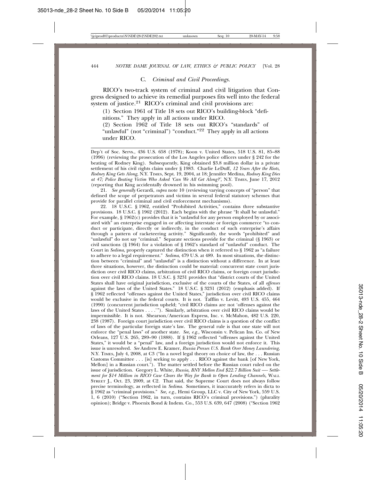#### C. *Criminal and Civil Proceedings.*

RICO's two-track system of criminal and civil litigation that Congress designed to achieve its remedial purposes fits well into the federal system of justice.<sup>21</sup> RICO's criminal and civil provisions are:

(1) Section 1961 of Title 18 sets out RICO's building-block "definitions." They apply in all actions under RICO.

(2) Section 1962 of Title 18 sets out RICO's "standards" of "unlawful" (not "criminal") "conduct."<sup>22</sup> They apply in all actions under RICO.

Dep't of Soc. Servs., 436 U.S. 658 (1978); Koon v. United States*,* 518 U.S. 81, 85–88 (1996) (reviewing the prosecution of the Los Angeles police officers under § 242 for the beating of Rodney King). Subsequently, King obtained \$3.8 million dollar in a private settlement of his civil rights claim under § 1983. Charlie LeDuff, *12 Years After the Riots, Rodney King Gets Along,* N.Y. TIMES, Sept. 19, 2004, at 18; Jennifer Medina, *Rodney King Dies at 47; Police Beating Victim Who Asked 'Can We All Get Along?',* N.Y. TIMES, June 17, 2012 (reporting that King accidentally drowned in his swimming pool).

21. *See generally* Gerardi, *supra* note 10 (reviewing varying concepts of "person" that defined the scope of perpetrators and victims in several federal statutory schemes that provide for parallel criminal and civil enforcement mechanisms).

22. 18 U.S.C. § 1962, entitled "Prohibited Activities," contains three substantive provisions. 18 U.S.C. § 1962 (2012). Each begins with the phrase "It shall be unlawful." For example, § 1962(c) provides that it is "unlawful for any person employed by or associ-ated with" an enterprise engaged in or affecting interstate or foreign commerce "to conduct or participate, directly or indirectly, in the conduct of such enterprise's affairs through a pattern of racketeering activity." Significantly, the words "prohibited" and "unlawful" do not say "criminal." Separate sections provide for the criminal (§ 1963) or civil sanctions (§ 1964) for a violation of § 1962's standard of "unlawful" conduct. The Court in *Sedima,* properly captured the distinction when it referred to § 1962 as "a failure to adhere to a legal requirement." *Sedima*, 479 U.S. at 489. In most situations, the distinction between "criminal" and "unlawful" is a distinction without a difference. In at least three situations, however, the distinction could be material: concurrent state court jurisdiction over civil RICO claims, arbitration of civil RICO claims, or foreign court jurisdiction over civil RICO claims. 18 U.S.C. § 3231 provides that "district courts of the United States shall have original jurisdiction, exclusive of the courts of the States, of all *offenses* against the laws of the United States." 18 U.S.C. § 3231 (2012) (emphasis added). If § 1962 reflected "offenses against the United States," jurisdiction over civil RICO claims would be exclusive in the federal courts. It is not. Tafflin v. Levitt, 493 U.S. 455, 464 (1990) (concurrent jurisdiction upheld; "civil RICO claims are not 'offenses against the laws of the United States . . . .'"). Similarly, arbitration over civil RICO claims would be impermissible. It is not. Shearson/American Express, Inc. v. McMahon, 482 U.S. 220, 238 (1987). Foreign court jurisdiction over civil RICO claims is a question of the conflict of laws of the particular foreign state's law. The general rule is that one state will not enforce the "penal laws" of another state. *See, e.g.,* Wisconsin v. Pelican Ins. Co. of New Orleans, 127 U.S. 265, 289–90 (1888). If § 1962 reflected "offenses against the United States," it would be a "penal" law, and a foreign jurisdiction would not enforce it. This issue is unresolved. *See* Andrew E. Kramer, *Russia Presses U.S. Bank Over Money Laundering*, N.Y. TIMES, July 4, 2008, at C3 ("In a novel legal theory on choice of law, the . . . Russian Customs Committee . . . [is] seeking to apply . . . RICO against the bank [of New York, Mellon] in a Russian court."). The matter settled before the Russian court ruled on the issue of jurisdiction. Gregory L. White*, Russia, BNY Mellon End \$22.7 Billion Suit —- Settlement for \$14 Million in RICO Case Clears the Way for Bank to Open Lending Channels, WALL* STREET J., Oct. 23, 2009, at C2. That said, the Supreme Court does not always follow precise terminology, as reflected in *Sedima*. Sometimes, it inaccurately refers in dicta to § 1962 as "criminal provisions." *See, e.g.,* Hemi Group, LLC v. City of New York, 559 U.S. 1, 6 (2010) ("Section 1962, in turn, contains RICO's criminal provisions.") (plurality opinion); Bridge v. Phoenix Bond & Indem. Co., 553 U.S. 639, 647 (2008) ("Section 1962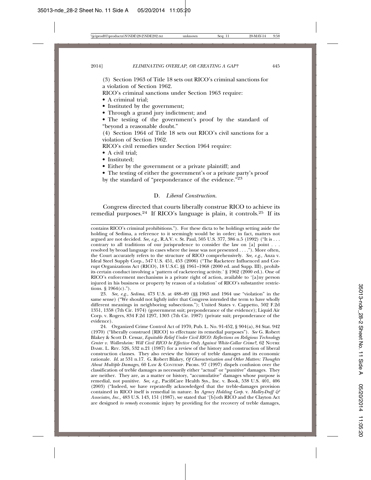(3) Section 1963 of Title 18 sets out RICO's criminal sanctions for a violation of Section 1962.

RICO's criminal sanctions under Section 1963 require:

• A criminal trial;

• Instituted by the government;

- Through a grand jury indictment; and
- The testing of the government's proof by the standard of "beyond a reasonable doubt."

(4) Section 1964 of Title 18 sets out RICO's civil sanctions for a violation of Section 1962.

RICO's civil remedies under Section 1964 require:

- A civil trial;
- Instituted;
- Either by the government or a private plaintiff; and

• The testing of either the government's or a private party's proof by the standard of "preponderance of the evidence."<sup>23</sup>

#### D. *Liberal Construction*.

Congress directed that courts liberally construe RICO to achieve its remedial purposes.<sup>24</sup> If RICO's language is plain, it controls.<sup>25</sup> If its

contains RICO's criminal prohibitions."). For these dicta to be holdings setting aside the holding of Sedima, a reference to it seemingly would be in order; in fact, matters not argued are not decided. *See, e.g.*, R.A.V. v. St. Paul, 505 U.S. 377, 386 n.5 (1992) ("It is . . . contrary to all traditions of our jurisprudence to consider the law on [a] point . . . resolved by broad language in cases where the issue was not presented . . . ."). More often, the Court accurately refers to the structure of RICO comprehensively. *See, e.g.,* Anza v. Ideal Steel Supply Corp., 547 U.S. 451, 453 (2006) ("The Racketeer Influenced and Corrupt Organizations Act (RICO), 18 U.S.C. §§ 1961–1968 (2000 ed. and Supp. III), prohibits certain conduct involving a 'pattern of racketeering activity.' § 1962 (2000 ed.). One of RICO's enforcement mechanisms is a private right of action, available to '[a]ny person injured in his business or property by reason of a violation' of RICO's substantive restrictions.  $§$  1964(c).").

23. *See, e.g.*, *Sedima*, 473 U.S. at 488–89 (§§ 1963 and 1964 use "violation" in the same sense) ("We should not lightly infer that Congress intended the term to have wholly different meanings in neighboring subsections."); United States v. Cappetto, 502 F.2d 1351, 1358 (7th Cir. 1974) (government suit; preponderance of the evidence); Liquid Air Corp. v. Rogers, 834 F.2d 1297, 1303 (7th Cir. 1987) (private suit; preponderance of the evidence).

24. Organized Crime Control Act of 1970, Pub. L. No. 91-452, § 904(a), 84 Stat. 942 (1970) ("liberally construed [RICO] to effectuate its remedial purposes"). *See* G. Robert Blakey & Scott D. Cessar, *Equitable Relief Under Civil RICO: Reflections on Religious Technology Center v. Wollersheim: Will Civil RICO be Effective Only Against White-Collar Crime?,* 62 NOTRE DAME. L. REV. 526, 532 n.21 (1987) for a review of the history and construction of liberal construction clauses. They also review the history of treble damages and its economic rationale. *Id.* at 531 n.17. G. Robert Blakey, *Of Characterization and Other Matters: Thoughts About Multiple Damages*, 60 LAW & CONTEMP. PROBS. 97 (1997) dispels confusion over the classification of treble damages as necessarily either "actual" or "punitive" damages. They are neither. They are, as a matter or history, "accumulative" damages whose purpose is remedial, not punitive. *See, e.g.,* PacifiCare Health Sys., Inc. v. Book, 538 U.S. 401, 406 (2003) ("Indeed, we have repeatedly acknowledged that the treble-damages provision contained in RICO itself is remedial in nature. In *Agency Holding Corp.* v. *Malley-Duff & Associates, Inc.,* 483 U.S. 143, 151 (1987), we stated that '[b]oth RICO and the Clayton Act are designed *to remedy* economic injury by providing for the recovery of treble damages,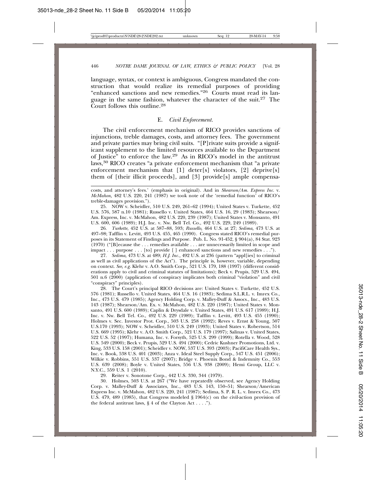language, syntax, or context is ambiguous, Congress mandated the construction that would realize its remedial purposes of providing "enhanced sanctions and new remedies."26 Courts must read its language in the same fashion, whatever the character of the suit.27 The Court follows this outline.28

#### E. *Civil Enforcement.*

The civil enforcement mechanism of RICO provides sanctions of injunctions, treble damages, costs, and attorney fees. The government and private parties may bring civil suits. "[P]rivate suits provide a significant supplement to the limited resources available to the Department of Justice" to enforce the law.29 As in RICO's model in the antitrust laws,30 RICO creates "a private enforcement mechanism that "a private enforcement mechanism that [1] deter[s] violators, [2] deprive[s] them of [their illicit proceeds], and [3] provide[s] ample compensa-

25. NOW v. Scheidler*,* 510 U.S. 249, 261–62 (1994); United States v. Turkette, 452 U.S. 576, 587 n.10 (1981); Russello v. United States, 464 U.S. 16, 29 (1983); Shearson/ Am. Express, Inc. v. McMahon, 482 U.S. 220, 239 (1987); United States v. Monsanto, 491 U.S. 600, 606 (1989); H.J. Inc. v. Nw. Bell Tel. Co., 492 U.S. 229, 249 (1989).

26. *Turkette*, 452 U.S. at 587–88, 593; *Russello,* 464 U.S. at 27; *Sedima,* 473 U.S. at 497–98; Tafflin v. Levitt*,* 493 U.S. 455, 465 (1990). Congress stated RICO's remedial purposes in its Statement of Findings and Purpose. Pub. L. No. 91-452, § 904(a), 84 Stat. 923 (1970) ("[B]ecause the . . . remedies available . . . are unnecessarily limited in scope and impact . . . purpose . . . [to] provide [ ] enhanced sanctions and new remedies . . .").

27. *Sedima,* 473 U.S. at 489; *H.J. Inc.,* 492 U.S. at 236 (pattern "appl[ies] to criminal as well as civil applications of the Act"). The principle is, however, variable, depending on context. *See, e.g.* Klehr v. A.O. Smith Corp.*,* 521 U.S. 179, 188 (1997) (different considerations apply to civil and criminal statutes of limitations); Beck v. Prupis, 529 U.S. 494, 501 n.6 (2000) (application of conspiracy implicates both criminal "violation" and civil "conspiracy" principles).

28. The Court's principal RICO decisions are: United States v. Turkette, 452 U.S. 576 (1981); Russello v. United States, 464 U.S. 16 (1983); Sedima S.L.R.L. v. Imrex Co., Inc., 473 U.S. 479 (1985); Agency Holding Corp. v. Malley-Duff & Assocs., Inc., 483 U.S. 143 (1987); Shearson/Am. Ex. v. McMahon, 482 U.S. 220 (1987); United States v. Monsanto, 491 U.S. 600 (1989); Caplin & Drysdale v. United States, 491 U.S. 617 (1989); H.J. Inc. v. Nw. Bell Tel. Co., 492 U.S. 229 (1989); Tafflin v. Levitt, 493 U.S. 455 (1990); Holmes v. Sec. Investor Prot. Corp., 503 U.S. 258 (1992); Reves v. Ernst & Young, 507 U.S.170 (1993); NOW v. Scheidler, 510 U.S. 249 (1993); United States v. Robertson, 514 U.S. 669 (1995); Klehr v. A.O. Smith Corp., 521 U.S. 179 (1997); Salinas v. United States, 522 U.S. 52 (1997); Humana, Inc. v. Forsyth, 525 U.S. 299 (1999); Rotella v. Wood, 528 U.S. 549 (2000); Beck v. Prupis, 529 U.S. 494 (2000); Cedric Kushner Promotions, Ltd. v. King, 533 U.S. 158 (2001); Scheidler v. NOW, 537 U.S. 393 (2003); PacifiCare Health Sys., Inc. v. Book, 538 U.S. 401 (2003); Anza v. Ideal Steel Supply Corp., 547 U.S. 451 (2006); Wilkie v. Robbins, 551 U.S. 537 (2007); Bridge v. Phoenix Bond & Indemnity Co., 553 U.S. 639 (2008); Boyle v. United States, 556 U.S. 938 (2009); Hemi Group, LLC v. N.Y.C., 559 U.S. 1 (2010).

29. Reiter v. Sonotone Corp., 442 U.S. 330, 344 (1979).

30. Holmes, 503 U.S. at 267 ("We have repeatedly observed, see Agency Holding Corp. v. Malley-Duff & Associates, Inc., 483 U.S. 143, 150–51; Shearson/American Express Inc. v. McMahon, 482 U.S. 220, 241 (1987); Sedima, S. P. R. L. v. Imrex Co., 473 U.S. 479, 489 (1985), that Congress modeled § 1964(c) on the civil-action provision of the federal antitrust laws,  $\S 4$  of the Clayton Act . . . .").

costs, and attorney's fees.' (emphasis in original). And in *Shearson/Am. Express Inc.* v. *McMahon,* 482 U.S. 220, 241 (1987) we took note of the 'remedial function' of RICO's treble-damages provision.").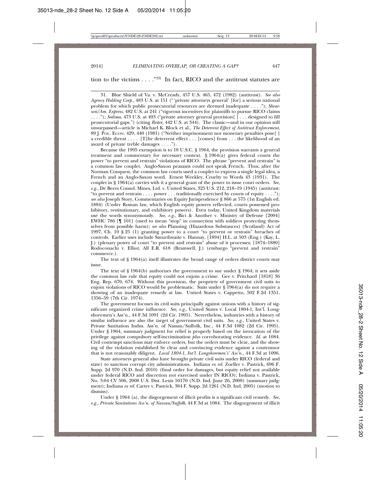#### tion to the victims  $\ldots$ ."<sup>31</sup> In fact. RICO and the antitrust statutes are

31. Blue Shield of Va. v. McCready, 457 U.S. 465, 472 (1982) (antitrust). *See also Agency Holding Corp.*, 483 U.S. at 151 ("'private attorneys general' [for] a serious national problem for which public prosecutorial resources are deemed inadequate . . . ."); *Shearson/Am. Express*, 482 U.S. at 241 ("vigorous incentives for plaintiffs to pursue RICO claims . . . ."); *Sedima*, 473 U.S. at 493 ("private attorney general provision[ ] . . . designed to fill prosecutorial gaps.") (citing *Reiter*, 442 U.S. at 344). The classic—and in our opinion still unsurpassed—article is Michael K. Block et al., *The Deterrent Effect of Antitrust Enforcement*, 89 J. POL. ECON. 429, 440 (1981) ("Neither imprisonment nor monetary penalties pose[ ] a credible threat . . . . [T]he deterrent effect . . . [comes] from . . . the likelihood of an award of private treble damages . . . .").

Because the 1995 exemption is to 18 U.S.C. § 1964, the provision warrants a general treatment and commentary for necessary context. § 1964(a) gives federal courts the power "to prevent and restrain" violations of RICO. The phrase "prevent and restrain" is a common law couplet. Anglo-Saxon peasants could not speak French. Thus, after the Norman Conquest, the common law courts used a couplet to express a single legal idea, a French and an Anglo-Saxon word. Ernest Weekley, Cruelty to Words 43 (1931). The couplet in § 1964(a) carries with it a general grant of the power to issue court orders. *See, e.g.,* De Beers Consol. Mines, Ltd. v. United States, 325 U.S. 212, 218–19 (1945) (antitrust: "to prevent and restrain . . . . power . . . traditionally exercised by courts of equity . . . ."); *see also* Joseph Story, Commentaries on Equity Jurisprudence § 866 at 575 (1st English ed. 1884) (Under Roman law, which English equity powers reflected, courts possessed prohibitory, restitutionary, and exhibitory powers). Even today, United Kingdom materials use the words synonymously. *See, e.g.*, Bici & Another v. Ministry of Defense [2004] EWHC 786 [¶ 101] (used to mean "stop" in connection with soldiers protecting themselves from possible harm); *see also* Planning (Hazardous Substances) (Scotland) Act of 1997, Ch. 10 § 25 (1) granting power to a court "to prevent or restrain" breaches of controls. Earlier uses include Smurthwaite v. Hannay, [1894] H.L. at 503 (Eng.) (Kay, L. J.) (plenary power of court "to prevent and restrain" abuse of it processes; [1874–1880] Rodoconachi v. Elliot, All E.R. 618 (Bramwell, J.) (embargo "prevent and restrain" commerce.).

The text of § 1964(a) itself illustrates the broad range of orders district courts may issue.

The text of § 1964(b) authorizes the government to sue under § 1964; it sets aside the common law rule that equity could not enjoin a crime. Gee v. Pritchard [1818] 36 Eng. Rep. 670, 674. Without this provision, the propriety of government civil suits to enjoin violations of RICO would be problematic. Suits under § 1964(a) do not require a showing of an inadequate remedy at law. United States v. Cappetto, 502 F.2d 1351, 1356–59 (7th Cir. 1974).

The government focuses its civil suits principally against unions with a history of significant organized crime influence. *See, e.g.,* United States v. Local 1804-1, Int'l. Longshoremen's Ass'n., 44 F.3d 1091 (2d Cir. 1995). Nevertheless, industries with a history of similar influence are also the target of government civil suits. *See, e.g.,* United States v. Private Sanitation Indus. Ass'n. of Nassau/Suffolk, Inc., 44 F.3d 1082 (2d Cir. 1995). Under § 1964, summary judgment for relief is properly based on the invocation of the privilege against compulsory self-incrimination *plus* corroborating evidence. *Id.* at 1084. Civil contempt sanctions may enforce orders, but the orders must be clear, and the showing of the violation established by clear and convincing evidence against a contemnor that is not reasonably diligent. *Local 1804-1, Int'l. Longshoremen's' Ass'n.,* 44 F.3d at 1096.

State attorneys general also have brought private civil suits under RICO (federal and state) to sanction corrupt city administrations. Indiana *ex rel.* Zoeller v. Pastrick, 696 F. Supp. 2d 970 (N.D. Ind. 2010) (final order for damages, but equity relief not available under federal RICO and discretion not exercised under IN RICO); Indiana v. Pastrick, No. 3:04 CV 506, 2008 U.S. Dist. Lexis 50170 (N.D. Ind. June 26, 2008) (summary judgment); Indiana *ex rel.* Carter v. Pastrick, 384 F. Supp. 2d 1261 (N.D. Ind. 2005) (motion to dismiss).

Under § 1964 (a), the disgorgement of illicit profits is a significant civil remedy. *See, e.g., Private Sanitations Ass'n. of Nassau/Suffolk*, 44 F.3d at 1084. The disgorgement of illicit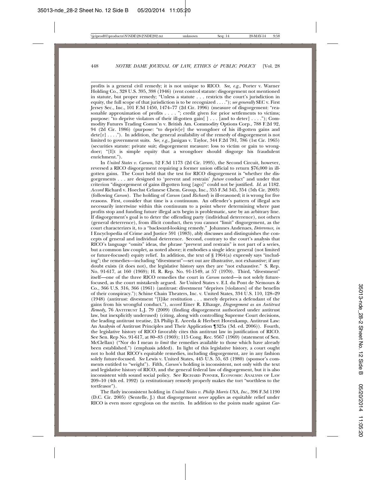profits is a general civil remedy; it is not unique to RICO. *See, e.g.,* Porter v. Warner Holding Co., 328 U.S. 395, 398 (1946) (rent control statute: disgorgement not mentioned in statute, but proper remedy; "Unless a statute . . . restricts the court's jurisdiction in equity, the full scope of that jurisdiction is to be recognized . . . ."); *see generally* SEC v. First Jersey Sec., Inc., 101 F.3d 1450, 1474–77 (2d Cir. 1996) (measure of disgorgement: "reasonable approximation of profits  $\dots$ . "; credit given for prior settlements to victims; purpose: "to deprive violators of their ill-gotten gain[ ] . . . [and to deter] . . . ."); Commodity Futures Trading Comm'n v. British Am. Commodity Options Corp., 788 F.2d 92, 94 (2d Cir. 1986) (purpose: "to depriv[e] the wrongdoer of his ill-gotten gains and dete $[r] \ldots$ ."). In addition, the general availability of the remedy of disgorgement is not limited to government suits. *See, e.g.,* Janigan v. Taylor, 344 F.2d 781, 786 (1st Cir. 1965) (securities statute: private suit; disgorgement measure: loss to victim or gain to wrongdoer; "[I]t is simple equity that a wrongdoer should disgorge his fraudulent enrichment.").

In *United States v. Carson*, 52 F.3d 1173 (2d Cir. 1995), the Second Circuit, however, reversed a RICO disgorgement requiring a former union official to return \$76,000 in illgotten gains. The Court held that the test for RICO disgorgement is "whether the disgorgements . . . are designed to 'prevent and restrain' *future* conduct" and under that criterion "disgorgement of gains ill-gotten long [ago]" could not be justified. *Id.* at 1182. *Accord* Richard v. Hoechst Celanese Chem. Group, Inc., 355 F.3d 345, 354 (5th Cir. 2003) (following *Carson*). The holding of *Carson* (and *Richard*) is ill-reasoned; it is wrong for five reasons. First, consider that time is a continuum. An offender's pattern of illegal acts necessarily intertwine within this continuum to a point where determining where past profits stop and funding future illegal acts begin is problematic, save by an arbitrary line. If disgorgement's goal is to deter the offending party (individual deterrence), not others (general deterrence), from illicit conduct, then you cannot "limit" disgorgement, as the court characterizes it, to a "backward-looking remedy." Johannes Andenaes, *Deterrence, in* I Encyclopedia of Crime and Justice 591 (1983), ably discusses and distinguishes the concepts of general and individual deterrence. Second, contrary to the court's analysis that RICO's language "omits" ideas, the phrase "prevent and restrain" is not part of a series, but a common law couplet, as noted above; it embodies a single idea: general (not limited or future-focused) equity relief. In addition, the text of  $\S$  1964(a) expressly says "including"; the remedies—including "divestment"—set out are illustrative, not exhaustive; if any doubt exists (it does not), the legislative history says they are "not exhaustive." S. Rep. No. 91-617, at 160 (1969); H. R. Rep. No. 91-1549, at 57 (1970). Third, "divestment" itself—one of the three RICO remedies the court in *Carson* noted—is not solely futurefocused, as the court mistakenly argued. *See* United States v. E.I. du Pont de Nemours & Co., 366 U.S. 316, 366 (1961) (antitrust: divestment "deprives [violators] of the benefits of their conspiracy."); Schine Chain Theaters, Inc. v. United States, 334 U.S. 110, 128–29 (1948) (antitrust: divestment "[l]ike restitution . . . merely deprives a defendant of the gains from his wrongful conduct."), *accord* Einer R. Elhauge, *Disgorgement as an Antitrust Remedy,* 76 ANTITRUST L.J. 79 (2009) (finding disgorgement authorized under antitrust law, but inexplicitly underused) (citing, along with controlling Supreme Court decisions, the leading antitrust treatise, 2A Philip E. Areeda & Herbert Hovenkamp, Antitrust Law: An Analysis of Antitrust Principles and Their Application ¶325a (3d. ed. 2006)). Fourth, the legislative history of RICO favorably cites this antitrust law in justification of RICO. See Sen. Rep No. 91-617, at 80–83 (1969); 115 Cong. Rec. 9567 (1969) (statement of Sen. McClellan) ("Nor do I mean *to limit* the remedies available to those which have already been established.") (emphasis added). In light of this legislative history, a court ought not to hold that RICO's equitable remedies, including disgorgement, are in any fashion solely future-focused. *See* Lewis v. United States, 445 U.S. 55, 63 (1980) (sponsor's comments entitled to "weight"). Fifth, *Carson*'s holding is inconsistent, not only with the text and legislative history of RICO, and the general federal law of disgorgement, but it is also inconsistent with sound social policy. See RICHARD POSNER, ECONOMIC ANALYSIS OF LAW 209–10 (4th ed. 1992) (a restitutionary remedy properly makes the tort "worthless to the tortfeasor").

The flatly inconsistent holding in *United States v. Philip Morris USA*, *Inc*., 396 F.3d 1190 (D.C. Cir. 2005) (Sentelle, J.) that disgorgement *never* applies as equitable relief under RICO is even more egregious on the merits. In addition to the points made against *Car-*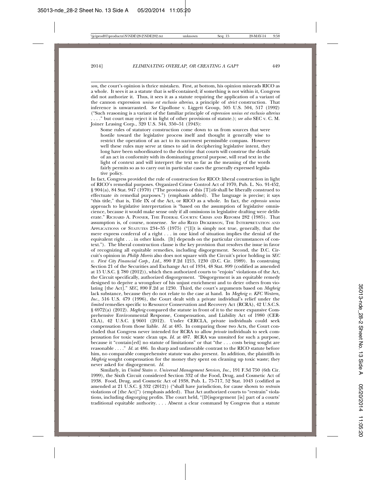*son,* the court's opinion is thrice mistaken. First, at bottom, his opinion misreads RICO as a whole. It sees it as a statute that is self-contained; if something is not within it, Congress did not authorize it. Thus, it sees it as a statute requiring the application of a variant of the cannon expression *unius est exclusio alterius*, a principle of *strict* construction. That inference is unwarranted. *See* Cipollone v. Liggett Group, 505 U.S. 504, 517 (1992) ("Such reasoning is a variant of the familiar principle of *expression unius est exclusio alterius* . . . ." but court may reject it in light of other provisions of statute.); *see also* SEC v. C. M. Joiner Leasing Corp., 320 U.S. 344, 350–51 (1943):

Some rules of statutory construction come down to us from sources that were hostile toward the legislative process itself and thought it generally wise to restrict the operation of an act to its narrowest permissible compass. However well these rules may serve at times to aid in deciphering legislative intent, they long have been subordinated to the doctrine that courts will construe the details of an act in conformity with its dominating general purpose, will read text in the light of context and will interpret the text so far as the meaning of the words fairly permits so as to carry out in particular cases the generally expressed legislative policy.

In fact, Congress provided the rule of construction for RICO: liberal construction in light of RICO's remedial purposes. Organized Crime Control Act of 1970, Pub. L. No. 91-452, § 904(a), 84 Stat. 947 (1970) ("The provisions of this [T]*itle* shall be liberally construed to effectuate *its* remedial purposes.") (emphasis added). The language is precise; it says "this title," that is, Title IX of the Act, or RICO as a whole. In fact, the *expressio unius* approach to legislative interpretation is "based on the assumption of legislative omniscience, because it would make sense only if all omissions in legislative drafting were deliberate." RICHARD A. POSNER, THE FEDERAL COURTS: CRISIS AND REFORM 282 (1985). That assumption is, of course, nonsense. *See also* REED DICKERSON, THE INTERPRETATION AND APPLICATIONS OF STATUTES 234–35 (1975) ("[I]t is simply not true, generally, that the mere express conferral of a right . . . in one kind of situation implies the denial of the equivalent right . . . in other kinds. [It] depends on the particular circumstances of context."). The liberal construction clause is the key provision that resolves the issue in favor of recognizing all equitable remedies, including disgorgement. Second, the D.C. Circuit's opinion in *Philip Morris* also does not square with the Circuit's prior holding in *SEC v. First City Financial Corp., Ltd.,* 890 F.2d 1215, 1230 (D.C. Cir. 1989). In construing Section 21 of the Securities and Exchange Act of 1934, 48 Stat. 899 (codified as amended at 15 U.S.C. § 780 (2012)), which then authorized courts to "enjoin" violations of the Act, the Circuit specifically, authorized disgorgement. "Disgorgement is an equitable remedy designed to deprive a wrongdoer of his unjust enrichment and to deter others from violating [the Act]." *SEC,* 890 F.2d at 1230. Third, the court's arguments based on *Meghrig* lack substance, because they do not relate to the case at hand. In *Meghrig v. KFC Western, Inc.*, 516 U.S. 479 (1996), the Court dealt with a private individual's relief under the *limited* remedies specific to Resource Conservation and Recovery Act (RCRA), 42 U.S.C.S. § 6972(a) (2012). *Meghrig* compared the statute in front of it to the more expansive Comprehensive Environmental Response, Compensation, and Liability Act of 1980 (CER-CLA), 42 U.S.C. § 9601 (2012). Under CERCLA, private individuals could seek compensation from those liable. *Id.* at 485. In comparing those two Acts, the Court concluded that Congress never intended for RCRA to allow *private* individuals to seek compensation for toxic waste clean ups. *Id.* at 487. RCRA was unsuited for such a purpose, because it "contain[ed] no statute of limitations" or that "the . . . costs being sought are reasonable . . . ." *Id.* at 486. In sharp and unfavorable contrast to the RICO statute before him, no comparable comprehensive statute was also present. In addition, the plaintiffs in *Meghrig* sought compensation for the money they spent on cleaning up toxic waste; they never asked for disgorgement. *Id.*

Similarly, in *United States v. Universal Management Services, Inc*., 191 F.3d 750 (6th Cir. 1999), the Sixth Circuit considered Section 332 of the Food, Drug, and Cosmetic Act of 1938. Food, Drug, and Cosmetic Act of 1938, Pub. L. 75-717, 52 Stat. 1043 (codified as amended at 21 U.S.C. § 332 (2012)) ("shall have jurisdiction, for cause shown to *restrain* violations of [the Act]") (emphasis added). That Act authorized courts to "restrain" violations, including disgorging profits. The court held, "[D]isgorgement [is] part of a courts' traditional equitable authority. . . . Absent a clear command by Congress that a statute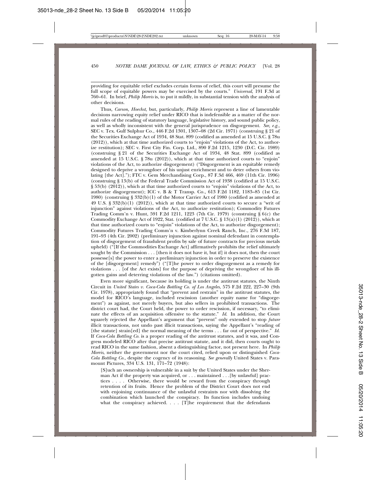providing for equitable relief excludes certain forms of relief, this court will presume the full scope of equitable powers may be exercised by the courts." *Universal*, 191 F.3d at 760–61. In brief, *Philip Morris* is, to put it mildly, in substantial tension with the analysis of other decisions.

Thus*, Carson, Hoechst,* but, particularly, *Philip Morris* represent a line of lamentable decisions narrowing equity relief under RICO that is indefensible as a matter of the normal rules of the reading of statutory language, legislative history, and sound public policy, as well as wholly inconsistent with the general jurisprudence on disgorgement. *See, e.g.,* SEC v. Tex. Gulf Sulphur Co*.*, 446 F.2d 1301, 1307–08 (2d Cir. 1971) (construing § 21 of the Securities Exchange Act of 1934, 48 Stat. 899 (codified as amended at 15 U.S.C. § 78u (2012)), which at that time authorized courts to "enjoin" violations of the Act, to authorize restitution); SEC v. First City Fin. Corp. Ltd., 890 F.2d 1215, 1230 (D.C. Cir. 1989) (construing § 21 of the Securities Exchange Act of 1934, 48 Stat. 899 (codified as amended at 15 U.S.C. § 78u (2012)), which at that time authorized courts to "enjoin" violations of the Act, to authorize disgorgement) ("Disgorgement is an equitable remedy designed to deprive a wrongdoer of his unjust enrichment and to deter others from violating [the Act]."); FTC v. Gem Merchandising Corp., 87 F.3d 466, 469 (11th Cir. 1996) (construing § 13(b) of the Federal Trade Commission Act of 1938 (codified at 15 U.S.C. § 53(b) (2012)), which at that time authorized courts to "enjoin" violations of the Act, to authorize disgorgement); ICC v. B & T Transp. Co*.*, 613 F.2d 1182, 1183–85 (1st Cir. 1980) (construing § 332(b)(1) of the Motor Carrier Act of 1980 (codified as amended at 49 U.S.  $\S 332(b)(1)$  (2012)), which at that time authorized courts to secure a "writ of injunction" against violations of the Act, to authorize restitution); Commodity Futures Trading Comm'n v. Hunt, 591 F.2d 1211, 1223 (7th Cir. 1979) (construing § 6(c) the Commodity Exchange Act of 1922, Stat. (codified at 7 U.S.C. § 13(a)(1) (2012)), which at that time authorized courts to "enjoin" violations of the Act, to authorize disgorgement); Commodity Futures Trading Comm'n v. Kimberlynn Creek Ranch, Inc*.*, 276 F.3d 187, 191–93 (4th Cir. 2002) (preliminary injunction against nominal defendant in contemplation of disgorgement of fraudulent profits by sale of future contracts for precious metals upheld) ("[If the Commodities Exchange Act] affirmatively prohibits the relief ultimately sought by the Commission . . . [then it does not have it, but if] it does not, then the court possesse[s] the power to enter a preliminary injunction in order to preserve the existence of the [disgorgement] remedy") ("[T]he power to order disgorgement as a remedy for violations . . . [of the Act exists] for the purpose of depriving the wrongdoer of his illgotten gains and deterring violations of the law.") (citations omitted).

Even more significant, because its holding is under the antitrust statutes, the Ninth Circuit in *United States v. Coca-Cola Bottling Co. of Los Angeles*, 575 F.2d 222, 227–30 (9th Cir. 1978), appropriately found that "prevent and restrain" in the antitrust statutes, the model for RICO's language, included rescission (another equity name for "disgorgement") as against, not merely buyers, but also sellers in prohibited transactions. The district court had, the Court held, the power to order rescission, if necessary, "to eliminate the effects of an acquisition offensive to the statute." *Id*. In addition, the Court squarely rejected the Appellant's argument that "prevent" only extended to stop *future* illicit transactions, not undo past illicit transactions, saying the Appellant's "reading of [the statute] strain[ed] the normal meaning of the terms . . . far out of perspective." *Id.* If *Coca-Cola Bottling Co.* is a proper reading of the antitrust statutes, and it was, and Congress modeled RICO after that precise antitrust statute, and it did, then courts ought to read RICO in the same fashion, absent a distinguishing factor, not present here. In *Philip Morris*, neither the government nor the court cited, relied upon or distinguished *Coca-Cola Bottling Co.*, despite the cogency of its reasoning. *See generally* United States v. Paramount Pictures, 334 U.S. 131, 171–72 (1948):

[S]uch an ownership is vulnerable in a suit by the United States under the Sherman Act if the property was acquired, or . . . maintained . . .[by unlawful] practices . . . . Otherwise, there would be reward from the conspiracy through retention of its fruits. Hence the problem of the District Court does not end with enjoining continuance of the unlawful restraints nor with dissolving the combination which launched the conspiracy. Its function includes undoing what the conspiracy achieved. . . . [T]he requirement that the defendants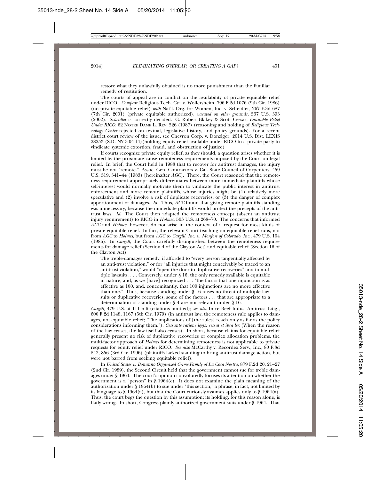restore what they unlawfully obtained is no more punishment than the familiar remedy of restitution.

The courts of appeal are in conflict on the availability of private equitable relief under RICO. *Compare* Religious Tech. Ctr. v. Wollersheim, 796 F.2d 1076 (9th Cir. 1986) (no private equitable relief) *with* Nat'l. Org. for Women, Inc. v. Scheidler, 267 F.3d 687 (7th Cir. 2001) (private equitable authorized), *vacated on other grounds*, 537 U.S. 393 (2002). *Scheidler* is correctly decided. G. Robert Blakey & Scott Cessar, *Equitable Relief Under RICO*, 62 NOTRE DAME L. REV. 526 (1987) (reasoning and holding of *Religious Technology Center* rejected on textual, legislative history, and policy grounds). For a recent district court review of the issue, see Chevron Corp. v. Donziger, 2014 U.S. Dist. LEXIS 28253 (S.D. NY 3-04-14)(holding equity relief available under RICO to a private party to vindicate systemic extortion, fraud, and obstruction of justice)

If courts recognize private equity relief, as they should, a question arises whether it is limited by the proximate cause remoteness requirements imposed by the Court on legal relief. In brief, the Court held in 1983 that to recover for antitrust damages, the injury must be not "remote." Assoc. Gen. Contractors v. Cal. State Council of Carpenters, 459 U.S. 519, 541–44 (1983) [hereinafter *AGC*]. There, the Court reasoned that the remoteness requirement appropriately differentiates between more immediate plaintiffs whose self-interest would normally motivate them to vindicate the public interest in antitrust enforcement and more remote plaintiffs, whose injuries might be (1) relatively more speculative and (2) involve a risk of duplicate recoveries, or (3) the danger of complex apportionment of damages. *Id.* Thus, *AGC* found that giving remote plaintiffs standing was unnecessary, because the immediate plaintiffs would protect the precepts of the antitrust laws. *Id*. The Court then adapted the remoteness concept (absent an antitrust injury requirement) to RICO in *Holmes,* 503 U.S. at 268–70. The concerns that informed *AGC* and *Holmes*, however, do not arise in the context of a request for most kinds of private equitable relief. In fact, the relevant Court teaching on equitable relief runs, not from *AGC* to *Holmes*, but from *AGC* to *Cargill, Inc. v. Monfort of Colorado, Inc.,* 479 U.S. 104 (1986). In *Cargill*, the Court carefully distinguished between the remoteness requirements for damage relief (Section 4 of the Clayton Act) and equitable relief (Section 16 of the Clayton Act):

The treble-damages remedy, if afforded to "every person tangentially affected by an anti-trust violation," or for "all injuries that might conceivably be traced to an antitrust violation," would "open the door to duplicative recoveries" and to multiple lawsuits. . . . Conversely, under § 16, the only remedy available is equitable in nature, and, as we [have] recognized . . . "the fact is that one injunction is as effective as 100, and, concomitantly, that 100 injunctions are no more effective than one." Thus, because standing under § 16 raises no threat of multiple lawsuits or duplicative recoveries, some of the factors . . . that are appropriate to a determination of standing under § 4 are not relevant under § 16.

*Cargill,* 479 U.S. at 111 n.6 (citations omitted); *see also* In re Beef Indus. Antitrust Litig., 600 F.2d 1148, 1167 (5th Cir. 1979) (in antitrust law, the remoteness rule applies to damages, not equitable relief; "The implications of [the rules] reach only as far as the policy considerations informing them."). *Cessante ratione legis, cessat et ipsa lex* (When the reason of the law ceases, the law itself also ceases). In short, because claims for equitable relief generally present no risk of duplicative recoveries or complex allocation problems, the multi-factor approach of *Holmes* for determining remoteness is not applicable to private requests for equity relief under RICO. *See also* McCarthy v. Recordex Serv., Inc., 80 F.3d 842, 856 (3rd Cir. 1996) (plaintiffs lacked standing to bring antitrust damage action, but were not barred from seeking equitable relief).

In *United States v. Bonanno Organized Crime Family of La Cosa Nostra*, 879 F.2d 20, 21–27 (2nd Cir. 1989), the Second Circuit held that the government cannot sue for treble damages under § 1964. The court's opinion convolutedly focuses its attention on whether the government is a "person" in  $\S$  1964(c). It does not examine the plain meaning of the authorization under § 1964(b) to sue under "this section," a phrase, in fact, not limited by its language to  $\S 1964(a)$ , but that the Court curiously assumes applies only to  $\S 1964(a)$ . Thus, the court begs the question by this assumption; its holding, for this reason alone, is flatly wrong. In short, Congress plainly authorized government suits under § 1964. That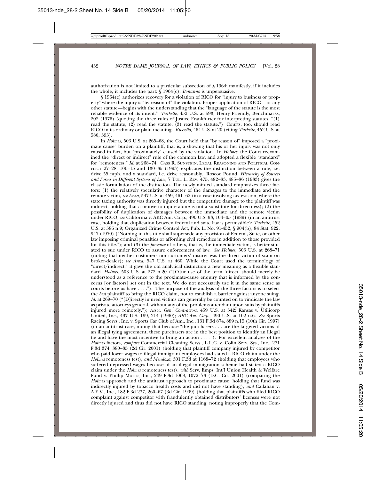authorization is not limited to a particular subsection of § 1964; manifestly, if it includes the whole, it includes the part:  $\hat{S}$  1964(c). *Bonanno* is unpersuasive.

§ 1964(c) authorizes recovery for a violation of RICO for "injury to business or property" where the injury is "by reason of" the violation. Proper application of RICO—or any other statute—begins with the understanding that the "language of the statute is the most reliable evidence of its intent." *Turkette*, 452 U.S. at 593; Henry Friendly, Benchmarks, 202 (1976) (quoting the three rules of Justice Frankfurter for interpreting statutes, "(1) read the statute, (2) read the statute, (3) read the statute.") Courts, too, should read RICO in its ordinary or plain meaning. *Russello,* 464 U.S. at 20 (citing *Turkette*, 452 U.S. at 580, 593).

In *Holmes,* 503 U.S. at 265–68, the Court held that "by reason of" imposed a "proximate cause" burden on a plaintiff, that is, a showing that his or her injury was not only caused in fact, but "proximately" caused by the violation. In *Holmes*, the Court reexamined the "direct or indirect" rule of the common law, and adopted a flexible "standard" for "remoteness." *Id*. at 268–74. CASS R. SUNSTEIN, LEGAL REASONING AND POLITICAL CON-FLICT 27–28, 106–15 and 130–35 (1993) explicates the distinction between a rule, i.e. drive 55 mph, and a standard, i.e. drive reasonably. Roscoe Pound, *Hierarchy of Sources and Forms in Different Systems of Law*, 7 TUL. L. REV. 475, 482–83, 485–86 (1933) gives the classic formulation of the distinction. The newly minted standard emphasizes three factors: (1) the relatively speculative character of the damages to the immediate and the remote victim, *see Anza*, 547 U.S. at 459, 461–62 (in a case involving tax evasion, where the state taxing authority was directly injured but the competitive damage to the plaintiff was indirect, holding that a motive to injure alone is not a substitute for directness); (2) the possibility of duplication of damages between the immediate and the remote victim under RICO, *see* California v. ARC Am. Corp., 490 U.S. 93, 104–05 (1989) (in an antitrust case, holding that duplication between federal and state law is permissible); *Turkette*, 452 U.S. at 586 n.9; Organized Crime Control Act, Pub. L. No. 91-452, § 904(b), 84 Stat. 922, 947 (1970) ("Nothing in this title shall supersede any provision of Federal, State, or other law imposing criminal penalties or affording civil remedies in addition to those provided for this title."); and (3) the *presence* of others, that is, the immediate victim, is better situated to sue under RICO to assure enforcement of law. *See Holmes,* 503 U.S. at 268–71 (noting that neither customers nor customers' insurer was the direct victim of scam on broker-dealer); *see Anza*, 547 U.S. at 460. While the Court used the terminology of "direct/indirect," it gave the old analytical distinction a new meaning as a flexible standard. *Holmes*, 503 U.S. at 272 n.20 ("[O]ur use of the term 'direct' should merely be understood as a reference to the proximate-cause enquiry that is informed by the concerns [or factors] set out in the text. We do not necessarily use it in the same sense as courts before us have . . . ."). The purpose of the analysis of the three factors is to select the *best* plaintiff to bring the RICO claim, not to establish a barrier against anyone suing. *Id.* at 269–70 ("[D]irectly injured victims can generally be counted on to vindicate the law as private attorneys general, without any of the problems attendant upon suits by plaintiffs injured more remotely."); *Assoc. Gen. Contractors*, 459 U.S. at 542; Kansas v. Utilicorp United, Inc., 497 U.S. 199, 214 (1990); *ARC Am. Corp.*, 490 U.S. at 102 n.6. *See* Sports Racing Servs., Inc. v. Sports Car Club of Am., Inc., 131 F.3d 874, 889 n.15 (10th Cir. 1997) (in an antitrust case, noting that because "the purchasers . . . are the targeted victims of an illegal tying agreement, these purchasers are in the best position to identify an illegal tie and have the most incentive to bring an action . . . ."). For excellent analyses of the *Holmes* factors, *compare* Commercial Cleaning Servs., L.L.C. v. Colin Serv. Sys., Inc., 271 F.3d 374, 380–85 (2d Cir. 2001) (holding that plaintiff company injured by competitor who paid lower wages to illegal immigrant employees had stated a RICO claim under the *Holmes* remoteness test), *and Mendoza*, 301 F.3d at 1168–72 (holding that employees who suffered depressed wages because of an illegal immigration scheme had stated a RICO claim under the *Holmes* remoteness test), *with* Serv. Emps. Int'l Union Health & Welfare Fund v. Phillip Morris, Inc., 249 F.3d 1068, 1072–73 (D.C. Cir. 2001) (comparing the *Holmes* approach and the antitrust approach to proximate cause; holding that fund was indirectly injured by tobacco health costs and did not have standing), *and* Callahan v. A.E.V., Inc., 182 F.3d 237, 260–67 (3d Cir. 1999) (holding that plaintiffs who filed RICO complaint against competitor with fraudulently obtained distributors' licenses were not directly injured and thus did not have RICO standing; noting improperly that the Com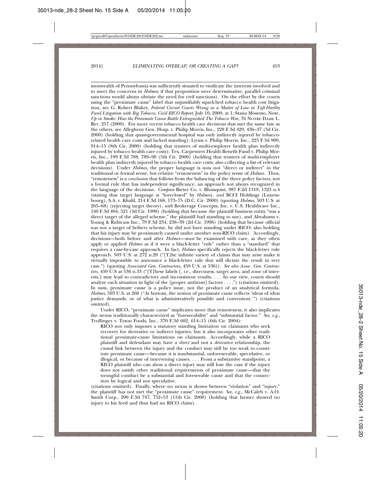monwealth of Pennsylvania was sufficiently situated to vindicate the interests involved and to meet the concerns in *Holmes*; if that proposition were determinative, parallel criminal sanctions would always obviate the need for civil sanctions). On the effort by the courts using the "proximate cause" label that unjustifiably squelched tobacco health cost litigation, see G. Robert Blakey, *Federal Circuit Courts Wrong as a Matter of Law in Taft-Hartley Fund Litigation with Big Tobacco*, *Civil RICO Report*, July 10, 2000, at 1; Stasia Mosesso, Note, *Up in Smoke: How the Proximate Cause Battle Extinguished The Tobacco War*, 76 NOTRE DAME L. REV. 257 (2000). For more recent tobacco health care decisions that met the same fate as the others, see Allegheny Gen. Hosp. v. Philip Morris, Inc., 228 F.3d 429, 436–37 (3d Cir. 2000) (holding that quasi-governmental hospital was only indirectly injured by tobaccorelated health care costs and lacked standing); Lyons v. Philip Morris, Inc., 225 F.3d 909, 914–15 (8th Cir. 2000) (holding that trustees of multi-employer health plan indirectly injured by tobacco health care costs); Tex. Carpenters Health Benefit Fund v. Philip Morris, Inc., 199 F.3d 788, 789–90 (5th Cir. 2000) (holding that trustees of multi-employer health plan indirectly injured by tobacco health care costs; also collecting a list of relevant decisions). Under *Holmes*, the proper language is now not "direct or indirect" in the traditional or formal sense, but relative "remoteness" in the policy sense of *Holmes.* Thus, "remoteness" is a *conclusion* that follows from the balancing of the three policy factors, not a formal rule that has independent significance, an approach not always recognized in the language of the decisions. *Compare* Bieter Co. v. Blomquist, 987 F.2d 1319, 1325 n.4 (stating that target language is "foreclosed" by *Holmes*), *and* BCCI Holdings (Luxembourg), S.A. v. Khalil, 214 F.3d 168, 173–75 (D.C. Cir. 2000) (quoting *Holmes*, 503 U.S. at 265–68) (rejecting target theory), *with* Brokerage Concepts, Inc. v. U.S. Healthcare Inc., 140 F.3d 494, 521 (3d Cir. 1998) (holding that because the plaintiff business entity "was a direct target of the alleged scheme," the plaintiff had standing to sue), and Abrahams v. Young & Rubicam Inc., 79 F.3d 234, 238–39 (2d Cir. 1996) (holding that because official was not a target of bribery scheme, he did not have standing under RICO; also holding that his injury may be proximately caused under another non-RICO claim). Accordingly, decisions—both before and after *Holmes*—*must* be examined with care, as they often apply or applied *Holmes* as if it were a black-letter "rule" rather than a "standard" that requires a case-by-case approach. In fact, *Holmes* specifically rejects the black-letter rule approach. 503 U.S. at  $272 n.20$  ("[T]he infinite variety of claims that may arise make it virtually impossible to announce a black-letter rule that will dictate the result in very case.") (quoting *Associated Gen. Contractors*, 459 U.S. at 536)). *See also Assoc. Gen. Contractors*, 459 U.S at 536 n.33 ("[T]hese labels [, i.e., directness, target area, and zone of interests,] may lead to contradictory and inconsistent results. . . . In our view, courts should analyze each situation in light of the [proper antitrust] factors . . . .") (citations omitted). In sum, proximate cause is a policy issue, not the product of an analytical formula. *Holmes*, 503 U.S. at 268 ("At bottom, the notion of proximate cause reflects 'ideas of what justice demands, or of what is administratively possible and convenient.'") (citations omitted).

Under RICO, "proximate cause" implicates more that remoteness; it also implicates the nexus traditionally characterized as "foreseeability" and "substantial factor." *See, e.g.*, Trollinger v. Tyson Foods, Inc., 370 F.3d 602, 614–15 (6th Cir. 2004):

RICO not only imposes a statutory standing limitation on claimants who seek recovery for derivative or indirect injuries, but it also incorporates other traditional proximate-cause limitations on claimants. Accordingly, while a RICO plaintiff and defendant may have a *direct* and not a *derivative* relationship, the causal link between the injury and the conduct may still be too weak to constitute proximate cause—because it is insubstantial, unforeseeable, speculative, or illogical, or because of intervening causes. . . . From a substantive standpoint, a RICO plaintiff who can show a direct injury may still lose the case if the injury does not satisfy other traditional requirements of proximate cause—that the wrongful conduct be a substantial and foreseeable cause and that the connection be logical and not speculative.

(citations omitted). Finally, where no nexus is shown between "violation" and "injury," the plaintiff has not met the "proximate cause" requirement. *See, e.g.*, McCaleb v. A.O. Smith Corp., 200 F.3d 747, 752–53 (11th Cir. 2000) (holding that farmer showed no injury to his feed and thus had no RICO claim).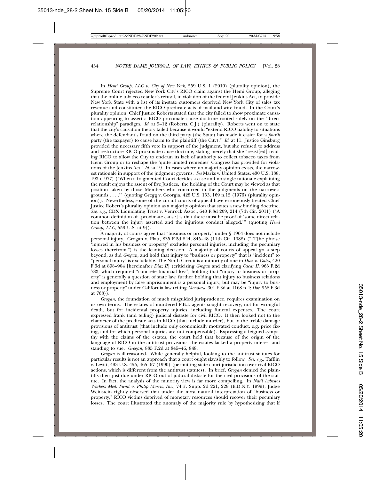In *Hemi Group, LLC v. City of New York*, 559 U.S. 1 (2010) (plurality opinion), the Supreme Court rejected New York City's RICO claim against the Hemi Group, alleging that the online tobacco retailer's refusal, in violation of the federal Jenkins Act, to provide New York State with a list of its in-state customers deprived New York City of sales tax revenue and constituted the RICO predicate acts of mail and wire fraud. In the Court's plurality opinion, Chief Justice Roberts stated that the city failed to show proximate causation appearing to assert a RICO proximate cause doctrine rooted solely on the "direct relationship" paradigm. *Id*. at 9–12 (Roberts, C.J.) (plurality). Roberts went on to state that the city's causation theory failed because it would "extend RICO liability to situations where the defendant's fraud on the third party (the State) has made it easier for a *fourth* party (the taxpayer) to cause harm to the plaintiff (the City)." *Id*. at 11. Justice Ginsburg provided the necessary fifth vote in support of the judgment, but she refused to address and restructure RICO proximate cause doctrine, stating merely that she "resist[ed] reading RICO to allow the City to end-run its lack of authority to collect tobacco taxes from Hemi Group or to reshape the 'quite limited remedies' Congress has provided for violations of the Jenkins Act." *Id*. at 19. In cases where no majority opinion exists, the narrowest rationale in support of the judgment governs. *See* Marks v. United States, 430 U.S. 188, 193 (1977) ("When a fragmented Court decides a case and no single rationale explaining the result enjoys the assent of five Justices, 'the holding of the Court may be viewed as that position taken by those Members who concurred in the judgments on the narrowest grounds . . . .'" (quoting Gregg v. Georgia, 428 U.S. 153, 169 n.15 (1976) (plurality opinion)). Nevertheless, some of the circuit courts of appeal have erroneously treated Chief Justice Robert's plurality opinion as a majority opinion that states a new binding doctrine. *See, e.g.*, CDX Liquidating Trust v. Venrock Assoc., 640 F.3d 209, 214 (7th Cir. 2011) ("A common definition of [proximate cause] is that there must be proof of 'some direct relation between the injury asserted and the injurious conduct alleged.'" (quoting *Hemi Group, LLC*, 559 U.S. at 9)).

A majority of courts agree that "business or property" under § 1964 does not include personal injury. Grogan v. Platt*,* 835 F.2d 844, 845–48 (11th Cir. 1988) ("[T]he phrase 'injured in his business or property' excludes personal injuries, including the pecuniary losses therefrom.") is the leading decision. A majority of courts of appeal go a step beyond, as did *Grogan,* and hold that injury to "business or property" that is "incident" to "personal injury" is excludable. The Ninth Circuit is a minority of one in *Diaz v. Gates*, 420 F.3d at 898–904 [hereinafter *Diaz II*] (criticizing *Grogan* and clarifying *Oscar II*, 965 F.2d 783, which required "concrete financial loss"; holding that "injury to business or property" is generally a question of state law; further holding that injury to business relations and employment by false imprisonment is a personal injury, but may be "injury to business or property" under California law (citing *Mendoza*, 301 F.3d at 1168 n.4; *Doe*, 958 F.3d at 768)).

*Grogan*, the foundation of much misguided jurisprudence, requires examination on its own terms. The estates of murdered F.B.I. agents sought recovery, not for wrongful death, but for incidental property injuries, including funeral expenses. The court expressed frank (and telling) judicial distaste for civil RICO. It then looked not to the character of the predicate acts in RICO (that include murder), but to the treble damage provisions of antitrust (that include only economically motivated conduct, e.g. price fixing, and for which personal injuries are not compensable). Expressing a feigned sympathy with the claims of the estates, the court held that because of the origin of the language of RICO in the antitrust provisions, the estates lacked a property interest and standing to sue. *Grogan,* 835 F.2d at 845–46, 848.

*Grogan* is ill-reasoned. While generally helpful, looking to the antitrust statutes for particular results is not an approach that a court ought slavishly to follow. *See, e.g.*, Tafflin v. Levitt, 493 U.S. 455, 465–67 (1990) (permitting state court jurisdiction over civil RICO actions, which is different from the antitrust statutes). In brief, *Grogan* denied the plaintiffs their just due under RICO out of judicial distaste for the civil provisions of the statute. In fact, the analysis of the minority view is far more compelling. In *Nat'l Asbestos Workers Med. Fund v. Philip Morris, Inc.*, 74 F. Supp. 2d 221, 229 (E.D.N.Y. 1999), Judge Weinstein rightly observed that under the most natural interpretation of "business or property," RICO victims deprived of monetary resources should recover their pecuniary losses. The court illustrated the anomaly of the majority rule by hypothesizing that if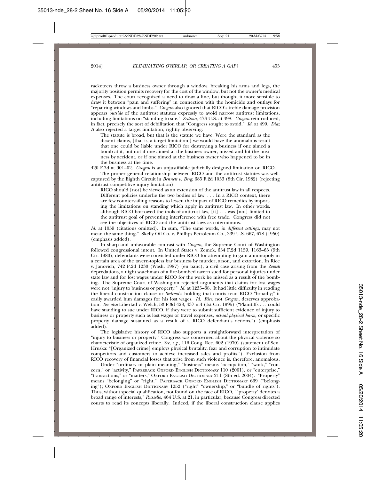racketeers throw a business owner through a window, breaking his arms and legs, the majority position permits recovery for the cost of the window, but not the owner's medical expenses. The court recognized a need to draw a line, but thought it more sensible to draw it between "pain and suffering" in connection with the homicide and outlays for "repairing windows and limbs." *Grogan* also ignored that RICO's treble damage provision appears *outside* of the antitrust statutes expressly to avoid narrow antitrust limitations, including limitations on "standing to sue." *Sedima,* 473 U.S. at 498. *Grogan* reintroduced, in fact, precisely the sort of debilitation that "Congress sought to avoid." *Id.* at 499. *Diaz II* also rejected a target limitation, rightly observing:

The statute is broad, but that is the statute we have. Were the standard as the dissent claims, [that is, a target limitation,] we would have the anomalous result that one could be liable under RICO for destroying a business if one aimed a bomb at it, but not if one aimed at the business owner, missed and hit the business by accident, or if one aimed at the business owner who happened to be in the business at the time.

420 F.3d at 901–02. *Grogan* is an unjustifiable judicially designed limitation on RICO.

The proper general relationship between RICO and the antitrust statutes was wellcaptured by the Eighth Circuit in *Bennett v. Berg*, 685 F.2d 1053 (8th Cir. 1982) (rejecting antitrust competitive injury limitation):

RICO should [not] be viewed as an extension of the antitrust law in all respects. Different policies underlie the two bodies of law. . . . In a RICO context, there are few countervailing reasons to lessen the impact of RICO remedies by importing the limitations on standing which apply in antitrust law. In other words, although RICO borrowed the tools of antitrust law, [it] . . . was [not] limited to the antitrust goal of preventing interference with free trade. Congress did not see the objectives of RICO and the antitrust laws as coterminous.

*Id.* at 1059 (citations omitted). In sum, "The same words, *in different settings*, may not mean the same thing." Skelly Oil Co. v. Phillips Petroleum Co., 339 U.S. 667, 678 (1950) (emphasis added).

In sharp and unfavorable contrast with *Grogan,* the Supreme Court of Washington followed congressional intent. In United States v. Zemek, 634 F.2d 1159, 1163–65 (9th Cir. 1980), defendants were convicted under RICO for attempting to gain a monopoly in a certain area of the tavern-topless bar business by murder, arson, and extortion. In Rice v. Janovich, 742 P.2d 1230 (Wash. 1987) (en banc), a civil case arising from the *Zemek* depredations, a night watchman of a fire-bombed tavern sued for personal injuries under state law and for lost wages under RICO for the work he missed as a result of the bombing. The Supreme Court of Washington rejected arguments that claims for lost wages were not "injury to business or property." *Id.* at 1235–38. It had little difficulty in reading the liberal construction clause or *Sedima*'s holding that courts read RICO "broadly;" it easily awarded him damages for his lost wages. *Id. Rice*, not *Grogan*, deserves approbation. *See also* Libertad v. Welch*,* 53 F.3d 428, 437 n.4 (1st Cir. 1995) ("Plaintiffs . . . could have standing to sue under RICO, if they were to submit sufficient evidence of injury to business or property such as lost wages or travel expenses, *actual physical harm,* or specific property damage sustained as a result of a RICO defendant's actions.") (emphasis added).

The legislative history of RICO also supports a straightforward interpretation of "injury to business or property." Congress was concerned about the physical violence so characteristic of organized crime. *See, e.g.*, 116 Cong. Rec. 602 (1970) (statement of Sen. Hruska: "[Organized crime] employs physical brutality, fear and corruption to intimidate competitors and customers to achieve increased sales and profits."). Exclusion from RICO recovery of financial losses that arise from such violence is, therefore, anomalous.

Under "ordinary or plain meaning," "business" means "occupation," "work," "concern," or "activity," PAPERBACK OXFORD ENGLISH DICTIONARY 110 (2001), or "enterprise," "transactions," or "matters," OXFORD ENGLISH DICTIONARY 211 (8th ed. 2004). "Property" means "belonging" or "right." PAPERBACK OXFORD ENGLISH DICTIONARY 669 ("belonging"); OXFORD ENGLISH DICTIONARY 1252 ("right" "ownership," or "bundle of rights"). Thus, without special qualification, not found on the face of RICO, "'property' denotes a broad range of interests," *Russello,* 464 U.S. at 21, in particular, because Congress directed courts to read its concepts liberally. Indeed, if the liberal construction clause applies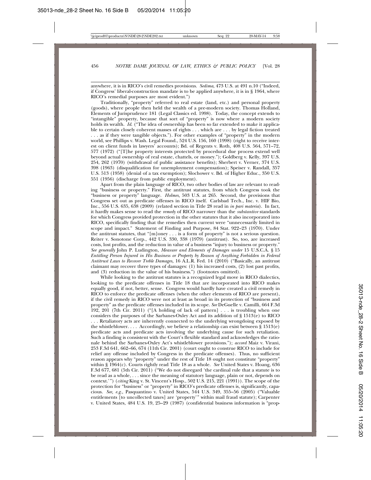anywhere, it is in RICO's civil remedies provisions. *Sedima*, 473 U.S. at 491 n.10 ("Indeed, if Congress' liberal-construction mandate is to be applied anywhere, it is in § 1964, where RICO's remedial purposes are most evident.")

Traditionally, "property" referred to real estate (land, etc.) and personal property (goods), where people then held the wealth of a pre-modern society. Thomas Holland, Elements of Jurisprudence 181 (Legal Classics ed. 1998). Today, the concept extends to "intangible" property, because that sort of "property" is now where a modern society holds its wealth. *Id.* ("The idea of ownership has been so far extended to make it applicable to certain closely coherent masses of rights . . . which are . . . by legal fiction treated . . . as if they were tangible objects."). For other examples of "property" in the modern world, see Phillips v. Wash. Legal Found., 524 U.S. 156, 160 (1998) (right to receive interest on client funds in lawyers' accounts); Bd. of Regents v. Roth*,* 408 U.S. 564, 571–72, 577 (1972) ("[T]he property interests protected by procedural due process extend well beyond actual ownership of real estate, chattels, or money."); Goldberg v. Kelly, 397 U.S. 254, 262 (1970) (withdrawal of public assistance benefits); Sherbert v. Verner, 374 U.S. 398 (1963) (disqualification for unemployment compensation); Speiser v. Randall, 357 U.S. 513 (1958) (denial of a tax exemption); Slochower v. Bd. of Higher Educ., 350 U.S. 551 (1956) (discharge from public employment).

Apart from the plain language of RICO, two other bodies of law are relevant to reading "business or property." First, the antitrust statutes, from which Congress took the "business or property" language. *Holmes,* 503 U.S. at 265. Second, the provisions that Congress set out as predicate offenses in RICO itself. Carlsbad Tech., Inc. v. HIF Bio, Inc., 556 U.S. 635, 638 (2009) (related section in Title 28 read in *in pari materia*). In fact, it hardly makes sense to read the *remedy* of RICO narrower than the *substantive* standards for which Congress provided protection in the other statutes that it also incorporated into RICO, specifically finding that the remedies then current were "unnecessarily limited in scope and impact." Statement of Finding and Purpose, 84 Stat. 922–23 (1970). Under the antitrust statutes, that " $[m]$ oney . . . is a form of property" is not a serious question. Reiter v. Sonotone Corp., 442 U.S. 330, 338 (1979) (antitrust). So, too, are increased costs, lost profits, and the reduction in value of a business "injury to business or property." *See generally* John P. Ludington, *Measure and Elements of Damages under* 15 U.S.C.A. § 15 *Entitling Person Injured in His Business or Property by Reason of Anything Forbidden in Federal Antitrust Laws to Recover Treble Damages,* 16 A.L.R. Fed. 14 (2010) ("Basically, an antitrust claimant may recover three types of damages: (1) his increased costs, (2) lost past profits, and (3) reduction in the value of his business.") (footnotes omitted).

While looking to the antitrust statutes is a recognized legal move in RICO dialectics, looking to the predicate offenses in Title 18 that are incorporated into RICO makes equally good, if not, better, sense. Congress would hardly have created a civil remedy in RICO to enforce the predicate offenses (when the other elements of RICO are present), if the civil remedy in RICO were not at least as broad in its protection of "business and property" as the predicate offenses included in its scope. *See* DeGuelle v. Camilli, 664 F.3d 192, 201 (7th Cir. 2011) ("[A holding of lack of pattern] . . . is troubling when one considers the purposes of the Sarbanes-Oxley Act and its addition of § 1513(e) to RICO . . . Retaliatory acts are inherently connected to the underlying wrongdoing exposed by the whistleblower.... Accordingly, we believe a relationship can exist between § 1513(e) predicate acts and predicate acts involving the underlying cause for such retaliation. Such a finding is consistent with the Court's flexible standard and acknowledges the rationale behind the Sarbanes-Oxley Act's whistleblower provisions."); *accord* Maiz v. Virani, 253 F.3d 641, 662–66, 674 (11th Cir. 2001) (court ought to construe RICO to include for relief any offense included by Congress in the predicate offenses). Thus, no sufficient reason appears why "property" under the rest of Title 18 ought not constitute "property" within § 1964(c). Courts rightly read Title 18 as a whole. *See* United States v. Hoang, 636 F.3d 677, 681 (5th Cir. 2011) ("We do not disregard 'the cardinal rule that a statute is to be read as a whole, . . . since the meaning of statutory language, plain or not, depends on context.'") (*citing* King v. St. Vincent's Hosp., 502 U.S. 215, 221 (1991)). The scope of the protection for "business" or "property" in RICO's predicate offenses is, significantly, capacious. *See, e.g.,* Pasquantino v. United States*,* 544 U.S. 349, 355–56 (2005) ("Valuable entitlements [to uncollected taxes] are 'property'" within mail fraud statute); Carpenter v. United States, 484 U.S. 19, 25–29 (1987) (confidential business information is "prop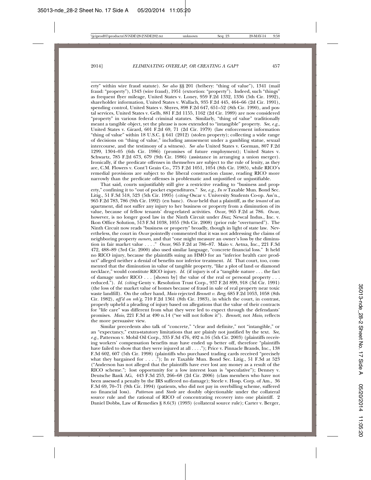erty" within wire fraud statute). *See also* §§ 201 (bribery: "thing of value"), 1341 (mail fraud: "property"), 1343 (wire fraud), 1951 (extortion: "property"). Indeed, such "things" as frequent flyer mileage, United States v. Loney, 959 F.2d 1332, 1336 (5th Cir. 1992), shareholder information, United States v. Wallach, 935 F.2d 445, 464–66 (2d Cir. 1991), spending control, United States v. Shyres, 898 F.2d 647, 651–52 (8th Cir. 1990), and postal services, United States v. Gelb, 881 F.2d 1155, 1162 (2d Cir. 1989) are now considered "property" in various federal criminal statutes. Similarly, "thing of value" traditionally meant a tangible object, yet the phrase is now extended to "intangible" property. *See, e.g.,* United States v. Girard*,* 601 F.2d 69, 71 (2d Cir. 1979) (law enforcement information "thing of value" within 18 U.S.C. § 641 (2012) (stolen property); collecting a wide range of decisions on "thing of value," including amusement under a gambling statue, sexual intercourse, and the testimony of a witness). *See also* United States v. Gorman, 807 F.2d 1299, 1304–05 (6th Cir. 1986) (promises of future employment); United States v. Schwartz, 785 F.2d 673, 679 (9th Cir. 1986) (assistance in arranging a union merger). Ironically, if the predicate offenses in themselves are subject to the rule of lenity, as they are, C.M. Flowers v. Cont'l Grain Co., 775 F.2d 1051, 1054 (8th Cir. 1985), while RICO's remedial provisions are subject to the liberal construction clause, reading RICO more narrowly than the predicate offenses is problematic and unjustified or unjustifiable.

That said, courts unjustifiably still give a restrictive reading to "business and property," confining it to "out of pocket expenditures." *See, e.g., In re* Taxable Mun. Bond Sec. Litig., 51 F.3d 518, 523 (5th Cir. 1995) (*citing* Oscar v. University Students Co-op. Ass'n.*,* 965 F.2d 783, 786 (9th Cir. 1992) (en banc). *Oscar* held that a plaintiff, as the *tenant* of an apartment, did not suffer any injury to her business or property from a diminution of its value, because of fellow tenants' drug-related activities. *Oscar,* 965 F.2d at 786. *Oscar*, however, is no longer good law in the Ninth Circuit under *Diaz*; Newcal Indus., Inc. v. Ikon Office Solution, 513 F.3d 1038, 1055 (9th Cir. 2008) (prior rule "overturned"). The Ninth Circuit now reads "business or property" broadly, though in light of state law. Nevertheless, the court in *Oscar* pointedly commented that it was not addressing the claims of neighboring property *owners,* and that "one might measure an owner's loss by the diminution in fair market value . . . ." *Oscar*, 965 F.2d at 786–87. Maio v. Aetna, Inc., 221 F.3d 472, 488–89 (3rd Cir. 2000) also used similar language, "concrete financial loss." It held no RICO injury, because the plaintiffs suing an HMO for an "inferior health care product" alleged neither a denial of benefits nor inferior treatment. *Id.* That court, too, commented that the diminution in value of tangible property, "like a plot of land or diamond necklace," would constitute RICO injury. *Id.* (if injury is of a "tangible nature . . . the fact of damage under RICO  $\dots$  [shown by] the value of the real or personal property  $\dots$ reduced."). *Id. (citing* Genty v. Resolution Trust Corp*.*, 937 F.2d 899, 918 (3d Cir. 1991) (the loss of the market value of homes because of fraud in sale of real property near toxic waste landfill). On the other hand, *Maio* rejected *Bennett v. Berg*, 685 F.2d 1053, 1058 (8th Cir. 1982), *aff'd on reh'g*, 710 F.2d 1361 (8th Cir. 1983), in which the court, in contrast, properly upheld a pleading of injury based on allegations that the value of their contracts for "life care" was different from what they were led to expect through the defendants' promises. *Maio*, 221 F.3d at 490 n.14 ("we will not follow it"). *Bennett,* not *Maio*, reflects the more persuasive view.

Similar precedents also talk of "concrete," "clear and definite," not "intangible," or an "expectancy," extra-statutory limitations that are plainly not justified by the text. *See, e.g.,* Patterson v. Mobil Oil Corp., 335 F.3d 476, 492 n.16 (5th Cir. 2003) (plaintiffs receiving workers' compensation benefits may have ended up better off, therefore "plaintiffs have failed to show that they were injured at all . . . ."); Price v. Pinnacle Brands, Inc., 138 F.3d 602, 607 (5th Cir. 1998) (plaintiffs who purchased trading cards received "precisely what they bargained for . . . ."); In re Taxable Mun. Bond Sec. Litig., 51 F.3d at 523 ("Anderson has not alleged that the plaintiffs have ever lost any money as a result of the RICO scheme."; lost opportunity for a low interest loan is "speculative"); Denney v. Deutsche Bank AG, 443 F.3d 253, 266–68 (2d Cir. 2006) (class members who have not been assessed a penalty by the IRS suffered no damage); Steele v. Hosp. Corp. of Am., 36 F.3d 69, 70–71 (9th Cir. 1994) (patients, who did not pay in overbilling scheme, suffered no financial loss). *Patterson* and *Steele* are doubly objectionable under the collateral source rule and the rational of RICO of concentrating recovery into one plaintiff. 2 Daniel Dobbs, Law of Remedies § 8.6(3) (1993) (collateral source rule); Carter v. Berger,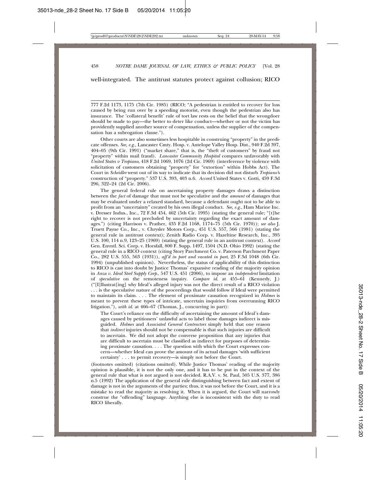well-integrated. The antitrust statutes protect against collusion; RICO

777 F.2d 1173, 1175 (7th Cir. 1985) (RICO; "A pedestrian is entitled to recover for loss caused by being run over by a speeding motorist, even though the pedestrian also has insurance. The 'collateral benefit' rule of tort law rests on the belief that the wrongdoer should be made to pay—the better to deter like conduct—whether or not the victim has providently supplied another source of compensation, unless the supplier of the compensation has a subrogation clause.").

Other courts are also sometimes less hospitable in construing "property" in the predicate offenses. *See, e.g.,* Lancaster Cmty. Hosp. v. Antelope Valley Hosp. Dist., 940 F.2d 397, 404–05 (9th Cir. 1991) ("market share," that is, the "theft of customers" by fraud not "property" within mail fraud). *Lancaster Community Hospital* compares unfavorably with *United States v Tropiano*, 418 F.2d 1069, 1076 (2d Cir. 1969) (interference by violence with solicitation of customers obtaining "property" for "extortion" within Hobbs Act). The Court in *Scheidler* went out of its way to indicate that its decision did not disturb *Tropiano'*s construction of "property." 537 U.S. 393, 403 n.6. *Accord* United States v. Gotti, 459 F.3d 296, 322–24 (2d Cir. 2006).

The general federal rule on ascertaining property damages draws a distinction between the *fact* of damage that must not be speculative and the *amount* of damages that may be evaluated under a relaxed standard, because a defendant ought not to be able to profit from an "uncertainty" created by his own illegal conduct. *See, e.g.*, Ham Marine Inc. v. Dresser Indus., Inc., 72 F.3d 454, 462 (5th Cir. 1995) (stating the general rule; "[t]he right to recover is not precluded by uncertainty regarding the exact amount of damages.") (citing Harrison v. Prather, 435 F.2d 1168, 1174–75 (5th Cir. 1970)); *see also* J. Truett Payne Co., Inc., v. Chrysler Motors Corp., 451 U.S. 557, 566 (1981) (stating the general rule in antitrust context); Zenith Radio Corp. v. Hazeltine Research, Inc., 395 U.S. 100, 114 n.9, 123–25 (1969) (stating the general rule in an antitrust context). *Accord* Gen. Envntl. Sci. Corp. v. Horsfall, 800 F. Supp. 1497, 1504 (N.D. Ohio 1992) (stating the general rule in a RICO context (citing Story Parchment Co. v. Paterson Parchment Paper Co., 282 U.S. 555, 563 (1931)), *aff'd in part and vacated in part*, 25 F.3d 1048 (6th Cir. 1994) (unpublished opinion). Nevertheless, the status of applicability of this distinction to RICO is cast into doubt by Justice Thomas' expansive reading of the majority opinion in *Anza v. Ideal Steel Supply Corp*., 547 U.S. 451 (2006), to impose an *independent* limitation of *speculative* on the remoteness inquiry. *Compare id*. at 455–61 (Kennedy, J.) ("[I]llustrat[ing] why Ideal's alleged injury was not the direct result of a RICO violation . . . is the speculative nature of the proceedings that would follow if Ideal were permitted to maintain its claim. . . . The element of proximate causation recognized in *Holmes* is meant to prevent these types of intricate, uncertain inquiries from overrunning RICO litigation."), *with id*. at 466–67 (Thomas, J., concurring in part):

The Court's reliance on the difficulty of ascertaining the amount of Ideal's damages caused by petitioners' unlawful acts to label those damages indirect is misguided. *Holmes* and *Associated General Contractors* simply held that one reason that *indirect* injuries should not be compensable is that such injuries are difficult to ascertain. We did not adopt the converse proposition that any injuries that are difficult to ascertain must be classified as indirect for purposes of determining proximate causation. . . . The question with which the Court expresses concern—whether Ideal can prove the amount of its actual damages 'with sufficient certainty' . . . to permit recovery—is simply not before the Court.

(footnotes omitted) (citations omitted). While Justice Thomas' reading of the majority opinion is plausible, it is not the only one, and it has to be put in the context of the general rule that what is not argued is not decided. R.A.V. v. St. Paul, 505 U.S. 377, 386 n.5 (1992) The application of the general rule distinguishing between fact and extent of damage is not in the arguments of the parties; thus, it was not before the Court, and it is a mistake to read the majority as resolving it. When it is argued, the Court will narrowly construe the "offending" language. Anything else is inconsistent with the duty to read RICO liberally.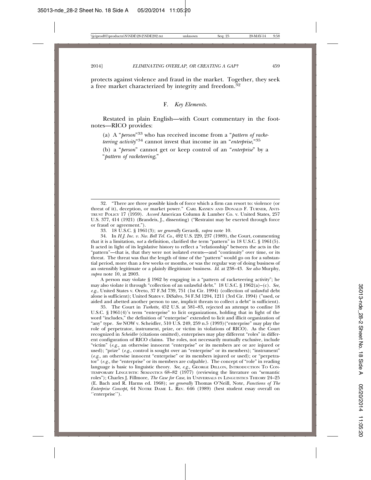protects against violence and fraud in the market. Together, they seek a free market characterized by integrity and freedom.<sup>32</sup>

#### F. *Key Elements.*

Restated in plain English—with Court commentary in the footnotes—RICO provides:

(a) A "*person*"33 who has received income from a "*pattern of racketeering activity*"34 cannot invest that income in an "*enterprise*,"35

(b) a "*person*" cannot get or keep control of an "*enterprise*" by a "*pattern of racketeering*,"

33. 18 U.S.C. § 1961(3); *see generally* Gerardi, *supra* note 10.

34. In *H.J. Inc. v. Nw. Bell Tel. Co.*, 492 U.S. 229, 237 (1989), the Court, commenting that it is a limitation, *not* a definition, clarified the term "pattern" in 18 U.S.C. § 1961(5). It acted in light of its legislative history to reflect a "relationship" between the acts in the "pattern"—that is, that they were not isolated events—and "continuity" over time, or its threat. The threat was that the length of time of the "pattern" would go on for a substantial period, more than a few weeks or months, or was the regular way of doing business of an ostensibly legitimate or a plainly illegitimate business. *Id*. at 238–43. *See also* Murphy, *supra* note 10, at 2003.

A person may violate § 1962 by engaging in a "pattern of racketeering activity"; he may also violate it through "collection of an unlawful debt." 18 U.S.C. § 1962(a)–(c). *See, e.g*., United States v. Oreto, 37 F.3d 739, 751 (1st Cir. 1994) (collection of unlawful debt alone is sufficient); United States v. DiSalvo, 34 F.3d 1204, 1211 (3rd Cir. 1994) ("used, or aided and abetted another person to use, implicit threats to collect a debt" is sufficient).

35. The Court in *Turkette,* 452 U.S. at 581–83, rejected an attempt to confine 18 U.S.C. § 1961(4)'s term "enterprise" to licit organizations, holding that in light of the word "includes," the definition of "enterprise" extended to licit and illicit organization of "any" type. *See* NOW v. Scheidler, 510 U.S. 249, 259 n.5 (1993)("enterprise" may play the role of perpetrator, instrument, prize, or victim in violations of RICO). As the Court recognized in *Scheidler* (citations omitted), enterprises may play different "roles" in different configuration of RICO claims. The roles, not necessarily mutually exclusive, include "victim" (*e.g.,* an otherwise innocent "enterprise" or its members are or are injured or used); "prize" (*e.g.*, control is sought over an "enterprise" or its members); "instrument" (*e.g.,* an otherwise innocent "enterprise" or its members injured or used); or "perpetrator" (*e.g.,* the "enterprise" or its members are culpable). The concept of "role" in reading language is basic to linguistic theory. *See, e.g.,* GEORGE DILLON, INTRODUCTION TO CON-TEMPORARY LINGUISTIC SEMANTICS 68–82 (1977) (reviewing the literature on "semantic roles"); Charles J. Fillmore, *The Case for Case*, in UNIVERSALS IN LINGUISTICS THEORY 24–25 (E. Bach and R. Harms ed. 1968); *see generally* Thomas O'Neill, Note, *Functions of The Enterprise Concept,* 64 NOTRE DAME L. REV. 646 (1989) (best student essay overall on ''enterprise'').

<sup>32. &</sup>quot;There are three possible kinds of force which a firm can resort to: violence (or threat of it), deception, or market power." CARL KAYSEN AND DONALD F. TURNER, ANTI-TRUST POLICY 17 (1959). *Accord* American Column & Lumber Co. v. United States, 257 U.S. 377, 414 (1921) (Brandeis, J., dissenting) ("Restraint may be exerted through force or fraud or agreement.").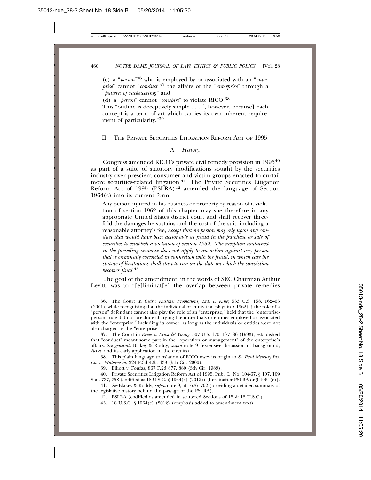(c) a "*person*"36 who is employed by or associated with an "*enterprise*" cannot "*conduct*"37 the affairs of the "*enterprise*" through a "*pattern of racketeering*," and

(d) a "*person*" cannot "*conspire*" to violate RICO.38

This "outline is deceptively simple . . . [, however, because] each concept is a term of art which carries its own inherent requirement of particularity."<sup>39</sup>

#### II. THE PRIVATE SECURITIES LITIGATION REFORM ACT OF 1995.

#### A. *History.*

Congress amended RICO's private civil remedy provision in 199540 as part of a suite of statutory modifications sought by the securities industry over prescient consumer and victim groups enacted to curtail more securities-related litigation.<sup>41</sup> The Private Securities Litigation Reform Act of 1995 (PSLRA) $42$  amended the language of Section 1964(c) into its current form:

Any person injured in his business or property by reason of a violation of section 1962 of this chapter may sue therefore in any appropriate United States district court and shall recover threefold the damages he sustains and the cost of the suit, including a reasonable attorney's fee, *except that no person may rely upon any conduct that would have been actionable as fraud in the purchase or sale of securities to establish a violation of section 1962. The exception contained in the preceding sentence does not apply to an action against any person that is criminally convicted in connection with the fraud, in which case the statute of limitations shall start to run on the date on which the conviction becomes final.*<sup>43</sup>

The goal of the amendment, in the words of SEC Chairman Arthur Levitt, was to "[e]liminat[e] the overlap between private remedies

37. The Court in *Reves v. Ernst & Young*, 507 U.S. 170, 177–86 (1993), established that "conduct" meant some part in the "operation or management" of the enterprise's affairs. *See generally* Blakey & Roddy, *supra* note 9 (extensive discussion of background, *Reves*, and its early application in the circuits).

38. This plain language translation of RICO owes its origin to *St. Paul Mercury Ins. Co. v. Williamson*, 224 F.3d 425, 439 (5th Cir. 2000).

39. Elliott v. Foufas, 867 F.2d 877, 880 (5th Cir. 1989).

40. Private Securities Litigation Reform Act of 1995, Pub. L. No. 104-67, § 107, 109 Stat. 737, 758 (codified as 18 U.S.C. § 1964(c) (2012)) [hereinafter PSLRA or § 1964(c)].

41. *See* Blakey & Roddy, *supra* note 9, at 1676–702 (providing a detailed summary of the legislative history behind the passage of the PSLRA).

42. PSLRA (codified as amended in scattered Sections of 15 & 18 U.S.C.).

43. 18 U.S.C. § 1964(c) (2012) (emphasis added to amendment text).

<sup>36.</sup> The Court in *Cedric Kushner Promotions, Ltd. v. King*, 533 U.S. 158, 162–63 (2001), while recognizing that the individual or entity that plays in § 1962(c) the role of a "person" defendant cannot also play the role of an "enterprise," held that the "enterpriseperson" rule did not preclude charging the individuals or entities employed or associated with the "enterprise," including its owner, as long as the individuals or entities were not also charged as the "enterprise."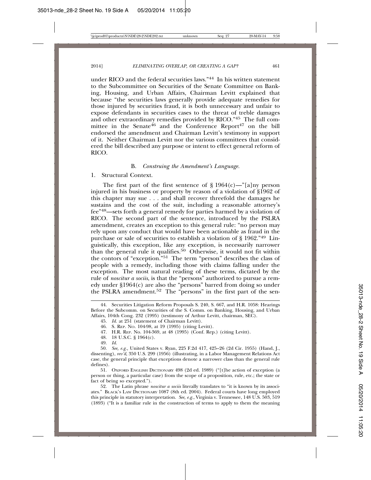under RICO and the federal securities laws."44 In his written statement to the Subcommittee on Securities of the Senate Committee on Banking, Housing, and Urban Affairs, Chairman Levitt explained that because "the securities laws generally provide adequate remedies for those injured by securities fraud, it is both unnecessary and unfair to expose defendants in securities cases to the threat of treble damages and other extraordinary remedies provided by RICO."45 The full committee in the Senate<sup>46</sup> and the Conference Report<sup>47</sup> on the bill endorsed the amendment and Chairman Levitt's testimony in support of it. Neither Chairman Levitt nor the various committees that considered the bill described any purpose or intent to effect general reform of RICO.

#### B. *Construing the Amendment's Language.*

1. Structural Context.

The first part of the first sentence of  $\S 1964(c)$ —"[a]ny person injured in his business or property by reason of a violation of §1962 of this chapter may sue . . . and shall recover threefold the damages he sustains and the cost of the suit, including a reasonable attorney's fee"48—sets forth a general remedy for parties harmed by a violation of RICO. The second part of the sentence, introduced by the PSLRA amendment, creates an exception to this general rule: "no person may rely upon any conduct that would have been actionable as fraud in the purchase or sale of securities to establish a violation of § 1962."49 Linguistically, this exception, like any exception, is necessarily narrower than the general rule it qualifies.50 Otherwise, it would not fit within the contors of "exception."51 The term "person" describes the class of people with a remedy, including those with claims falling under the exception. The most natural reading of these terms, dictated by the rule of *noscitur a sociis*, is that the "persons" authorized to pursue a remedy under §1964(c) are also the "persons" barred from doing so under the PSLRA amendment.<sup>52</sup> The "persons" in the first part of the sen-

- 47. H.R. REP. No. 104-369, at 48 (1995) (Conf. Rep.) (citing Levitt).
- 48. 18 U.S.C. § 1964(c).
- 49. *Id.*

50. *See, e.g.,* United States v. Ryan, 225 F.2d 417, 425–26 (2d Cir. 1955) (Hand, J., dissenting), *rev'd*, 350 U.S. 299 (1956) (illustrating, in a Labor Management Relations Act case, the general principle that exceptions denote a narrower class than the general rule defines).

51. OXFORD ENGLISH DICTIONARY 498 (2d ed. 1989) ("[t]he action of exception (a person or thing, a particular case) from the scope of a proposition, rule, etc.; the state or fact of being so excepted.").

52. The Latin phrase *noscitur a sociis* literally translates to "it is known by its associates." BLACK'S LAW DICTIONARY 1087 (8th ed. 2004). Federal courts have long employed this principle in statutory interpretation. *See, e.g.*, Virginia v. Tennessee, 148 U.S. 503, 519 (1893) ("It is a familiar rule in the construction of terms to apply to them the meaning

<sup>44.</sup> Securities Litigation Reform Proposals S. 240, S. 667, and H.R. 1058: Hearings Before the Subcomm. on Securities of the S. Comm. on Banking, Housing, and Urban Affairs, 104th Cong. 232 (1995) (testimony of Arthur Levitt, chairman, SEC).

<sup>45.</sup> *Id.* at 251 (statement of Chairman Levitt).

<sup>46.</sup> S. REP. NO. 104-98, at 19 (1995) (citing Levitt).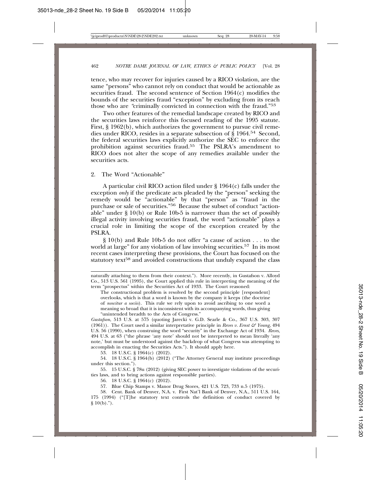tence, who may recover for injuries caused by a RICO violation, are the same "persons" who cannot rely on conduct that would be actionable as securities fraud. The second sentence of Section 1964(c) modifies the bounds of the securities fraud "exception" by excluding from its reach those who are *"*criminally convicted in connection with the fraud."53

Two other features of the remedial landscape created by RICO and the securities laws reinforce this focused reading of the 1995 statute. First, § 1962(b), which authorizes the government to pursue civil remedies under RICO, resides in a separate subsection of § 1964.54 Second, the federal securities laws explicitly authorize the SEC to enforce the prohibition against securities fraud.<sup>55</sup> The PSLRA's amendment to RICO does not alter the scope of any remedies available under the securities acts.

2. The Word "Actionable"

A particular civil RICO action filed under § 1964(c) falls under the exception *only* if the predicate acts pleaded by the "person" seeking the remedy would be "actionable" by that "person" as "fraud in the purchase or sale of securities."56 Because the subset of conduct "actionable" under § 10(b) or Rule 10b-5 is narrower than the set of possibly illegal activity involving securities fraud, the word "actionable" plays a crucial role in limiting the scope of the exception created by the PSLRA.

§ 10(b) and Rule 10b-5 do not offer "a cause of action . . . to the world at large" for any violation of law involving securities.<sup>57</sup> In its most recent cases interpreting these provisions, the Court has focused on the statutory text<sup>58</sup> and avoided constructions that unduly expand the class

The constructional problem is resolved by the second principle [respondent] overlooks, which is that a word is known by the company it keeps (the doctrine of *noscitur a sociis*). This rule we rely upon to avoid ascribing to one word a meaning so broad that it is inconsistent with its accompanying words, thus giving "unintended breadth to the Acts of Congress."

*Gustafson*, 513 U.S. at 575 (quoting Jarecki v. G.D. Searle & Co., 367 U.S. 303, 307 (1961)). The Court used a similar interpretative principle in *Reves v. Ernst & Young*, 494 U.S. 56 (1990), when construing the word "security" in the Exchange Act of 1934. *Reves*, 494 U.S. at 63 ("the phrase 'any note' should not be interpreted to mean literally 'any note,' but must be understood against the backdrop of what Congress was attempting to accomplish in enacting the Securities Acts."). It should apply here.

53. 18 U.S.C. § 1964(c) (2012).

54. 18 U.S.C. § 1964(b) (2012) ("The Attorney General may institute proceedings under this section.").

55. 15 U.S.C. § 78u (2012) (giving SEC power to investigate violations of the securities laws, and to bring actions against responsible parties).

56. 18 U.S.C. § 1964(c) (2012).

57. Blue Chip Stamps v. Manor Drug Stores, 421 U.S. 723, 733 n.5 (1975).

58. Cent. Bank of Denver, N.A. v. First Nat'l Bank of Denver, N.A., 511 U.S. 164, 175 (1994) ("[T]he statutory text controls the definition of conduct covered by  $§ 10(b).$ ").

naturally attaching to them from their context."). More recently, in Gustafson v. Alloyd Co., 513 U.S. 561 (1995), the Court applied this rule in interpreting the meaning of the term "prospectus" within the Securities Act of 1933. The Court reasoned: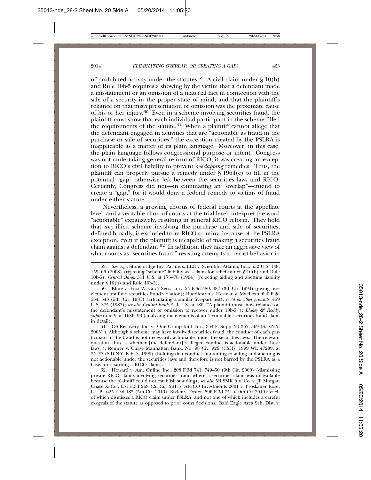of prohibited activity under the statutes.<sup>59</sup> A civil claim under  $\S$  10(b) and Rule 10b-5 requires a showing by the victim that a defendant made a misstatement or an omission of a material fact in connection with the sale of a security in the proper state of mind, and that the plaintiff's reliance on that misrepresentation or omission was the proximate cause of his or her injury.<sup>60</sup> Even in a scheme involving securities fraud, the plaintiff must show that each individual participant in the scheme filled the requirements of the statute.<sup>61</sup> When a plaintiff cannot allege that the defendant engaged in activities that are "actionable as fraud in the purchase or sale of securities," the exception created by the PSLRA is inapplicable as a matter of its plain language. Moreover, in this case, the plain language follows congressional purpose or intent. Congress was not undertaking general reform of RICO; it was creating an exception to RICO's civil liability to prevent *overlapping* remedies. Thus, the plaintiff can properly pursue a remedy under  $\S$  1964(c) to fill in the potential "gap" otherwise left between the securities laws and RICO. Certainly, Congress did not—in eliminating an "overlap"—intend to create a "gap," for it would deny a federal remedy to victims of fraud under either statute.

Nevertheless, a growing chorus of federal courts at the appellate level, and a veritable choir of courts at the trial level, interpret the word "actionable" expansively, resulting in general RICO reform. They hold that *any* illicit scheme involving the purchase and sale of securities, defined broadly, is excluded from RICO scrutiny, because of the PSLRA exception, even if the plaintiff is incapable of making a securities fraud claim against a defendant.62 In addition, they take an aggressive view of what counts as "securities fraud," resisting attempts to recast behavior in

61. OS Recovery, Inc. v. One Group Int'l, Inc., 354 F. Supp. 2d 357, 369 (S.D.N.Y. 2005) ("Although a scheme may have involved securities fraud, the conduct of each participant in the fraud is not necessarily actionable under the securities laws. The relevant question, thus, is whether [the defendant]'s alleged conduct is actionable under those laws."); Renner v. Chase Manhattan Bank, No. 98 Civ. 926 (CSH), 1999 WL 47239, at \*5–\*7 (S.D.N.Y. Feb. 3, 1999) (holding that conduct amounting to aiding and abetting is not actionable under the securities laws and therefore is not barred by the PSLRA as a basis for asserting a RICO claim).

62. Howard v. Am. Online Inc., 208 F.3d 741, 749–50 (9th Cir. 2000) (dismissing private RICO claims involving securities fraud where a securities claim was unavailable because the plaintiff could not establish standing); *see also* MLSMK Inv. Co. v. JP Morgan Chase & Co., 651 F.3d 268 (2d Cir. 2011); AFFCO Investments 2001 v. Proskauer Rose, L.L.P., 625 F.3d 185 (5th Cir. 2010); Bixler v. Foster, 596 F.3d 751 (10th Cir 2010); each of which dismisses a RICO claim under PSLRA, and not one of which includes a careful exegesis of the statute as opposed to prior court decisions. Bald Eagle Area Sch. Dist. v.

<sup>59.</sup> *See, e.g.*, Stonebridge Inv. Partners, LLC v. Scientific-Atlanta, Inc., 552 U.S. 148, 159–66 (2008) (rejecting "scheme" liability as a claim for relief under § 10(b) and Rule 10b-5); *Central Bank*, 511 U.S. at 175–78 (1994) (rejecting aiding and abetting liability under § 10(b) and Rule 10b-5).

<sup>60.</sup> Kline v. First W. Gov't Secs., Inc., 24 F.3d 480, 487 (3d Cir. 1994) (giving fiveelement test for a securities fraud violation); Huddleston v. Herman & MacLean, 640 F.2d 534, 543 (5th Cir. 1981) (articulating a similar five-part test), *rev'd on other grounds*, 459 U.S. 375 (1983); *see also Central Bank*, 511 U.S. at 180 ("A plaintiff must show reliance on the defendant's misstatement or omission to recover under 10b-5."); *Blakey & Roddy*, *supra* note 9, at 1686–93 (analyzing the elements of an "actionable" securities fraud claim in detail).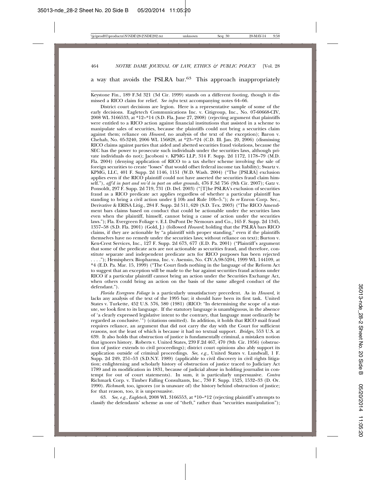#### a way that avoids the PSLRA bar.<sup>63</sup> This approach inappropriately

Keystone Fin., 189 F.3d 321 (3d Cir. 1999) stands on a different footing, though it dismissed a RICO claim for relief. *See infra* text accompanying notes 64–66.

District court decisions are legion. Here is a representative sample of some of the early decisions. Eagletech Communications Inc. v. Citigroup, Inc., No. 07-60668-CIV, 2008 WL 3166533, at \*12–\*14 (S.D. Fla. June 27, 2008) (rejecting argument that plaintiffs were entitled to a RICO action against financial institutions that assisted in a scheme to manipulate sales of securities, because the plaintiffs could not bring a securities claim against them; reliance on *Howard*, no analysis of the text of the exception); Baron v. Chehab, No. 05-3240, 2006 WL 156828, at \*23–\*24 (C.D. Ill. Jan. 20, 2006) (dismissing RICO claims against parties that aided and abetted securities fraud violations, because the SEC has the power to prosecute such individuals under the securities laws, although private individuals do not); Jacoboni v. KPMG LLP, 314 F. Supp. 2d 1172, 1178–79 (M.D. Fla. 2004) (denying application of RICO to a tax shelter scheme involving the sale of foreign securities to create "losses" that would offset federal income tax liability); Swartz v. KPMG, LLC, 401 F. Supp. 2d 1146, 1151 (W.D. Wash. 2004) ("The [PSLRA] exclusion applies even if the RICO plaintiff could not have asserted the securities fraud claim himself."), *aff'd in part and rev'd in part on other grounds*, 476 F.3d 756 (9th Cir. 2007); Gatz v. Ponsoldt, 297 F. Supp. 2d 719, 731 (D. Del. 2003) ("[T]he PSLRA's exclusion of securities fraud as a RICO predicate act applies regardless of whether a particular plaintiff has standing to bring a civil action under § 10b and Rule 10b–5."); *In re* Enron Corp. Sec., Derivative & ERISA Litig., 284 F. Supp. 2d 511, 620 (S.D. Tex. 2003) ("The RICO Amendment bars claims based on conduct that could be actionable under the securities laws even when the plaintiff, himself, cannot bring a cause of action under the securities laws."); Fla. Evergreen Foliage v. E.I. DuPont De Nemours and Co., 165 F. Supp. 2d 1345, 1357–58 (S.D. Fla. 2001) (Gold, J.) (followed *Howard*; holding that the PSLRA bars RICO claims, if they are actionable by "a plaintiff with proper standing," even if the plaintiffs themselves have no remedy under the securities laws; without reliance on text); Burton v. Ken-Crest Services, Inc., 127 F. Supp. 2d 673, 677 (E.D. Pa. 2001) ("Plaintiff's argument that some of the predicate acts are not actionable as securities fraud, and therefore, constitute separate and independent predicate acts for RICO purposes has been rejected . . . ."); Hemispherx Biopharma, Inc. v. Asensio, No. CIV.A.98-5204, 1999 WL 144109, at \*4 (E.D. Pa. Mar. 15, 1999) ("The Court finds nothing in the language of the Reform Act to suggest that an exception will be made to the bar against securities fraud actions under RICO if a particular plaintiff cannot bring an action under the Securities Exchange Act, when others could bring an action on the basis of the same alleged conduct of the defendant.").

*Florida Evergreen Foliage* is a particularly unsatisfactory precedent. As in *Howard,* it lacks any analysis of the text of the 1995 bar; it should have been its first task. United States v. Turkette, 452 U.S. 576, 580 (1981) (RICO: "In determining the scope of a statute, we look first to its language. If the statutory language is unambiguous, in the absence of 'a clearly expressed legislative intent to the contrary, that language must ordinarily be regarded as conclusive.'") (citations omitted). In addition, it holds that RICO mail fraud requires reliance, an argument that did not carry the day with the Court for sufficient reasons, not the least of which is because it had no textual support. *Bridges*, 553 U.S. at 639. It also holds that obstruction of justice is fundamentally criminal, a mistaken notion that ignores history. Roberts v. United States, 239 F.2d 467, 470 (9th Cir. 1956) (obstruction of justice extends to civil proceedings); district court opinions also ably support its application outside of criminal proceedings. *See, e.g.,* United States v. Lundwall, 1 F. Supp. 2d 249, 251–53 (S.D.N.Y. 1989) (applicable to civil discovery in civil rights litigation; enlightening and scholarly history of obstruction of justice traced to Judiciary Act 1789 and its modification in 1831, because of judicial abuse in holding journalist in contempt for out of court statements). In sum, it is particularly unpersuasive. *Contra* Richmark Corp. v. Timber Falling Consultants, Inc., 730 F. Supp. 1525, 1532–33 (D. Or. 1990). *Richmark*, too, ignores (or is unaware of) the history behind obstruction of justice; for that reason, too, it is unpersuasive.

63. *See, e.g., Eagletech*, 2008 WL 3166553, at \*10–\*12 (rejecting plaintiff's attempts to classify the defendants' scheme as one of "theft," rather than "securities manipulation");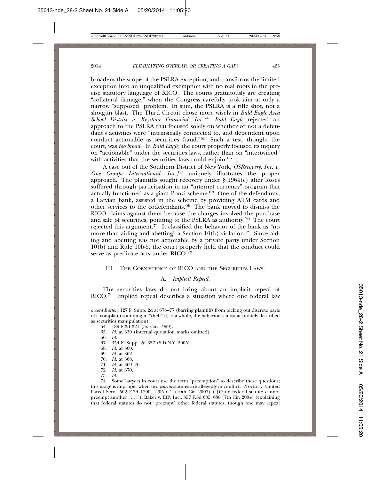broadens the scope of the PSLRA exception, and transforms the limited exception into an unqualified exemption with no real roots in the precise statutory language of RICO. The courts gratuitously are creating "collateral damage," when the Congress carefully took aim at only a narrow "supposed" problem. In sum, the PSLRA is a rifle shot, not a shotgun blast. The Third Circuit chose more wisely in *Bald Eagle Area School District v. Keystone Financial, Inc.*<sup>64</sup> *Bald Eagle* rejected an approach to the PSLRA that focused solely on whether or not a defendant's activities were "intrinsically connected to, and dependent upon conduct actionable as securities fraud."<sup>65</sup> Such a test, thought the court, was *too broad.* In *Bald Eagle,* the court properly focused its inquiry on "actionable" under the securities laws, rather than on "intertwined" with activities that the securities laws could enjoin.<sup>66</sup>

A case out of the Southern District of New York, *OSRecovery, Inc. v. One Groupe International, Inc.*, 67 uniquely illustrates the proper approach. The plaintiffs sought recovery under  $\S 1964(c)$  after losses suffered through participation in an "internet currency" program that actually functioned as a giant Ponzi scheme.68 One of the defendants, a Latvian bank, assisted in the scheme by providing ATM cards and other services to the codefendants.69 The bank moved to dismiss the RICO claims against them because the charges involved the purchase and sale of securities, pointing to the PSLRA as authority.70 The court rejected this argument.71 It classified the behavior of the bank as "no more than aiding and abetting" a Section  $10(b)$  violation.<sup>72</sup> Since aiding and abetting was not actionable by a private party under Section 10(b) and Rule 10b-5, the court properly held that the conduct could serve as predicate acts under RICO.<sup>73</sup>

#### III. THE COEXISTENCE OF RICO AND THE SECURITIES LAWS.

#### A. *Implicit Repeal.*

The securities laws do not bring about an implicit repeal of RICO.<sup>74</sup> Implied repeal describes a situation where one federal law

65. *Id.* at 330 (internal quotation marks omitted).

- 71. *Id.* at 369–70.
- 72. *Id.* at 370.
- 73. *Id.*

74. Some lawyers in court use the term "preemption" to describe these questions; this usage is improper when two *federal* statutes are allegedly in conflict. Proctor v. United Parcel Serv., 502 F.3d 1200, 1205 n.2 (10th Cir. 2007) ("[O]ne federal statute cannot preempt another . . . ."); Baker v. IBP, Inc., 357 F.3d 685, 688 (7th Cir. 2004) (explaining that federal statutes do not "preempt" other federal statutes, though one may repeal

*accord Burton*, 127 F. Supp. 2d at 676–77 (barring plaintiffs from picking out discrete parts of a complaint sounding in "theft" if, as a whole, the behavior is most accurately described as securities manipulation).

<sup>64. 189</sup> F.3d 321 (3d Cir. 1999).

<sup>66.</sup> *Id.*

<sup>67. 354</sup> F. Supp. 2d 357 (S.D.N.Y. 2005).

<sup>68.</sup> *Id.* at 360.

<sup>69.</sup> *Id.* at 362.

<sup>70.</sup> *Id.* at 368.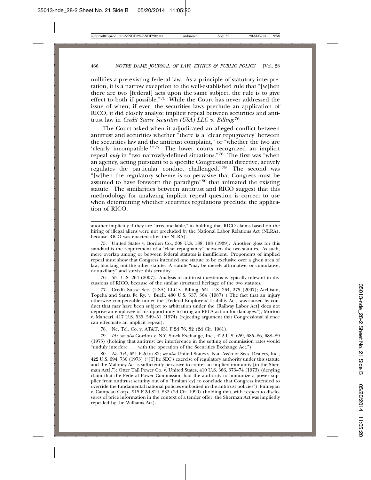nullifies a pre-existing federal law. As a principle of statutory interpretation, it is a narrow exception to the well-established rule that "[w]hen there are two [federal] acts upon the same subject, the rule is to give effect to both if possible."75 While the Court has never addressed the issue of when, if ever, the securities laws preclude an application of RICO, it did closely analyze implicit repeal between securities and antitrust law in *Credit Suisse Securities (USA) LLC v. Billing*. 76

The Court asked when it adjudicated an alleged conflict between antitrust and securities whether "there is a 'clear repugnancy' between the securities law and the antitrust complaint," or "whether the two are 'clearly incompatible.'"77 The lower courts recognized an implicit repeal *only* in "two narrowly-defined situations."78 The first was "when an agency, acting pursuant to a specific Congressional directive, actively regulates the particular conduct challenged."79 The second was "[w]hen the regulatory scheme is so pervasive that Congress must be assumed to have forsworn the paradigm"80 that animated the existing statute. The similarities between antitrust and RICO suggest that this methodology for analyzing implicit repeal question is correct to use when determining whether securities regulations preclude the application of RICO.

another implicitly if they are "irreconcilable," in holding that RICO claims based on the hiring of illegal aliens were not precluded by the National Labor Relations Act (NLRA), because RICO was enacted after the NLRA).

75. United States v. Borden Co., 308 U.S. 188, 198 (1939). Another gloss for this standard is the requirement of a "clear repugnancy" between the two statutes. As such, mere overlap among or between federal statutes is insufficient. Proponents of implied repeal must show that Congress intended one statute to be exclusive over a given area of law, blocking out the other statute. A statute "may be merely affirmative, or cumulative, or auxiliary" and survive this scrutiny.

76. 551 U.S. 264 (2007). Analysis of antitrust questions is typically relevant in discussions of RICO, because of the similar structural heritage of the two statutes.

77. Credit Suisse Sec. (USA) LLC v. Billing, 551 U.S. 264, 275 (2007); Atchison, Topeka and Santa Fe Ry. v. Buell, 480 U.S. 557, 564 (1987) ("The fact that an injury otherwise compensable under the [Federal Employers' Liability Act] was caused by conduct that may have been subject to arbitration under the [Railway Labor Act] does not deprive an employee of his opportunity to bring an FELA action for damages."); Morton v. Mancari, 417 U.S. 535, 549–51 (1974) (rejecting argument that Congressional silence can effectuate an implicit repeal).

78. Ne. Tel. Co. v. AT&T, 651 F.2d 76, 82 (2d Cir. 1981).

79. *Id.*; *see also* Gordon v. N.Y. Stock Exchange, Inc., 422 U.S. 659, 685–86, 688–89 (1975) (holding that antitrust law interference in the setting of commission rates would "unduly interfere . . . with the operation of the Securities Exchange Act.").

80. *Ne. Tel.*, 651 F.2d at 82; *see also* United States v. Nat. Ass'n of Secs. Dealers, Inc., 422 U.S. 694, 730 (1975) ("[T]he SEC's exercise of regulatory authority under this statute and the Maloney Act is sufficiently pervasive to confer an implied immunity [to the Sherman Act]."); Otter Tail Power Co. v. United States, 410 U.S. 366, 373–74 (1973) (denying claim that the Federal Power Commission had the authority to immunize a power supplier from antitrust scrutiny out of a "hesitan[cy] to conclude that Congress intended to override the fundamental national policies embodied in the antitrust policies"); Finnegan v. Campeau Corp., 915 F.2d 824, 832 (2d Cir. 1990) (holding that, with respect to disclosures of price information in the context of a tender offer, the Sherman Act was impliedly repealed by the Williams Act).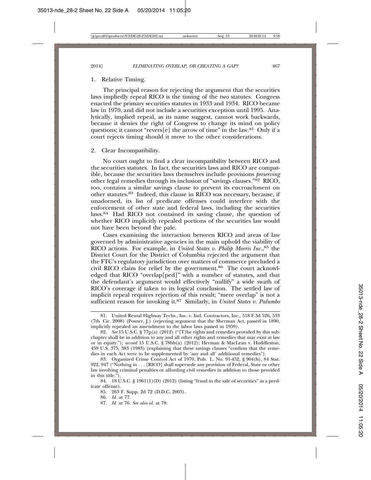#### 1. Relative Timing.

The principal reason for rejecting the argument that the securities laws impliedly repeal RICO is the timing of the two statutes. Congress enacted the primary securities statutes in 1933 and 1934. RICO became law in 1970, and did not include a securities exception until 1995. Analytically, implied repeal, as its name suggest, cannot work backwards, because it denies the right of Congress to change its mind on policy questions; it cannot "revers[e] the arrow of time" in the law.<sup>81</sup> Only if a court rejects timing should it move to the other considerations.

#### 2. Clear Incompatibility.

No court ought to find a clear incompatibility between RICO and the securities statutes. In fact, the securities laws and RICO are compatible, because the securities laws themselves include provisions *preserving* other legal remedies through its inclusion of "savings clauses." $\frac{82}{2}$  RICO, too, contains a similar savings clause to prevent its encroachment on other statutes.83 Indeed, this clause in RICO was necessary, because, if unadorned, its list of predicate offenses could interfere with the enforcement of other state and federal laws, including the securities laws.84 Had RICO not contained its saving clause, the question of whether RICO implicitly repealed portions of the securities law would not have been beyond the pale.

Cases examining the interaction between RICO and areas of law governed by administrative agencies in the main uphold the viability of RICO actions. For example, in *United States v. Philip Morris Inc.*, 85 the District Court for the District of Columbia rejected the argument that the FTC's regulatory jurisdiction over matters of commerce precluded a civil RICO claim for relief by the government.86 The court acknowledged that RICO "overlap[ped]" with a number of statutes, and that the defendant's argument would effectively "nullify" a wide swath of RICO's coverage if taken to its logical conclusion. The settled law of implicit repeal requires rejection of this result; "mere overlap" is not a sufficient reason for invoking it.87 Similarly, in *United States v. Palumbo*

87. *Id.* at 76*. See also id.* at 78:

<sup>81.</sup> United Rental Highway Techs., Inc. v. Ind, Contractors, Inc., 518 F.3d 526, 533 (7th Cir. 2008) (Posner, J.) (rejecting argument that the Sherman Act, passed in 1890, implicitly repealed an amendment to the labor laws passed in 1959).

<sup>82.</sup> *See* 15 U.S.C. § 77p(a) (2012) ("[T]he rights and remedies provided by this subchapter shall be in addition to any and all other rights and remedies that may exist at law or in equity."); *accord* 15 U.S.C. § 78bb(a) (2012); Herman & MacLean v. Huddleston, 459 U.S. 375, 383 (1983) (explaining that these savings clauses "confirm that the remedies in each Act were to be supplemented by 'any and all' additional remedies").

<sup>83.</sup> Organized Crime Control Act of 1970, Pub. L. No. 91-452, § 904(b), 84 Stat. 922, 947 ("Nothing in . . . [RICO] shall supersede any provision of Federal, State or other law involving criminal penalties or affording civil remedies in addition to those provided in this title.").

<sup>84. 18</sup> U.S.C.  $\S$  1961(1)(D) (2012) (listing "fraud in the sale of securities" as a predicate offense).

<sup>85. 263</sup> F. Supp. 2d 72 (D.D.C. 2003).

<sup>86.</sup> *Id.* at 77.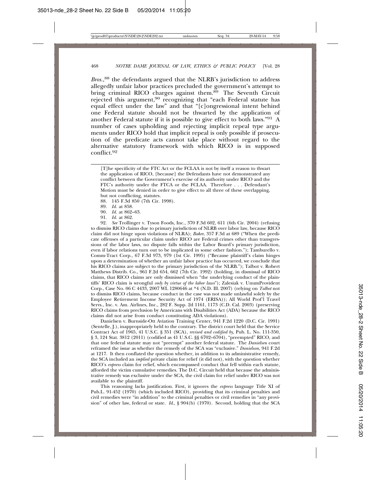*Bros.*, 88 the defendants argued that the NLRB's jurisdiction to address allegedly unfair labor practices precluded the government's attempt to bring criminal RICO charges against them.<sup>89</sup> The Seventh Circuit rejected this argument,<sup>90</sup> recognizing that "each Federal statute has equal effect under the law" and that "[c]ongressional intent behind one Federal statute should not be thwarted by the application of another Federal statute if it is possible to give effect to both laws."91 A number of cases upholding and rejecting implicit repeal type arguments under RICO hold that implicit repeal is only possible if prosecution of the predicate acts cannot take place without regard to the alternative statutory framework with which RICO is in supposed conflict.<sup>92</sup>

88. 145 F.3d 850 (7th Cir. 1998).

89. *Id.* at 858.

- 90. *Id.* at 862–63.
- 91. *Id.* at 862.

92. *See* Trollinger v. Tyson Foods, Inc., 370 F.3d 602, 611 (6th Cir. 2004) (refusing to dismiss RICO claims due to primary jurisdiction of NLRB over labor law, because RICO claim did not hinge upon violations of NLRA); *Baker*, 357 F.3d at 689 ("When the predicate offenses of a particular claim under RICO are Federal crimes other than transgressions of the labor laws, no dispute falls within the Labor Board's primary jurisdiction, even if labor relations turn out to be implicated in some other fashion."); Tamburello v. Comm-Tract Corp., 67 F.3d 973, 979 (1st Cir. 1995) ("Because plaintiff's claim hinges upon a determination of whether an unfair labor practice has occurred, we conclude that his RICO claims are subject to the primary jurisdiction of the NLRB."); Talbot v. Robert Matthews Distrib. Co., 961 F.2d 654, 662 (7th Cir. 1992) (holding, in dismissal of RICO claims, that RICO claims are only dismissed when "the underlying conduct of the plaintiffs' RICO claim is wrongful *only by virtue of the labor laws*"); Zalesiak v. UnumProvident Corp., Case No. 06 C 4433, 2007 WL 1280646 at \*4 (N.D. Ill. 2007) (relying on *Talbot* not to dismiss RICO claims, because conduct in the case was not made unlawful solely by the Employee Retirement Income Security Act of 1974 (ERISA)); All World Prof'l Travel Servs., Inc. v. Am. Airlines, Inc., 282 F. Supp. 2d 1161, 1173 (C.D. Cal. 2003) (preserving RICO claims from preclusion by Americans with Disabilities Act (ADA) because the RICO claims did not arise from conduct constituting ADA violations).

Danielsen v. Burnside-Ott Aviation Training Center, 941 F.2d 1220 (D.C. Cir. 1991) (Sentelle, J.), inappropriately held to the contrary. The district court held that the Service Contract Act of 1965, 41 U.S.C. § 351 (SCA), *revised and codified by,* Pub. L. No. 111-350, § 3, 124 Stat. 3812 (2011) (codified as 41 U.S.C. §§ 6702–6704), "preempted" RICO, and that one federal statute may not "preempt" another federal statute. The *Danielsen* court reframed the issue as whether the remedy of the SCA was "exclusive." *Danielson*, 941 F.2d at 1217. It then conflated the question whether, in addition to its administrative remedy, the SCA included an *implied* private claim for relief (it did not), with the question whether RICO's *express* claim for relief, which encompassed conduct that fell within each statute, afforded the victim cumulative remedies. The D.C. Circuit held that because the administrative remedy was exclusive under the SCA, the civil claim for relief under RICO was not available to the plaintiff.

This reasoning lacks justification. First, it ignores the *express* language Title XI of Pub.L. 91-452 (1970) (which included RICO), providing that its criminal penalties and civil remedies were "in addition" to the criminal penalties or civil remedies in "any provision" of other law, federal or state. *Id*., § 904(b) (1970). Second, holding that the SCA

<sup>[</sup>T]he specificity of the FTC Act or the FCLAA is not by itself a reason to thwart the application of RICO, [because] the Defendants have not demonstrated any conflict between the Government's exercise of its authority under RICO and the FTC's authority under the FTCA or the FCLAA. Therefore . . . Defendant's Motion must be denied in order to give effect to all three of these overlapping, but not conflicting, statutes.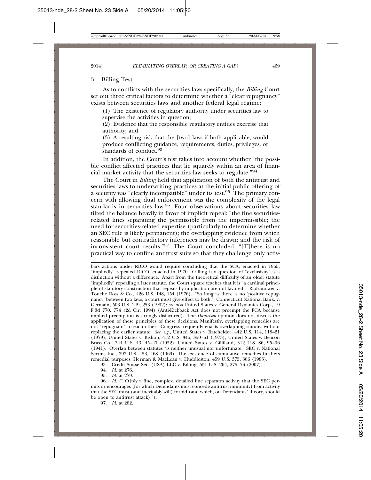#### 3. Billing Test.

As to conflicts with the securities laws specifically, the *Billing* Court set out three critical factors to determine whether a "clear repugnancy" exists between securities laws and another federal legal regime:

(1) The existence of regulatory authority under securities law to supervise the activities in question;

(2) Evidence that the responsible regulatory entities exercise that authority; and

(3) A resulting risk that the [two] laws if both applicable, would produce conflicting guidance, requirements, duties, privileges, or standards of conduct.<sup>93</sup>

In addition, the Court's test takes into account whether "the possible conflict affected practices that lie squarely within an area of financial market activity that the securities law seeks to regulate."94

The Court in *Billing* held that application of both the antitrust and securities laws to underwriting practices at the initial public offering of a security was "clearly incompatible" under its test.95 The primary concern with allowing dual enforcement was the complexity of the legal standards in securities law.<sup>96</sup> Four observations about securities law tilted the balance heavily in favor of implicit repeal: "the fine securitiesrelated lines separating the permissible from the impermissible; the need for securities-related expertise (particularly to determine whether an SEC rule is likely permanent); the overlapping evidence from which reasonable but contradictory inferences may be drawn; and the risk of inconsistent court results." $97$  The Court concluded, "[T]here is no practical way to confine antitrust suits so that they challenge only activ-

93. Credit Suisse Sec. (USA) LLC v. Billing, 551 U.S. 264, 275–76 (2007).

94. *Id.* at 276.

95. *Id.* at 279.

96. *Id.* ("[O]nly a fine, complex, detailed line separates activity that the SEC permits or encourages (for which Defendants must concede antitrust immunity) from activity that the SEC must (and inevitably will) forbid (and which, on Defendants' theory, should be open to antitrust attack).").

97. *Id.* at 282.

bars actions under RICO would require concluding that the SCA, enacted in 1965, "impliedly" repealed RICO, enacted in 1970. Calling it a question of "exclusivity" is a distinction without a difference. Apart from the theoretical difficulty of an older statute "impliedly" repealing a later statute, the Court square teaches that it is "a cardinal principle of statutory construction that repeals by implication are not favored." Radzanower v. Touche Ross & Co.*,* 426 U.S. 148, 154 (1976). "So long as there is no 'positive repugnancy' between two laws, a court must give effect to both." Connecticut National Bank. v. Germain, 503 U.S. 249, 253 (1992); *see also* United States v. General Dynamics Corp., 19 F.3d 770, 774 (2d Cir. 1994) (Anti-Kickback Act does not preempt the FCA because implied preemption is strongly disfavored). The *Danielsen* opinion does not discuss the application of these principles of these decisions. Manifestly, overlapping remedies are not "repugnant" to each other. Congress frequently enacts overlapping statutes without replacing the earlier statute. *See, e.g.,* United States v. Batchelder, 442 U.S. 114, 118–21 (1979); United States v. Bishop, 412 U.S. 346, 350–61 (1973); United States v. Beacon Brass Co., 344 U.S. 43, 45–47 (1952); United States v. Gilliland, 312 U.S. 86, 95–96 (1941). Overlap between statutes "is neither unusual nor unfortunate." SEC v. National Secur., Inc., 393 U.S. 453, 468 (1969). The existence of cumulative remedies furthers remedial purposes. Herman & MacLean v. Huddleston, 459 U.S. 375, 386 (1983).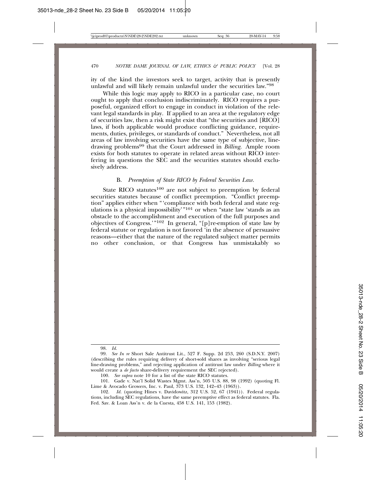ity of the kind the investors seek to target, activity that is presently unlawful and will likely remain unlawful under the securities law."98

While this logic may apply to RICO in a particular case, no court ought to apply that conclusion indiscriminately. RICO requires a purposeful, organized effort to engage in conduct in violation of the relevant legal standards in play. If applied to an area at the regulatory edge of securities law, then a risk might exist that "the securities and [RICO] laws, if both applicable would produce conflicting guidance, requirements, duties, privileges, or standards of conduct." Nevertheless, not all areas of law involving securities have the same type of subjective, linedrawing problems99 that the Court addressed in *Billing*. Ample room exists for both statutes to operate in related areas without RICO interfering in questions the SEC and the securities statutes should exclusively address.

#### B. *Preemption of State RICO by Federal Securities Law.*

State RICO statutes $100$  are not subject to preemption by federal securities statutes because of conflict preemption. "Conflict preemption" applies either when "'compliance with both federal and state regulations is a physical impossibility  $101$  or when "state law 'stands as an obstacle to the accomplishment and execution of the full purposes and objectives of Congress.'"102 In general, "[p]re-emption of state law by federal statute or regulation is not favored 'in the absence of persuasive reasons—either that the nature of the regulated subject matter permits no other conclusion, or that Congress has unmistakably so

98. *Id.*

<sup>99.</sup> *See In re* Short Sale Antitrust Lit., 527 F. Supp. 2d 253, 260 (S.D.N.Y. 2007) (describing the rules requiring delivery of short-sold shares as involving "serious legal line-drawing problems," and rejecting application of antitrust law under *Billing* where it would create a *de facto* share-delivery requirement the SEC rejected).

<sup>100.</sup> *See supra* note 10 for a list of the state RICO statutes.

<sup>101.</sup> Gade v. Nat'l Solid Wastes Mgmt. Ass'n, 505 U.S. 88, 98 (1992) (quoting Fl. Lime & Avocado Growers, Inc. v. Paul, 373 U.S. 132, 142–43 (1963)).

<sup>102.</sup> *Id.* (quoting Hines v. Davidowitz, 312 U.S. 52, 67 (1941)). Federal regulations, including SEC regulations, have the same preemptive effect as federal statutes. Fla. Fed. Sav. & Loan Ass'n v. de la Cuesta, 458 U.S. 141, 153 (1982).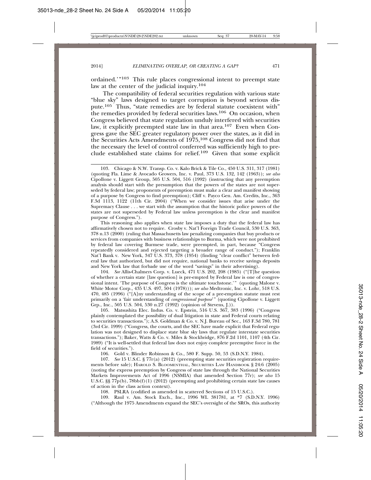ordained.'"103 This rule places congressional intent to preempt state law at the center of the judicial inquiry.<sup>104</sup>

The compatibility of federal securities regulation with various state "blue sky" laws designed to target corruption is beyond serious dispute.105 Thus, "state remedies are by federal statute coexistent with" the remedies provided by federal securities laws.106 On occasion, when Congress believed that state regulation unduly interfered with securities law, it explicitly preempted state law in that area.<sup>107</sup> Even when Congress gave the SEC greater regulatory power over the states, as it did in the Securities Acts Amendments of 1975,108 Congress did not find that the necessary the level of control conferred was sufficiently high to preclude established state claims for relief.<sup>109</sup> Given that some explicit

This reasoning also applies when state law imposes a duty that the federal law has affirmatively chosen not to require. Crosby v. Nat'l Foreign Trade Council, 530 U.S. 363, 378 n.13 (2000) (ruling that Massachusetts law penalizing companies that buy products or services from companies with business relationships to Burma, which were not prohibited by federal law covering Burmese trade, were preempted, in part, because "Congress repeatedly considered and rejected targeting a broader range of conduct."); Franklin Nat'l Bank v. New York, 347 U.S. 373, 378 (1954) (finding "clear conflict" between federal law that authorized, but did not require, national banks to receive savings deposits and New York law that forbade use of the word "savings" in their advertising).

104. *See* Allis-Chalmers Corp. v. Lueck, 471 U.S. 202, 208 (1985) ("[T]he question of whether a certain state [law question] is pre-empted by Federal law is one of congressional intent. 'The purpose of Congress is the ultimate touchstone.'" (quoting Malone v. White Motor Corp*.*, 435 U.S. 497, 504 (1978))); *see also* Medtronic, Inc. v. Lohr, 518 U.S. 470, 485 (1996) ("[A]ny understanding of the scope of a pre-emption statute must rest primarily on a 'fair understanding of *congressional purpose*'" (quoting Cipollone v. Liggett Grp., Inc., 505 U.S. 504, 530 n.27 (1992) (opinion of Stevens, J.)).

105. Matsushita Elec. Indus. Co. v. Epstein, 516 U.S. 367, 383 (1996) ("Congress plainly contemplated the possibility of dual litigation in state and Federal courts relating to securities transactions."); A.S. Goldman & Co. v. N.J. Bureau of Sec., 163 F.3d 780, 781 (3rd Cir. 1999) ("Congress, the courts, and the SEC have made explicit that Federal regulation was not designed to displace state blue sky laws that regulate interstate securities transactions."); Baker, Watts & Co. v. Miles & Stockbridge, 876 F.2d 1101, 1107 (4th Cir. 1989) ("It is well-settled that federal law does not enjoy complete preemptive force in the field of securities.").

106. Gold v. Blinder Robinson & Co., 580 F. Supp. 50, 53 (S.D.N.Y. 1984).

107. *See* 15 U.S.C. § 77r(a) (2012) (preempting state securities registration requirements before sale); HAROLD S. BLOOMENTHAL, SECURITIES LAW HANDBOOK § 24:6 (2005) (noting the express preemption by Congress of state law through the National Securities Markets Improvements Act of 1996 (NSMIA) that amended Section 77r); *see also* 15 U.S.C. §§ 77p(b), 78bb(f)(1) (2012) (preempting and prohibiting certain state law causes of action in the class action context).

108. PSLRA (codified as amended in scattered Sections of 15 U.S.C.).

109. Raul v. Am. Stock Exch., Inc., 1996 WL 381781, at \*7 (S.D.N.Y. 1996) ("Although the 1975 Amendments expand the SEC's oversight of the SROs, this authority

<sup>103.</sup> Chicago & N.W. Transp. Co. v. Kalo Brick & Tile Co., 450 U.S. 311, 317 (1981) (quoting Fla. Lime & Avocado Growers, Inc. v. Paul, 373 U.S. 132, 142 (1963)); *see also* Cipollone v. Liggett Group, 505 U.S. 504, 516 (1992) (instructing that any preemption analysis should start with the presumption that the powers of the states are not superseded by federal law; proponents of preemption must make a clear and manifest showing of a purpose by Congress to find preemption); Cliff v. Payco Gen. Am. Credits, Inc., 363 F.3d 1113, 1122 (11th Cir. 2004) ("When we consider issues that arise under the Supremacy Clause . . . we start with the assumption that the historic police powers of the states are not superseded by Federal law unless preemption is the clear and manifest purpose of Congress.").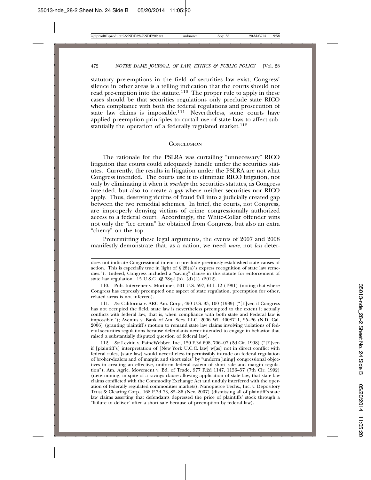statutory pre-emptions in the field of securities law exist, Congress' silence in other areas is a telling indication that the courts should not read pre-emption into the statute.<sup>110</sup> The proper rule to apply in these cases should be that securities regulations only preclude state RICO when compliance with both the federal regulations and prosecution of state law claims is impossible.111 Nevertheless, some courts have applied preemption principles to curtail use of state laws to affect substantially the operation of a federally regulated market.<sup>112</sup>

#### **CONCLUSION**

The rationale for the PSLRA was curtailing "unnecessary" RICO litigation that courts could adequately handle under the securities statutes. Currently, the results in litigation under the PSLRA are not what Congress intended. The courts use it to eliminate RICO litigation, not only by eliminating it when it *overlaps* the securities statutes, as Congress intended, but also to create a *gap* where neither securities nor RICO apply. Thus, deserving victims of fraud fall into a judicially created gap between the two remedial schemes. In brief, the courts, not Congress, are improperly denying victims of crime congressionally authorized access to a federal court. Accordingly, the White-Collar offender wins not only the "ice cream" he obtained from Congress, but also an extra "cherry" on the top.

Pretermitting these legal arguments, the events of 2007 and 2008 manifestly demonstrate that, as a nation, we need *more*, not *less* deter-

does not indicate Congressional intent to preclude previously established state causes of action. This is especially true in light of  $\S 28(a)$ 's express recognition of state law remedies."). Indeed, Congress included a "saving" clause in this statute for enforcement of state law regulation. 15 U.S.C. §§ 78q-1(b), (d)(4) (2012).

<sup>110.</sup> Pub. Intervener v. Mortimer, 501 U.S. 597, 611–12 (1991) (noting that where Congress has expressly preempted one aspect of state regulation, preemption for other, related areas is not inferred).

<sup>111.</sup> *See* California v. ARC Am. Corp., 490 U.S. 93, 100 (1989) ("[E]ven if Congress has not occupied the field, state law is nevertheless preempted to the extent it actually conflicts with federal law, that is, when compliance with both state and Federal law is impossible."); Avenius v. Bank of Am. Secs. LLC, 2006 WL 4008711, \*5–\*6 (N.D. Cal. 2006) (granting plaintiff's motion to remand state law claims involving violations of federal securities regulations because defendants never intended to engage in behavior that raised a substantially disputed question of federal law).

<sup>112.</sup> *See* Levitin v. PaineWebber, Inc., 159 F.3d 698, 706–07 (2d Cir. 1998) ("[E]ven if [plaintiff's] interpretation of [New York U.C.C. law] w[as] not in direct conflict with federal rules, [state law] would nevertheless impermissibly intrude on federal regulation of broker-dealers and of margin and short sales" by "underm[ining] congressional objectives in creating an effective, uniform federal system of short sale and margin regulation"); Am. Agric. Movement v. Bd. of Trade, 977 F.2d 1147, 1156–57 (7th Cir. 1992) (determining, in spite of a savings clause allowing application of state law, that state law claims conflicted with the Commodity Exchange Act and unduly interfered with the operation of federally regulated commodities markets); Nanopierce Techs., Inc. v. Depository Trust & Clearing Corp., 168 P.3d 73, 85–86 (Nev. 2007) (dismissing all of plaintiff's state law claims asserting that defendants depressed the price of plaintiffs' stock through a "failure to deliver" after a short sale because of preemption by federal law).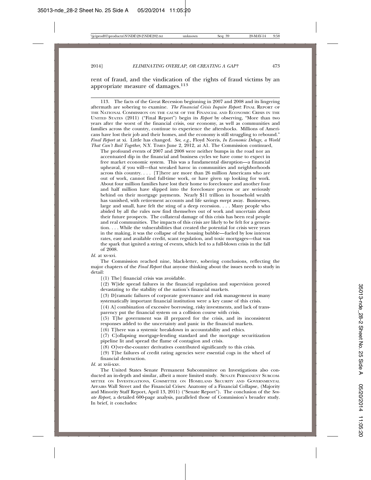rent of fraud, and the vindication of the rights of fraud victims by an appropriate measure of damages.113

113. The facts of the Great Recession beginning in 2007 and 2008 and its lingering aftermath are sobering to examine. *The Financial Crisis Inquire Report*: FINAL REPORT OF THE NATIONAL COMMISSION ON THE CAUSE OF THE FINANCIAL AND ECONOMIC CRISIS IN THE UNITED STATES (2011) ("Final Report") begin its *Report* by observing, "More than two years after the worst of the financial crisis, our economy, as well as communities and families across the country, continue to experience the aftershocks. Millions of Americans have lost their job and their homes, and the economy is still struggling to rebound." *Final Report* at xi. Little has changed. *See, e.g.,* Floyd Norris, *In Economic Deluge, a World That Can't Bail Together,* N.Y. TIMES June 2, 2012, at A1. The Commission continued,

The profound events of 2007 and 2008 were neither bumps in the road nor an accentuated dip in the financial and business cycles we have come to expect in free market economic system. This was a fundamental disruption—a financial upheaval, if you will—that wreaked havoc in communities and neighborhoods across this country. . . . [T]here are more than 26 million Americans who are out of work, cannot find full-time work, or have given up looking for work. About four million families have lost their home to foreclosure and another four and half million have slipped into the foreclosure process or are seriously behind on their mortgage payments. Nearly \$11 trillion in household wealth has vanished, with retirement accounts and life savings swept away. Businesses, large and small, have felt the sting of a deep recession. . . . Many people who abided by all the rules now find themselves out of work and uncertain about their future prospects. The collateral damage of this crisis has been real people and real communities. The impacts of this crisis are likely to be felt for a generation. . . . While the vulnerabilities that created the potential for crisis were years in the making, it was the collapse of the housing bubble—fueled by low interest rates, easy and available credit, scant regulation, and toxic mortgages—that was the spark that ignited a string of events, which led to a full-blown crisis in the fall of 2008.

*Id.* at xv-xvi.

The Commission reached nine, black-letter, sobering conclusions, reflecting the major chapters of the *Final Report* that anyone thinking about the issues needs to study in detail:

 $[(1)$  The] financial crisis was avoidable.

[(2) W]ide spread failures in the financial regulation and supervision proved devastating to the stability of the nation's financial markets.

[(3) D]ramatic failures of corporate governance and risk management in many systematically important financial institution were a key cause of this crisis.

 $(4)$  A] combination of excessive borrowing, risky investments, and lack of transparency put the financial system on a collision course with crisis.

 $[(5)$  T]he government was ill prepared for the crisis, and its inconsistent responses added to the uncertainty and panic in the financial markets.

 $(6)$  T] here was a systemic breakdown in accountability and ethics.

[(7) C]ollapsing mortgage-lending standard and the mortgage securitization pipeline lit and spread the flame of contagion and crisis.

[(8) O]ver-the-counter derivatives contributed significantly to this crisis.

[(9) T]he failures of credit rating agencies were essential cogs in the wheel of financial destruction.

*Id.* at xvii-xxv.

The United States Senate Permanent Subcommittee on Investigations also conducted an in-depth and similar, albeit a more limited study. SENATE PERMANENT SUBCOM-MITTEE ON INVESTIGATIONS, COMMITTEE ON HOMELAND SECURITY AND GOVERNMENTAL AFFAIRS Wall Street and the Financial Crises: Anatomy of a Financial Collapse, (Majority and Minority Staff Report, April 13, 2011) ("Senate Report"). The conclusion of the *Senate Report,* a detailed 600-page analysis, paralleled those of Commission's broader study. In brief, it concludes: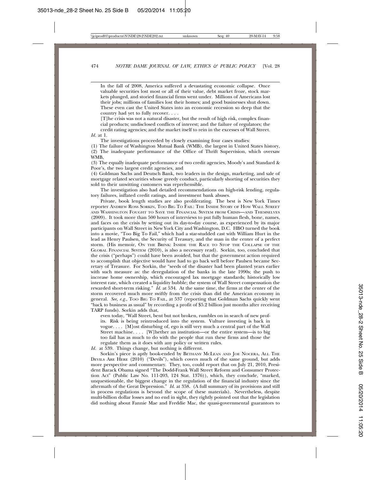In the fall of 2008, America suffered a devastating economic collapse. Once valuable securities lost most or all of their value, debt market froze, stock markets plunged, and storied financial firms went under. Millions of Americans lost their jobs; millions of families lost their homes; and good businesses shut down. These even cast the United States into an economic recession so deep that the country had yet to fully recover. . . .

[T]he crisis was not a natural disaster, but the result of high risk, complex financial products; undisclosed conflicts of interest; and the failure of regulators; the credit rating agencies; and the market itself to rein in the excesses of Wall Street. *Id.* at 1.

The investigations proceeded by closely examining four cases studies:

(1) The failure of Washington Mutual Bank (WMB), the largest in United States history, (2) The inadequate performance of the Office of Thrift Supervision, which oversaw WMB,

(3) The equally inadequate performance of two credit agencies, Moody's and Standard & Poor's, the two largest credit agencies, and

(4) Goldman Sachs and Deutsch Bank, two leaders in the design, marketing, and sale of mortgage related securities whose greedy conduct, particularly shorting of securities they sold to their unwitting customers was reprehensible.

The investigation also had detailed recommendations on high-risk lending, regulatory failures, inflated credit ratings, and investment bank abuses.

Private, book length studies are also proliferating. The best is New York Times reporter ANDREW ROSS SORKIN, TOO BIG TO FAIL: THE INSIDE STORY OF HOW WALL STREET AND WASHINGTON FOUGHT TO SAVE THE FINANCIAL SYSTEM FROM CRISIS—AND THEMSELVES (2009). It took more than 500 hours of interviews to put fully human flesh, bone, names, and faces on the crisis by setting out its day-to-day course, as experienced by its major participants on Wall Street in New York City and Washington, D.C. HBO turned the book into a movie, "Too Big To Fail," which had a star-studded cast with William Hurt in the lead as Henry Paulsen, the Security of Treasury, and the man in the center of a perfect storm. (His memoir, ON THE BRINK: INSIDE THE RACE TO STOP THE COLLAPSE OF THE GLOBAL FINANCIAL SYSTEM (2010), is also a necessary read). Sorkin, too, concluded that the crisis ("perhaps") could have been avoided, but that the government action required to accomplish that objective would have had to go back well before Paulsen became Secretary of Treasure. For Sorkin, the "seeds of the disaster had been planted years earlier with such measure as: the deregulation of the banks in the late 1990s; the push to increase home ownership, which encouraged lax mortgage standards; historically low interest rate, which created a liquidity bubble; the system of Wall Street compensation the rewarded short-term risking." *Id.* at 534. At the same time, the firms at the center of the storm recovered much more swiftly from the crisis than did the American economy in general. *See, e.g.*, TOO BIG TO FAIL, at 537 (reporting that Goldman Sachs quickly went "back to business as usual" by recording a profit of \$5.2 billion just months after receiving TARP funds). Sorkin adds that,

even today, "Wall Street, bent but not broken, rumbles on in search of new profits. Risk is being reintroduced into the system. Vulture investing is back in vogue. . . . [M]ost disturbing of, ego is still very much a central part of the Wall Street machine. . . . [W]hether an institution—or the entire system—is to big too fail has as much to do with the people that run these firms and those the regulate them as it does with any policy or written rules.

*Id.* at 539. Things change, but nothing is different.

Sorkin's piece is aptly book-ended by BETHANY MCLEAN AND JOE NOCERA, ALL THE DEVILS ARE HERE (2010) ("Devils"), which covers much of the same ground, but adds more perspective and commentary. They, too, could report that on July 21, 2010, President Barack Obama signed "The Dodd-Frank Wall Street Reform and Consumer Protection Act" (Public Law No. 111-203, 124 Stat. 1376)), which, they conclude, "marked, unquestionable, the biggest change in the regulation of the financial industry since the aftermath of the Great Depression." *Id.* at 358. (A full summary of its provisions and still in process regulations is beyond the scope of these materials). Nevertheless, despite multi-billion dollar losses and no end in sight, they rightly pointed out that the legislation did nothing about Fannie Mae and Freddie Mac, the quasi-governmental guarantors to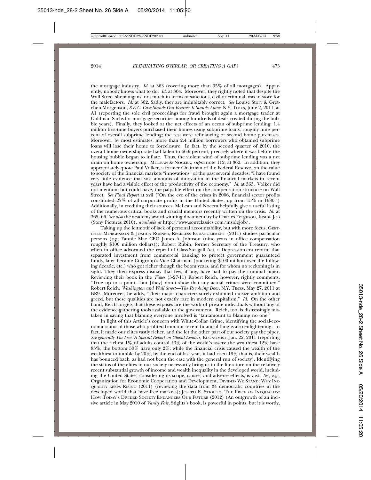the mortgage industry. *Id*. at 363 (covering more than 95% of all mortgages). Apparently, nobody knows what to do. *Id.* at 364. Moreover, they rightly noted that despite the Wall Street shenanigans, not much in terms of sanctions, civil or criminal, was in store for the malefactors. *Id.* at 362. Sadly, they are indubitably correct. *See* Louise Story & Gretchen Morgenson, *S.E.C. Case Stands Out Because It Stands Alone*, N.Y. TIMES, June 2, 2011, at A1 (reporting the sole civil proceedings for fraud brought again a mortgage trader at Goldman Sachs for mortgage-securities among hundreds of deals created during the bubble years). Finally, they looked at the net effects of an ocean of subprime lending: 1.4 million first-time buyers purchased their homes using subprime loans, roughly nine percent of overall subprime lending; the rest were refinancing or second home purchases. Moreover, by most estimates, more than 2.4 million borrowers who obtained subprime loans will lose their home to foreclosure. In fact, by the second quarter of 2010, the overall home ownership rate had fallen to 66.9 percent, precisely where it was before the housing bubble began to inflate. Thus, the violent wind of subprime lending was a net drain on home ownership. MCLEAN & NOCERA, *supra* note 112, at 362. In addition, they appropriately quote Paul Volker, a former Chairman of the Federal Reserve, on the value to society of the financial markets "innovations" of the past several decades: "I have found very little evidence that vast amounts of innovation in the financial markets in recent years have had a visible effect of the productivity of the economy." *Id.* at 363. Volker did not mention, but could have, the palpable effect on the compensation structure on Wall Street. *See Final Report* at xvii ("On the eve of the crises in 2006, financial sector profits constituted 27% of all corporate profits in the United States, up from 15% in 1980.") Additionally, in crediting their sources, McLean and Nocera helpfully give a useful listing of the numerous critical books and crucial memoirs recently written on the crisis. *Id.* at 365–66. *See also* the academy award-winning documentary by Charles Ferguson, INSIDE JOB (Sony Pictures 2010), *available at* http://www.sonyclassics.com/insidejob/.

Taking up the leitmotif of lack of personal accountability, but with more focus, GRET-CHEN MORGENSON & JOSHUA ROSNER, RECKLESS ENDANGERMENT (2011) studies particular persons (*e.g*., Fannie Mae CEO James A. Johnson (nine years in office compensation roughly \$100 million dollars)); Robert Rubin, former Secretary of the Treasury, who when in office advocated the repeal of Glass-Steagall Act, a Depression-era reform that separated investment from commercial banking to protect government guaranteed funds, later became Citigroup's Vice Chairman (pocketing \$100 million over the following decade, etc.) who got richer though the boom years, and for whom no reckoning is in sight. They then express dismay that few, if any, have had to pay the criminal piper. Reviewing their book in the *Times* (5-27-11) Robert Reich, however, rightly comments, "True up to a point—but [they] don't show that any actual crimes were committed." Robert Reich, *Washington and Wall Street—The Revolving Door*, N.Y. TIMES, May 27, 2011 at BR9. Moreover, he adds, "Their major characters surely exhibited outsize ambition and greed, but these qualities are not exactly rare in modern capitalism." *Id.* On the other hand, Reich forgets that these exposés are the work of private individuals without any of the evidence-gathering tools available to the government. Reich, too, is distressingly mistaken in saying that blaming everyone involved is "tantamount to blaming no one."

In light of this Article's concern with White-Collar Crime, identifying the social-economic status of those who profited from our recent financial fling is also enlightening. In fact, it made our elites vastly richer, and the let the other part of our society pay the piper. *See generally The Few: A Special Report on Global Leaders,* ECONOMIST, Jan. 22, 2011 (reporting that the richest  $1\%$  of adults control  $43\%$  of the world's assets; the wealthiest  $12\%$  have 83%; the bottom 50% have only 2%; while the financial crisis caused the wealth of the wealthiest to tumble by 20%, by the end of last year, it had risen 19% that is, their wealth has bounced back, as had not been the case with the general run of society). Identifying the status of the elites in our society necessarily bring us to the literature on the relatively recent substantial growth of income and wealth inequality in the developed world, including the United States, considering its scope, causes, and adverse effects, is vast. *See, e.g.,* Organization for Economic Cooperation and Development, DIVIDED WE STAND; WHY INE-QUALITY KEEPS RISING (2011) (reviewing the data from 34 democratic countries in the developed world that have free markets); JOSEPH E. STIGLITZ, THE PRICE OF INEQUALITY: HOW TODAY'S DIVIDED SOCIETY ENDANGERS OUR FUTURE (2012) (An outgrowth of an incisive article in May 2010 of *Vanity Fair,* Stiglitz's book, is powerful in points, but it is wordy,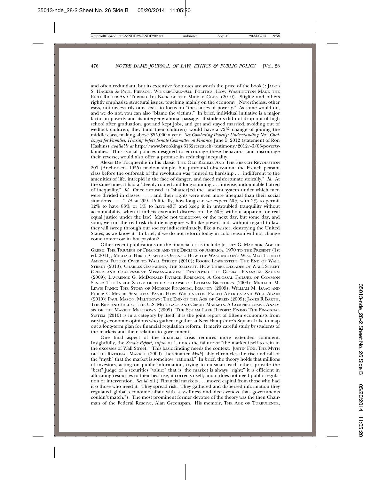and often redundant, but its extensive footnotes are worth the price of the book.); JACOB S. HACKER & PAUL PIERSON: WINNER-TAKE–ALL POLITICS: HOW WASHINGTON MADE THE RICH RICHER-AND TURNED ITS BACK OF THE MIDDLE CLASS (2010). Stiglitz and others rightly emphasize structural issues, touching mainly on the economy. Nevertheless, other ways, not necessarily ours, exist to focus on "the causes of poverty." As some would do, and we do not, you can also "blame the victims." In brief, individual initiative is a major factor in poverty and its intergenerational passage. If students did not drop out of high school after graduation, got and kept jobs, and got and stayed married, avoiding out of wedlock children, they (and their children) would have a 72% change of joining the middle class, making above \$55,000 a year. *See Combating Poverty: Understanding New Challenges for Families*, *Hearing before Senate Committee on Finance*, June 5, 2012 (statement of Ron Haskins) *available at* http://www.brookings.3132research/testimony/2012/-6/05-povertyfamilies. Thus, social policies designed to encourage these behaviors, and discourage their reverse, would also offer a promise in reducing inequality.

Alexis De Tocqueville in his classic THE OLD REGIME AND THE FRENCH REVOLUTION 207 (Anchor ed. 1955) made a simple, but profound observation: the French peasant class before the outbreak of the revolution was "inured to hardship . . . indifferent to the amenities of life, intrepid in the face of danger, and faced misfortunate stoically." *Id.* At the same time, it had a "deeply rooted and long-standing . . . intense, indomitable hatred of inequality." *Id.* Once aroused, it "shatter[ed the] ancient system under which men were divided in classes . . . , and their rights were even more unequal than their social situations . . . . " *Id.* at 209. Politically, how long can we expect 50% with 2% to permit 12% to have 83% or 1% to have 43% and keep it in untroubled tranquility without accountability, when it inflicts extended distress on the 50% without apparent or real equal justice under the law? Maybe not tomorrow, or the next day, but some day, and soon, we run the real risk that demagogues will take power, and, without regard to law, they will sweep through our society indiscriminately, like a twister, destroying the United States, as we know it. In brief, if we do not reform today in cold reason will not change come tomorrow in hot passion?

Other recent publications on the financial crisis include JEFFREY G. MADRICK, AGE OF GREED: THE TRIUMPH OF FINANCE AND THE DECLINE OF AMERICA, 1970 TO THE PRESENT (1st ed. 2011); MICHAEL HIRSH, CAPITAL OFFENSE: HOW THE WASHINGTON'S WISE MEN TURNED AMERICA FUTURE OVER TO WALL STREET (2010); ROGER LOWENSTEIN, THE END OF WALL STREET (2010); CHARLES GASPARINO, THE SELLOUT: HOW THREE DECADES OF WALL STREET GREED AND GOVERNMENT MISMANAGEMENT DESTROYED THE GLOBAL FINANCIAL SYSTEM (2009); LAWRENCE G. MCDONALD PATRICK ROBINSON, A COLOSSAL FAILURE OF COMMON SENSE: THE INSIDE STORY OF THE COLLAPSE OF LEHMAN BROTHERS (2009); MICHAEL M. LEWIS PANIC: THE STORY OF MODERN FINANCIAL INSANITY (2009); WILLIAM M. ISAAC AND PHILIP C MEYER: SENSELESS PANIC HOW WASHINGTON FAILED AMERICA AND WILL AGAIN (2010); PAUL MASON, MELTDOWN: THE END OF THE AGE OF GREED (2009); JAMES R BARTH, THE RISE AND FALL OF THE U.S. MORTGAGE AND CREDIT MARKETS: A COMPREHENSIVE ANALY-SIS OF THE MARKET MELTDOWN (2009). THE SQUAM LAKE REPORT: FIXING THE FINANCIAL SYSTEM (2010) is in a category by itself; it is the joint report of fifteen economists from varying economic opinions who gather together at New Hampshire's Squam Lake to map out a long-term plan for financial regulation reform. It merits careful study by students of the markets and their relation to government.

One final aspect of the financial crisis requires more extended comment. Insightfully, the *Senate Report, supra,* at 1, notes the failure of "the market itself to rein in the excesses of Wall Street." This basic finding needs the context. JUSTIN FOX, THE MYTH OF THE RATIONAL MARKET (2009) [hereinafter *Myth*] ably chronicles the rise and fall of the "myth" that the market is somehow "rational." In brief, the theory holds that millions of investors, acting on public information, trying to outsmart each other, provide the "best" judge of a securities "value;" that is, the market is always "right;" it is efficient in allocating resources to their best use; it corrects itself; and it does not need public regulation or intervention. *See id.* xii ("Financial markets . . . moved capital from those who had it o those who need it. They spread risk. They gathered and dispersed information they regulated global economic affair with a swiftness and decisiveness that governments couldn't match."). The most prominent former devotee of the theory was the then Chairman of the Federal Reserve, Alan Greenspan. His memoir, THE AGE OF TURBULENCE,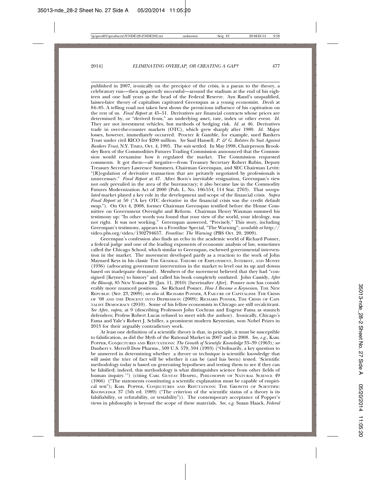published in 2007, ironically on the precipice of the crisis, is a paean to the theory, a celebratory run—then apparently successful—around the stadium at the end of his eighteen and one half years as the head of the Federal Reserve. Ayn Rand's unqualified, laissez-faire theory of capitalism captivated Greenspan as a young economist. *Devils* at 84–85. A telling road not taken best shows the pernicious influence of his captivation on the rest of us. *Final Report* at 45–51. Derivatives are financial contracts whose prices are determined by, or "derived from," an underlying asset, rate, index or other event. *Id.* They are not investment vehicles, but methods of hedging risk. *Id.* at 46. Derivatives trade in over-the-counter markets (OTC), which grew sharply after 1980. *Id.* Major losses, however, immediately occurred. Procter & Gamble, for example, sued Bankers Trust under civil RICO for \$200 million. *See* Saul Hansell, *P. & G. Bolsters Its Suit Against Bankers Trust,* N.Y. TIMES, Oct. 4, 1995. The suit settled. In May 1998, Chairperson Brooksley Born of the Commodities Futures Trading Commission announced that the Commission would reexamine how it regulated the market. The Commission requested comments. It got them—all negative—from Treasury Secretary Robert Rubin, Deputy Treasury Secretary Lawrence Summers, Chairman Greenspan, and SEC Chairman Levitt: "[R]egulation of derivative transaction that are privately negotiated by professionals is unnecessary." *Final Report* at 47. After Born's inevitable resignation, Greenspan's view not only prevailed in the area of the bureaucracy; it also became law in the Commodity Futures Modernization Act of 2000 (Pub. L. No. 106-554, 114 Stat. 2763). That *unregulated* market played a key role in the development and scope of the financial crisis. *Supra Final Report* at 50 ("A key OTC derivative in the financial crisis was the credit default swap."). On Oct 4, 2008, former Chairman Greenspan testified before the House Committee on Government Oversight and Reform. Chairman Henry Waxman summed his testimony up: "In other words you found that your view of the world, your ideology, was not right. It was not working." Greenspan answered, "Precisely." This story, including Greenspan's testimony, appears in a Frontline Special, "The Warning"; *available at* http:// video.pbs.org/video/1302794657. *Frontline: The Warning* (PBS Oct. 20, 2009).

Greenspan's confession also finds an echo in the academic world of Richard Posner, a federal judge and one of the leading exponents of economic analysis of law, sometimes called the Chicago School, which similar to Greenspan, eschewed governmental intervention in the market. The movement developed partly as a reaction to the work of John Maynard Keys in his classic THE GENERAL THEORY OF EMPLOYMENT, INTEREST, AND MONEY (1936) (advocating government intervention in the market to level out its up and downs based on inadequate demand). Members of the movement believed that they had "consigned [Keynes] to history" and called his book completely outdated. John Cassidy, *After the Blowup,* 85 NEW YORKER 28 (Jan. 11, 2010) [hereinafter *After*]. Posner now has considerably more nuanced positions. *See* Richard Posner, *How I Became a Keynesian*, THE NEW REPUBLIC (SEP. 23, 2009); *see also id*. RICHARD POSNER, A FAILURE OF CAPITALISM: THE CRISIS OF '08 AND THE DESCENT INTO DEPRESSION (2009); RICHARD POSNER, THE CRISIS OF CAPI-TALIST DEMOCRACY (2010). Some of his fellow economists in Chicago are still recalcitrant. *See After*, *supra,* at 9 (describing Professors John Cochran and Eugene Fama as staunch defenders; Profess Robert Lucas refused to meet with the author). Ironically, Chicago's Fama and Yale's Robert J. Schiller, a prominent modern Keynesian, won Nobel Prizes in 2013 for their arguably contradictory work.

At least one definition of a scientific theory is that, in principle, it must be susceptible to falsification, as did the Myth of the Rational Market in 2007 and in 2008. *See, e.g.,* KARL POPPER, CONJECTURES AND REFUTATIONS: *The Growth of Scientific Knowledge* 33–39 (1963)*; see* Daubert v. Merrell Dow Pharms., 509 U.S. 579, 594 (1993) ("Ordinarily, a key question to be answered in determining whether a theory or technique is scientific knowledge that will assist the trier of fact will be whether it can be (and has been) tested. 'Scientific methodology today is based on generating hypotheses and testing them to see if they can be falsified; indeed, this methodology is what distinguishes science from other fields of human inquiry.'") (citing CARL GUSTAV HEMPEL, PHILOSOPHY OF NATURAL SCIENCE 49 (1966) ("The statements constituting a scientific explanation must be capable of empirical test"); KARL POPPER, CONJECTURES AND REFUTATIONS: THE GROWTH OF SCIENTIFIC KNOWLEDGE 37 (5th ed. 1989) ("The criterion of the scientific status of a theory is its falsifiability, or refutability, or testability")). The contemporary acceptance of Popper's views in philosophy is beyond the scope of these materials. *See, e.g.* Susan Haack, *Federal*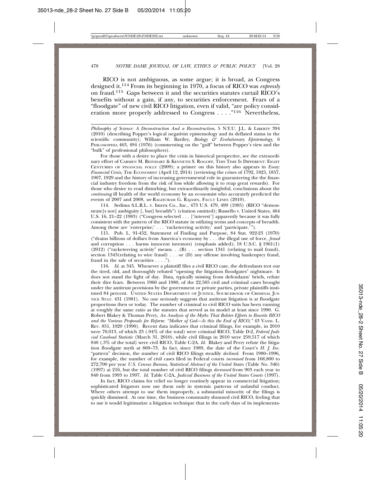RICO is not ambiguous, as some argue; it is broad, as Congress designed it.114 From its beginning in 1970, a focus of RICO was *expressly* on fraud.115 Gaps between it and the securities statutes curtail RICO's benefits without a gain, if any, to securities enforcement. Fears of a "floodgate" of new civil RICO litigation, even if valid, "are policy consideration more properly addressed to Congress . . . . "<sup>116</sup> Nevertheless,

*Philosophy of Science: A Deconstruction And a Reconstruction*, 5 N.Y.U. J.L. & LIBERTY 394 (2010) (describing Popper's logical negativist epistemology and its deflated status in the scientific community); William W. Bartley, *Biology & Evolutionary Epistemology,* 6 PHILOSOPHIA 463, 494 (1976) (commenting on the "gulf" between Popper's view and the "bulk" of professional philosophers).

For those with a desire to place the crisis in historical perspective, see the extraordinary effort of CARMEN M. REINHART & KENNETH S. ROGOFF, THIS TIME IS DIFFERENT: EIGHT CENTURIES OF FINANCIAL FOLLY (2009); a primer on this history also appears in *Essay: Financial Crisis,* THE ECONOMIST (April 12, 2014) (reviewing the crises of 1792, 1825, 1857, 1907, 1929 and the history of increasing governmental role in guaranteeing the the financial industry freedom from the risk of loss while allowing it to reap great rewards). For those who desire to read disturbing, but extraordinarily insightful, conclusions about the *continuing* ill health of the world economy by an economist who accurately predicted the events of 2007 and 2008, *see* RAGHURAM G. RAJAMN, FAULT LINES (2010).

114. Sedima S.L.R.L. v. Imrex Co., Inc., 473 U.S. 479, 499 (1985) (RICO "demonstrate[s not] ambiguity [, but] breadth") (citation omitted); Russello v. United States, 464 U.S. 16, 21–22 (1983) ("Congress selected . . . ['interest'] apparently because it was fully consistent with the pattern of the RICO statute in utilizing terms and concepts of breadth. Among these are 'enterprise;' . . . 'racketeering activity;' and 'participate.'").

115. Pub. L. 91-452, Statement of Finding and Purpose, 84 Stat. 922-23 (1970) ("drains billions of dollars from America's economy by . . . the illegal use of force, *fraud* and corruption . . . harms innocent investors) (emphasis added); 18 U.S.C. § 1961(1) (2012) ("racketeering activity" means. . .(B) . . . section 1341 (relating to mail fraud), section 1343(relating to wire fraud) . . . or (D) any offense involving bankruptcy fraud, fraud in the sale of securities . . . .").

116. *Id.* at 345. Whenever a plaintiff files a civil RICO case, the defendants trot out the tired, old, and thoroughly refuted "opening the litigation floodgates" nightmare. It does not stand the light of day. Data, typically missing from defendants' briefs, refute their dire fears. Between 1960 and 1980, of the 22,585 civil and criminal cases brought under the antitrust provisions by the government or private parties, private plaintiffs instituted 84 percent. UNITED STATES DEPARTMENT OF JUSTICE, SOURCEBOOK OF CRIMINAL JUS-TICE STAT. 431 (1981). No one seriously suggests that antitrust litigation is at floodgate proportions then or today. The number of criminal to civil RICO suits has been running at roughly the same ratio as the statutes that served as its model at least since 1990. G. Robert Blakey & Thomas Perry, *An Analysis of the Myths That Bolster Efforts to Rewrite RICO and the Various Proposals for Reform: "Mother of God—Is this the End of RICO,"* 43 VAND. L. REV. 851, 1020 (1990). Recent data indicates that criminal filings, for example, in 2010 were 70,013, of which 23 (.04% of the total) were criminal RICO, Table D-2, *Federal Judicial Caseload Statistic* (March 31, 2010), while civil filings in 2010 were 259,517 of which 840 (.3% of the total) were civil RICO, Table C-2A. *Id.* Blakey and Perry refute the litigation floodgate myth at 869–73. In fact, since 1989, the date of the Court's *H. J. Inc.* "pattern" decision, the number of civil RICO filings steadily *declined.* From 1980–1996, for example, the number of civil cases filed in Federal courts *increased* from 168,800 to 272,700 per year *U.S. Census Bureau*, *Statistical Abstract of the United States* (Table No. 346) (1997) at 216, but the total number of civil RICO filings *decreased* from 903 each year to 840 from 1993 to 1997. *Id.* Table C-2A, *Judicial Business of the United States Courts* (1997).

In fact, RICO claims for relief no longer routinely appear in commercial litigation; sophisticated litigators now use them only in systemic patterns of unlawful conduct. Where others attempt to use them improperly, a substantial minority of the filings is quickly dismissed. At one time, the business community shunned civil RICO, feeling that to use it would legitimatize a litigation technique that in the early days of its implementa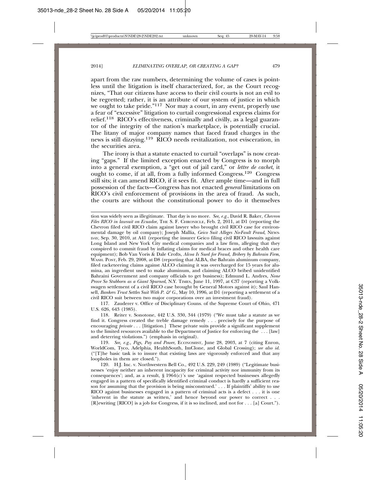apart from the raw numbers, determining the volume of cases is pointless until the litigation is itself characterized, for, as the Court recognizes, "That our citizens have access to their civil courts is not an evil to be regretted; rather, it is an attribute of our system of justice in which we ought to take pride."<sup>117</sup> Nor may a court, in any event, properly use a fear of "excessive" litigation to curtail congressional express claims for relief.118 RICO's effectiveness, criminally and civilly, as a legal guarantor of the integrity of the nation's marketplace, is potentially crucial. The litany of major company names that faced fraud charges in the news is still dizzying.119 RICO needs revitalization, not evisceration, in the securities area.

The irony is that a statute enacted to curtail "overlaps" is now creating "gaps." If the limited exception enacted by Congress is to morph into a general exemption, a "get out of jail card," or *lettre de cachet*, it ought to come, if at all, from a fully informed Congress.120 Congress still sits; it can amend RICO, if it sees fit. After ample time—and in full possession of the facts—Congress has not enacted *general* limitations on RICO's civil enforcement of provisions in the area of fraud. As such, the courts are without the constitutional power to do it themselves

tion was widely seen as illegitimate. That day is no more. *See, e.g.*, David R. Baker, *Chevron Files RICO in lawsuit on Ecuador*, THE S. F. CHRONICLE, Feb. 2, 2011, at D1 (reporting the Chevron filed civil RICO claim against lawyer who brought civil RICO case for environmental damage by oil company); Joseph Mallia, *Geico Suit Alleges No-Fault Fraud*, NEWS-DAY, Sep. 30, 2010, at A41 (reporting the insurer Geico filing civil RICO lawsuits against Long Island and New York City medical companies and a law firm, alleging that they conspired to commit fraud by inflating claims for medical braces and other health care equipment); Bob Van Voris & Dale Crofts, *Alcoa Is Sued for Fraud, Bribery by Bahrain Firm*, WASH. POST, Feb. 29, 2008, at D8 (reporting that ALBA, the Bahrain aluminum company, filed racketeering claims against ALCO claiming it was overcharged for 15 years for alumina, an ingredient used to make aluminum, and claiming ALCO bribed unidentified Bahraini Government and company officials to get business); Edmund L. Andres, *None Prove So Stubborn as a Giant Spurned*, N.Y. TIMES, June 11, 1997, at C37 (reporting a Volkswagen settlement of a civil RICO case brought by General Motors against it); Saul Hansell, *Bankers Trust Settles Suit With P. & G.*, May 10, 1996, at D1 (reporting a settlement of a civil RICO suit between two major corporations over an investment fraud).

117. Zauderer v. Office of Disciplinary Couns. of the Supreme Court of Ohio, 471 U.S. 626, 643 (1985).

118. Reiter v. Sonotone, 442 U.S. 330, 344 (1979) ("We must take a statute as we find it. Congress created the treble damage remedy . . . precisely for the purpose of encouraging *private* . . . [litigation.] These private suits provide a significant supplement to the limited resources available to the Department of Justice for enforcing the . . . [law] and deterring violations.") (emphasis in original).

119. *See, e.g., Pigs, Pay and Power*, ECONOMIST, June 28, 2003, at 7 (citing Enron, WorldCom, Tyco, Adelphia, HealthSouth, ImClone, and Global Crossing); *see also id.* ("[T]he basic task is to insure that existing laws are vigorously enforced and that any loopholes in them are closed.").

120. H.J. Inc. v. Northwestern Bell Co., 492 U.S. 229, 249 (1989) ("Legitimate businesses 'enjoy neither an inherent incapacity for criminal activity nor immunity from its consequences'; and, as a result,  $\S 1964(c)$ 's use 'against respected businesses allegedly engaged in a pattern of specifically identified criminal conduct is hardly a sufficient reason for assuming that the provision is being misconstrued.' *. . .* If plaintiffs' ability to use RICO against businesses engaged in a pattern of criminal acts is a defect *. . .* it is one 'inherent in the statute as written,' and hence beyond our power to correct *. . .* [R]ewriting [RICO] is a job for Congress, if it is so inclined, and not for *. . .* [a] Court.").